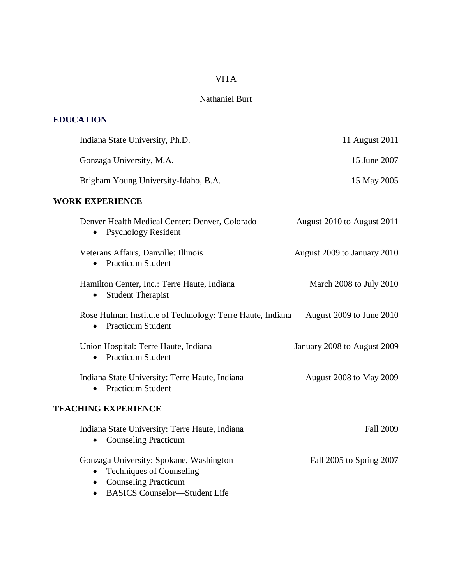# VITA

# Nathaniel Burt

# **EDUCATION**

| Indiana State University, Ph.D.                                                                                        | 11 August 2011                 |
|------------------------------------------------------------------------------------------------------------------------|--------------------------------|
| Gonzaga University, M.A.                                                                                               | 15 June 2007                   |
| Brigham Young University-Idaho, B.A.                                                                                   | 15 May 2005                    |
| <b>WORK EXPERIENCE</b>                                                                                                 |                                |
| Denver Health Medical Center: Denver, Colorado<br><b>Psychology Resident</b><br>$\bullet$                              | August 2010 to August 2011     |
| Veterans Affairs, Danville: Illinois<br><b>Practicum Student</b>                                                       | August 2009 to January 2010    |
| Hamilton Center, Inc.: Terre Haute, Indiana<br><b>Student Therapist</b><br>$\bullet$                                   | March 2008 to July 2010        |
| Rose Hulman Institute of Technology: Terre Haute, Indiana<br><b>Practicum Student</b><br>$\bullet$                     | August 2009 to June 2010       |
| Union Hospital: Terre Haute, Indiana<br><b>Practicum Student</b>                                                       | January 2008 to August 2009    |
| Indiana State University: Terre Haute, Indiana<br><b>Practicum Student</b><br>$\bullet$                                | <b>August 2008 to May 2009</b> |
| <b>TEACHING EXPERIENCE</b>                                                                                             |                                |
| Indiana State University: Terre Haute, Indiana<br>• Counseling Practicum                                               | <b>Fall 2009</b>               |
| Gonzaga University: Spokane, Washington<br><b>Techniques of Counseling</b><br><b>Counseling Practicum</b><br>$\bullet$ | Fall 2005 to Spring 2007       |

BASICS Counselor—Student Life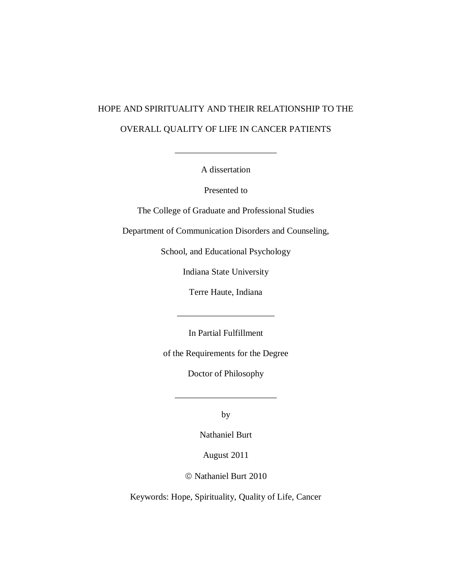# HOPE AND SPIRITUALITY AND THEIR RELATIONSHIP TO THE OVERALL QUALITY OF LIFE IN CANCER PATIENTS

A dissertation

 $\mathcal{L}=\mathcal{L}=\mathcal{L}$ 

Presented to

The College of Graduate and Professional Studies

Department of Communication Disorders and Counseling,

School, and Educational Psychology

Indiana State University

Terre Haute, Indiana

In Partial Fulfillment

\_\_\_\_\_\_\_\_\_\_\_\_\_\_\_\_\_\_\_\_\_\_

of the Requirements for the Degree

Doctor of Philosophy

\_\_\_\_\_\_\_\_\_\_\_\_\_\_\_\_\_\_\_\_\_\_\_

by

Nathaniel Burt

August 2011

Nathaniel Burt 2010

Keywords: Hope, Spirituality, Quality of Life, Cancer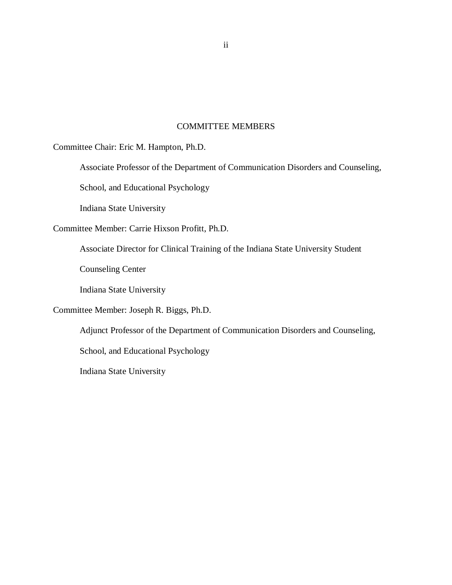## COMMITTEE MEMBERS

<span id="page-2-0"></span>Committee Chair: Eric M. Hampton, Ph.D.

Associate Professor of the Department of Communication Disorders and Counseling,

School, and Educational Psychology

Indiana State University

Committee Member: Carrie Hixson Profitt, Ph.D.

Associate Director for Clinical Training of the Indiana State University Student

Counseling Center

Indiana State University

Committee Member: Joseph R. Biggs, Ph.D.

Adjunct Professor of the Department of Communication Disorders and Counseling,

School, and Educational Psychology

Indiana State University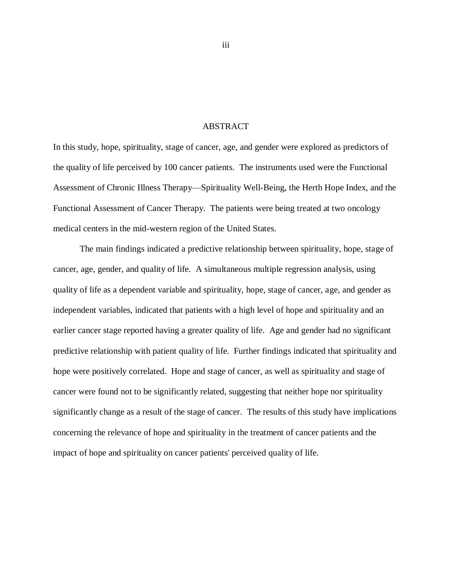## ABSTRACT

<span id="page-3-0"></span>In this study, hope, spirituality, stage of cancer, age, and gender were explored as predictors of the quality of life perceived by 100 cancer patients. The instruments used were the Functional Assessment of Chronic Illness Therapy—Spirituality Well-Being, the Herth Hope Index, and the Functional Assessment of Cancer Therapy. The patients were being treated at two oncology medical centers in the mid-western region of the United States.

The main findings indicated a predictive relationship between spirituality, hope, stage of cancer, age, gender, and quality of life. A simultaneous multiple regression analysis, using quality of life as a dependent variable and spirituality, hope, stage of cancer, age, and gender as independent variables, indicated that patients with a high level of hope and spirituality and an earlier cancer stage reported having a greater quality of life. Age and gender had no significant predictive relationship with patient quality of life. Further findings indicated that spirituality and hope were positively correlated. Hope and stage of cancer, as well as spirituality and stage of cancer were found not to be significantly related, suggesting that neither hope nor spirituality significantly change as a result of the stage of cancer. The results of this study have implications concerning the relevance of hope and spirituality in the treatment of cancer patients and the impact of hope and spirituality on cancer patients' perceived quality of life.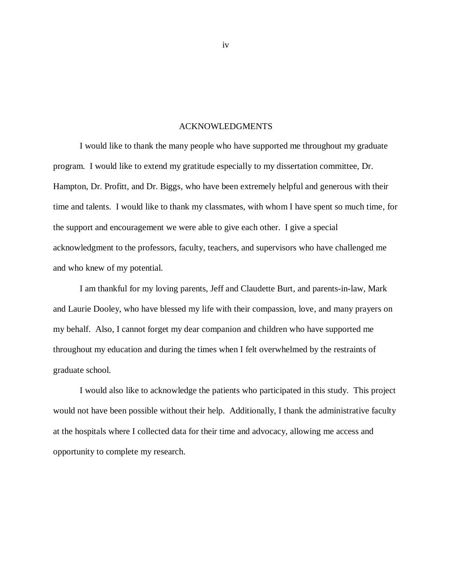## ACKNOWLEDGMENTS

I would like to thank the many people who have supported me throughout my graduate program. I would like to extend my gratitude especially to my dissertation committee, Dr. Hampton, Dr. Profitt, and Dr. Biggs, who have been extremely helpful and generous with their time and talents. I would like to thank my classmates, with whom I have spent so much time, for the support and encouragement we were able to give each other. I give a special acknowledgment to the professors, faculty, teachers, and supervisors who have challenged me and who knew of my potential.

I am thankful for my loving parents, Jeff and Claudette Burt, and parents-in-law, Mark and Laurie Dooley, who have blessed my life with their compassion, love, and many prayers on my behalf. Also, I cannot forget my dear companion and children who have supported me throughout my education and during the times when I felt overwhelmed by the restraints of graduate school.

I would also like to acknowledge the patients who participated in this study. This project would not have been possible without their help. Additionally, I thank the administrative faculty at the hospitals where I collected data for their time and advocacy, allowing me access and opportunity to complete my research.

iv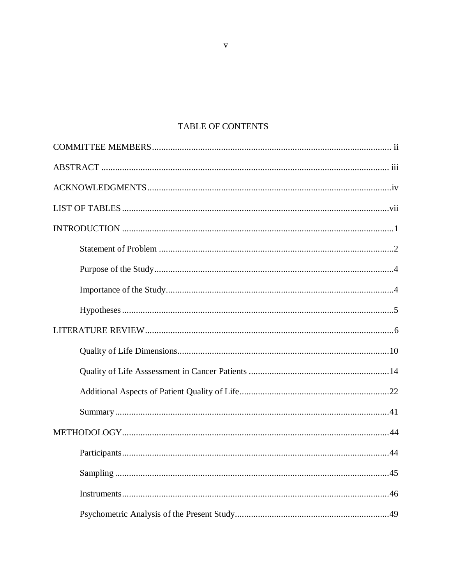# TABLE OF CONTENTS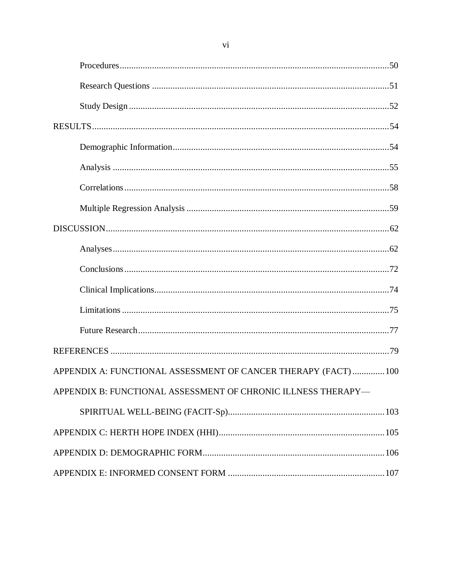| APPENDIX A: FUNCTIONAL ASSESSMENT OF CANCER THERAPY (FACT)  100 |
|-----------------------------------------------------------------|
| APPENDIX B: FUNCTIONAL ASSESSMENT OF CHRONIC ILLNESS THERAPY-   |
|                                                                 |
|                                                                 |
|                                                                 |
|                                                                 |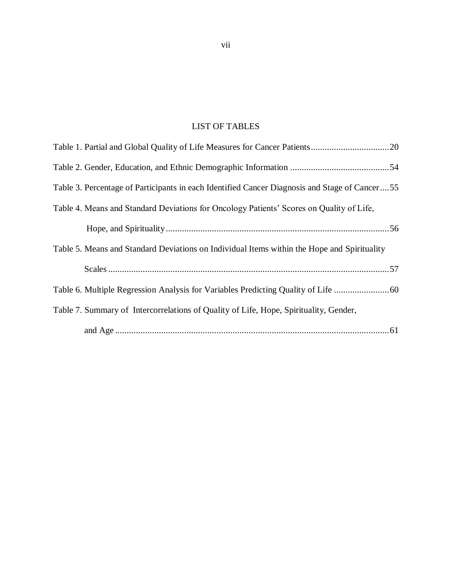# <span id="page-7-0"></span>LIST OF TABLES

| Table 3. Percentage of Participants in each Identified Cancer Diagnosis and Stage of Cancer55 |
|-----------------------------------------------------------------------------------------------|
| Table 4. Means and Standard Deviations for Oncology Patients' Scores on Quality of Life,      |
|                                                                                               |
| Table 5. Means and Standard Deviations on Individual Items within the Hope and Spirituality   |
|                                                                                               |
|                                                                                               |
| Table 7. Summary of Intercorrelations of Quality of Life, Hope, Spirituality, Gender,         |
|                                                                                               |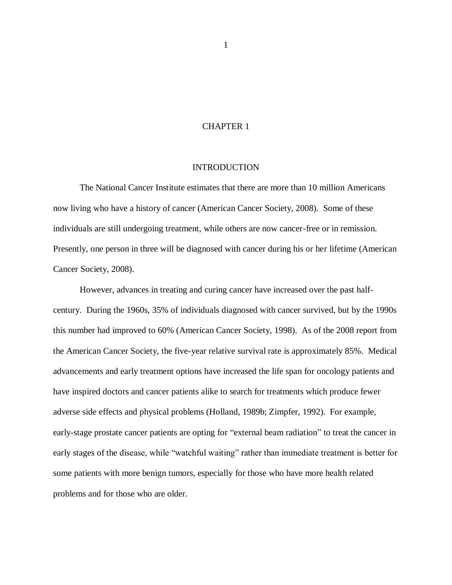## CHAPTER 1

#### INTRODUCTION

The National Cancer Institute estimates that there are more than 10 million Americans now living who have a history of cancer (American Cancer Society, 2008). Some of these individuals are still undergoing treatment, while others are now cancer-free or in remission. Presently, one person in three will be diagnosed with cancer during his or her lifetime (American Cancer Society, 2008).

However, advances in treating and curing cancer have increased over the past halfcentury. During the 1960s, 35% of individuals diagnosed with cancer survived, but by the 1990s this number had improved to 60% (American Cancer Society, 1998). As of the 2008 report from the American Cancer Society, the five-year relative survival rate is approximately 85%. Medical advancements and early treatment options have increased the life span for oncology patients and have inspired doctors and cancer patients alike to search for treatments which produce fewer adverse side effects and physical problems (Holland, 1989b; Zimpfer, 1992). For example, early-stage prostate cancer patients are opting for "external beam radiation" to treat the cancer in early stages of the disease, while "watchful waiting" rather than immediate treatment is better for some patients with more benign tumors, especially for those who have more health related problems and for those who are older.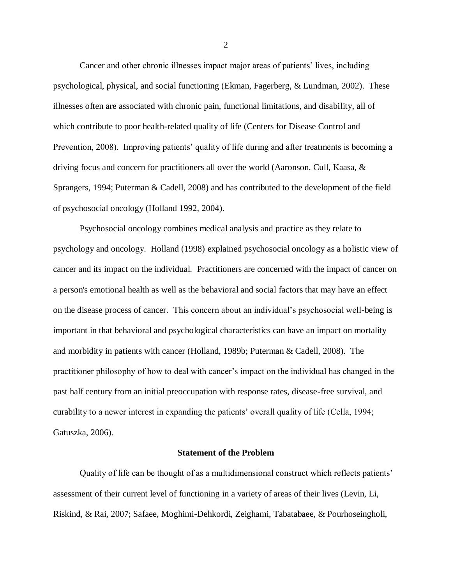Cancer and other chronic illnesses impact major areas of patients' lives, including psychological, physical, and social functioning (Ekman, Fagerberg, & Lundman, 2002). These illnesses often are associated with chronic pain, functional limitations, and disability, all of which contribute to poor health-related quality of life (Centers for Disease Control and Prevention, 2008). Improving patients' quality of life during and after treatments is becoming a driving focus and concern for practitioners all over the world (Aaronson, Cull, Kaasa, & Sprangers, 1994; Puterman & Cadell, 2008) and has contributed to the development of the field of psychosocial oncology (Holland 1992, 2004).

Psychosocial oncology combines medical analysis and practice as they relate to psychology and oncology. Holland (1998) explained psychosocial oncology as a holistic view of cancer and its impact on the individual. Practitioners are concerned with the impact of cancer on a person's emotional health as well as the behavioral and social factors that may have an effect on the disease process of cancer. This concern about an individual's psychosocial well-being is important in that behavioral and psychological characteristics can have an impact on mortality and morbidity in patients with cancer (Holland, 1989b; Puterman & Cadell, 2008). The practitioner philosophy of how to deal with cancer's impact on the individual has changed in the past half century from an initial preoccupation with response rates, disease-free survival, and curability to a newer interest in expanding the patients' overall quality of life (Cella, 1994; Gatuszka, 2006).

#### **Statement of the Problem**

Quality of life can be thought of as a multidimensional construct which reflects patients' assessment of their current level of functioning in a variety of areas of their lives (Levin, Li, Riskind, & Rai, 2007; Safaee, Moghimi-Dehkordi, Zeighami, Tabatabaee, & Pourhoseingholi,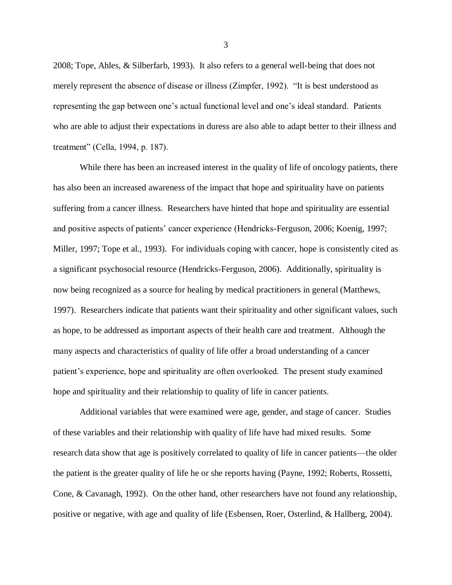2008; Tope, Ahles, & Silberfarb, 1993). It also refers to a general well-being that does not merely represent the absence of disease or illness (Zimpfer, 1992). "It is best understood as representing the gap between one's actual functional level and one's ideal standard. Patients who are able to adjust their expectations in duress are also able to adapt better to their illness and treatment‖ (Cella, 1994, p. 187).

While there has been an increased interest in the quality of life of oncology patients, there has also been an increased awareness of the impact that hope and spirituality have on patients suffering from a cancer illness. Researchers have hinted that hope and spirituality are essential and positive aspects of patients' cancer experience (Hendricks-Ferguson, 2006; Koenig, 1997; Miller, 1997; Tope et al., 1993). For individuals coping with cancer, hope is consistently cited as a significant psychosocial resource (Hendricks-Ferguson, 2006). Additionally, spirituality is now being recognized as a source for healing by medical practitioners in general (Matthews, 1997). Researchers indicate that patients want their spirituality and other significant values, such as hope, to be addressed as important aspects of their health care and treatment. Although the many aspects and characteristics of quality of life offer a broad understanding of a cancer patient's experience, hope and spirituality are often overlooked. The present study examined hope and spirituality and their relationship to quality of life in cancer patients.

Additional variables that were examined were age, gender, and stage of cancer. Studies of these variables and their relationship with quality of life have had mixed results. Some research data show that age is positively correlated to quality of life in cancer patients—the older the patient is the greater quality of life he or she reports having (Payne, 1992; Roberts, Rossetti, Cone, & Cavanagh, 1992). On the other hand, other researchers have not found any relationship, positive or negative, with age and quality of life (Esbensen, Roer, Osterlind, & Hallberg, 2004).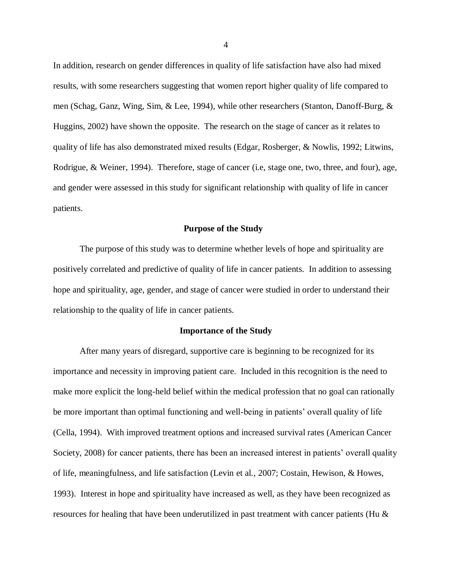In addition, research on gender differences in quality of life satisfaction have also had mixed results, with some researchers suggesting that women report higher quality of life compared to men (Schag, Ganz, Wing, Sim, & Lee, 1994), while other researchers (Stanton, Danoff-Burg, & Huggins, 2002) have shown the opposite. The research on the stage of cancer as it relates to quality of life has also demonstrated mixed results (Edgar, Rosberger, & Nowlis, 1992; Litwins, Rodrigue, & Weiner, 1994). Therefore, stage of cancer (i.e, stage one, two, three, and four), age, and gender were assessed in this study for significant relationship with quality of life in cancer patients.

#### **Purpose of the Study**

The purpose of this study was to determine whether levels of hope and spirituality are positively correlated and predictive of quality of life in cancer patients. In addition to assessing hope and spirituality, age, gender, and stage of cancer were studied in order to understand their relationship to the quality of life in cancer patients.

#### **Importance of the Study**

After many years of disregard, supportive care is beginning to be recognized for its importance and necessity in improving patient care. Included in this recognition is the need to make more explicit the long-held belief within the medical profession that no goal can rationally be more important than optimal functioning and well-being in patients' overall quality of life (Cella, 1994). With improved treatment options and increased survival rates (American Cancer Society, 2008) for cancer patients, there has been an increased interest in patients' overall quality of life, meaningfulness, and life satisfaction (Levin et al., 2007; Costain, Hewison, & Howes, 1993). Interest in hope and spirituality have increased as well, as they have been recognized as resources for healing that have been underutilized in past treatment with cancer patients (Hu &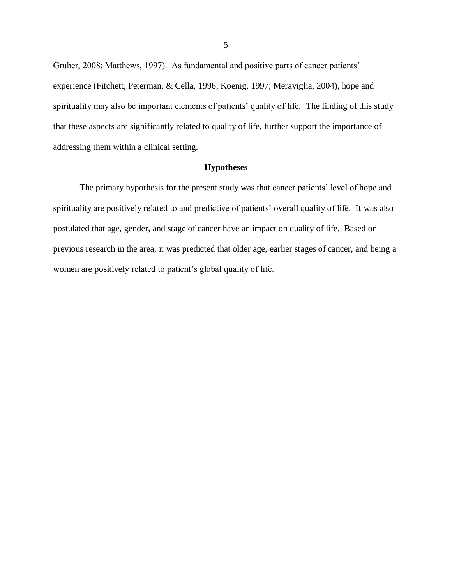Gruber, 2008; Matthews, 1997). As fundamental and positive parts of cancer patients' experience (Fitchett, Peterman, & Cella, 1996; Koenig, 1997; Meraviglia, 2004), hope and spirituality may also be important elements of patients' quality of life. The finding of this study that these aspects are significantly related to quality of life, further support the importance of addressing them within a clinical setting.

#### **Hypotheses**

The primary hypothesis for the present study was that cancer patients' level of hope and spirituality are positively related to and predictive of patients' overall quality of life. It was also postulated that age, gender, and stage of cancer have an impact on quality of life. Based on previous research in the area, it was predicted that older age, earlier stages of cancer, and being a women are positively related to patient's global quality of life.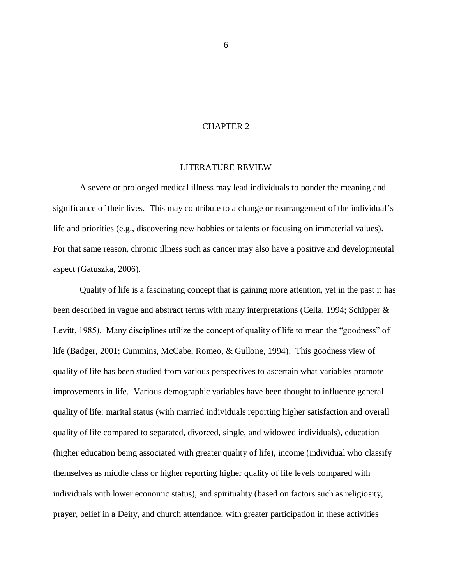## CHAPTER 2

#### LITERATURE REVIEW

<span id="page-13-0"></span>A severe or prolonged medical illness may lead individuals to ponder the meaning and significance of their lives. This may contribute to a change or rearrangement of the individual's life and priorities (e.g., discovering new hobbies or talents or focusing on immaterial values). For that same reason, chronic illness such as cancer may also have a positive and developmental aspect (Gatuszka, 2006).

Quality of life is a fascinating concept that is gaining more attention, yet in the past it has been described in vague and abstract terms with many interpretations (Cella, 1994; Schipper & Levitt, 1985). Many disciplines utilize the concept of quality of life to mean the "goodness" of life (Badger, 2001; Cummins, McCabe, Romeo, & Gullone, 1994). This goodness view of quality of life has been studied from various perspectives to ascertain what variables promote improvements in life. Various demographic variables have been thought to influence general quality of life: marital status (with married individuals reporting higher satisfaction and overall quality of life compared to separated, divorced, single, and widowed individuals), education (higher education being associated with greater quality of life), income (individual who classify themselves as middle class or higher reporting higher quality of life levels compared with individuals with lower economic status), and spirituality (based on factors such as religiosity, prayer, belief in a Deity, and church attendance, with greater participation in these activities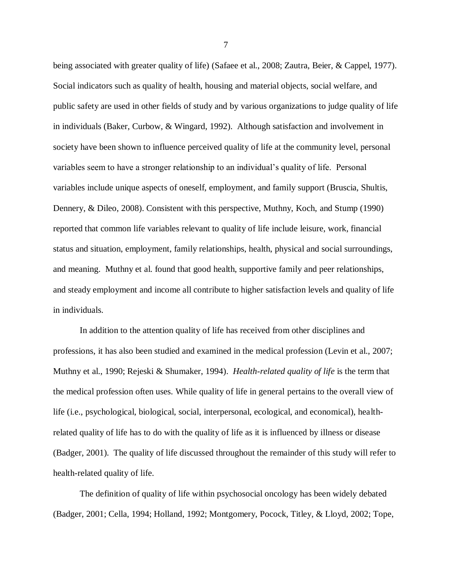being associated with greater quality of life) (Safaee et al., 2008; Zautra, Beier, & Cappel, 1977). Social indicators such as quality of health, housing and material objects, social welfare, and public safety are used in other fields of study and by various organizations to judge quality of life in individuals (Baker, Curbow, & Wingard, 1992). Although satisfaction and involvement in society have been shown to influence perceived quality of life at the community level, personal variables seem to have a stronger relationship to an individual's quality of life. Personal variables include unique aspects of oneself, employment, and family support (Bruscia, Shultis, Dennery, & Dileo, 2008). Consistent with this perspective, Muthny, Koch, and Stump (1990) reported that common life variables relevant to quality of life include leisure, work, financial status and situation, employment, family relationships, health, physical and social surroundings, and meaning. Muthny et al. found that good health, supportive family and peer relationships, and steady employment and income all contribute to higher satisfaction levels and quality of life in individuals.

In addition to the attention quality of life has received from other disciplines and professions, it has also been studied and examined in the medical profession (Levin et al., 2007; Muthny et al., 1990; Rejeski & Shumaker, 1994). *Health-related quality of life* is the term that the medical profession often uses. While quality of life in general pertains to the overall view of life (i.e., psychological, biological, social, interpersonal, ecological, and economical), healthrelated quality of life has to do with the quality of life as it is influenced by illness or disease (Badger, 2001). The quality of life discussed throughout the remainder of this study will refer to health-related quality of life.

The definition of quality of life within psychosocial oncology has been widely debated (Badger, 2001; Cella, 1994; Holland, 1992; Montgomery, Pocock, Titley, & Lloyd, 2002; Tope,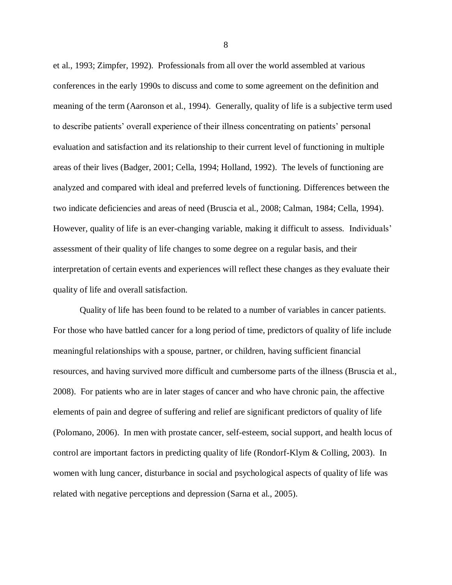et al., 1993; Zimpfer, 1992). Professionals from all over the world assembled at various conferences in the early 1990s to discuss and come to some agreement on the definition and meaning of the term (Aaronson et al., 1994). Generally, quality of life is a subjective term used to describe patients' overall experience of their illness concentrating on patients' personal evaluation and satisfaction and its relationship to their current level of functioning in multiple areas of their lives (Badger, 2001; Cella, 1994; Holland, 1992). The levels of functioning are analyzed and compared with ideal and preferred levels of functioning. Differences between the two indicate deficiencies and areas of need (Bruscia et al., 2008; Calman, 1984; Cella, 1994). However, quality of life is an ever-changing variable, making it difficult to assess. Individuals' assessment of their quality of life changes to some degree on a regular basis, and their interpretation of certain events and experiences will reflect these changes as they evaluate their quality of life and overall satisfaction.

Quality of life has been found to be related to a number of variables in cancer patients. For those who have battled cancer for a long period of time, predictors of quality of life include meaningful relationships with a spouse, partner, or children, having sufficient financial resources, and having survived more difficult and cumbersome parts of the illness (Bruscia et al., 2008). For patients who are in later stages of cancer and who have chronic pain, the affective elements of pain and degree of suffering and relief are significant predictors of quality of life (Polomano, 2006). In men with prostate cancer, self-esteem, social support, and health locus of control are important factors in predicting quality of life (Rondorf-Klym & Colling, 2003). In women with lung cancer, disturbance in social and psychological aspects of quality of life was related with negative perceptions and depression (Sarna et al., 2005).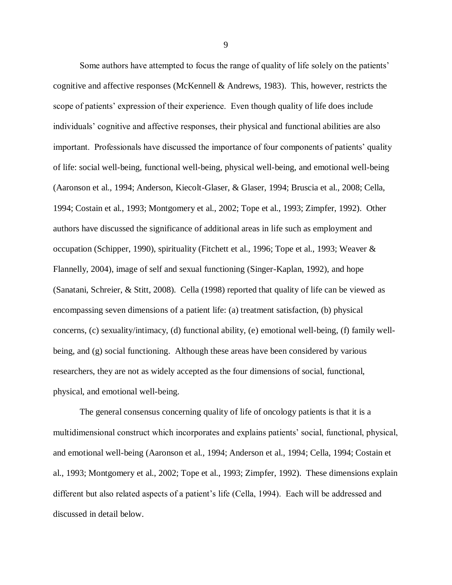Some authors have attempted to focus the range of quality of life solely on the patients' cognitive and affective responses (McKennell & Andrews, 1983). This, however, restricts the scope of patients' expression of their experience. Even though quality of life does include individuals' cognitive and affective responses, their physical and functional abilities are also important. Professionals have discussed the importance of four components of patients' quality of life: social well-being, functional well-being, physical well-being, and emotional well-being (Aaronson et al., 1994; Anderson, Kiecolt-Glaser, & Glaser, 1994; Bruscia et al., 2008; Cella, 1994; Costain et al., 1993; Montgomery et al., 2002; Tope et al., 1993; Zimpfer, 1992). Other authors have discussed the significance of additional areas in life such as employment and occupation (Schipper, 1990), spirituality (Fitchett et al., 1996; Tope et al., 1993; Weaver & Flannelly, 2004), image of self and sexual functioning (Singer-Kaplan, 1992), and hope (Sanatani, Schreier, & Stitt, 2008). Cella (1998) reported that quality of life can be viewed as encompassing seven dimensions of a patient life: (a) treatment satisfaction, (b) physical concerns, (c) sexuality/intimacy, (d) functional ability, (e) emotional well-being, (f) family wellbeing, and (g) social functioning. Although these areas have been considered by various researchers, they are not as widely accepted as the four dimensions of social, functional, physical, and emotional well-being.

The general consensus concerning quality of life of oncology patients is that it is a multidimensional construct which incorporates and explains patients' social, functional, physical, and emotional well-being (Aaronson et al., 1994; Anderson et al., 1994; Cella, 1994; Costain et al., 1993; Montgomery et al., 2002; Tope et al., 1993; Zimpfer, 1992). These dimensions explain different but also related aspects of a patient's life (Cella, 1994). Each will be addressed and discussed in detail below.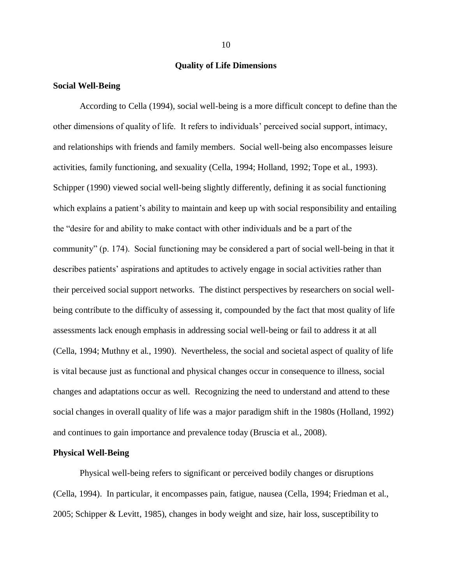### **Quality of Life Dimensions**

#### **Social Well-Being**

According to Cella (1994), social well-being is a more difficult concept to define than the other dimensions of quality of life. It refers to individuals' perceived social support, intimacy, and relationships with friends and family members. Social well-being also encompasses leisure activities, family functioning, and sexuality (Cella, 1994; Holland, 1992; Tope et al., 1993). Schipper (1990) viewed social well-being slightly differently, defining it as social functioning which explains a patient's ability to maintain and keep up with social responsibility and entailing the "desire for and ability to make contact with other individuals and be a part of the community" (p. 174). Social functioning may be considered a part of social well-being in that it describes patients' aspirations and aptitudes to actively engage in social activities rather than their perceived social support networks. The distinct perspectives by researchers on social wellbeing contribute to the difficulty of assessing it, compounded by the fact that most quality of life assessments lack enough emphasis in addressing social well-being or fail to address it at all (Cella, 1994; Muthny et al., 1990). Nevertheless, the social and societal aspect of quality of life is vital because just as functional and physical changes occur in consequence to illness, social changes and adaptations occur as well. Recognizing the need to understand and attend to these social changes in overall quality of life was a major paradigm shift in the 1980s (Holland, 1992) and continues to gain importance and prevalence today (Bruscia et al., 2008).

#### **Physical Well-Being**

Physical well-being refers to significant or perceived bodily changes or disruptions (Cella, 1994). In particular, it encompasses pain, fatigue, nausea (Cella, 1994; Friedman et al., 2005; Schipper & Levitt, 1985), changes in body weight and size, hair loss, susceptibility to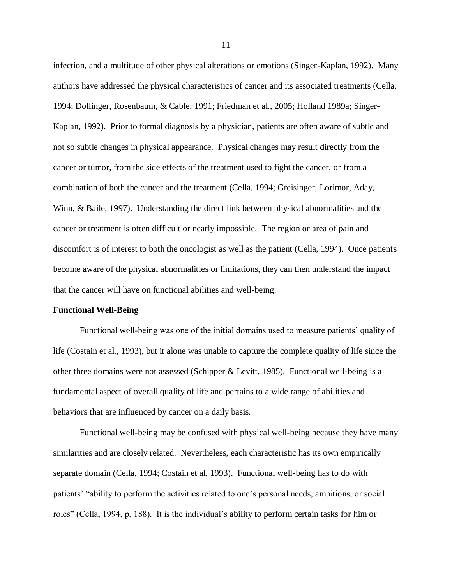infection, and a multitude of other physical alterations or emotions (Singer-Kaplan, 1992). Many authors have addressed the physical characteristics of cancer and its associated treatments (Cella, 1994; Dollinger, Rosenbaum, & Cable, 1991; Friedman et al., 2005; Holland 1989a; Singer-Kaplan, 1992). Prior to formal diagnosis by a physician, patients are often aware of subtle and not so subtle changes in physical appearance. Physical changes may result directly from the cancer or tumor, from the side effects of the treatment used to fight the cancer, or from a combination of both the cancer and the treatment (Cella, 1994; Greisinger, Lorimor, Aday, Winn, & Baile, 1997). Understanding the direct link between physical abnormalities and the cancer or treatment is often difficult or nearly impossible. The region or area of pain and discomfort is of interest to both the oncologist as well as the patient (Cella, 1994). Once patients become aware of the physical abnormalities or limitations, they can then understand the impact that the cancer will have on functional abilities and well-being.

#### **Functional Well-Being**

Functional well-being was one of the initial domains used to measure patients' quality of life (Costain et al., 1993), but it alone was unable to capture the complete quality of life since the other three domains were not assessed (Schipper & Levitt, 1985). Functional well-being is a fundamental aspect of overall quality of life and pertains to a wide range of abilities and behaviors that are influenced by cancer on a daily basis.

Functional well-being may be confused with physical well-being because they have many similarities and are closely related. Nevertheless, each characteristic has its own empirically separate domain (Cella, 1994; Costain et al, 1993). Functional well-being has to do with patients' "ability to perform the activities related to one's personal needs, ambitions, or social roles" (Cella, 1994, p. 188). It is the individual's ability to perform certain tasks for him or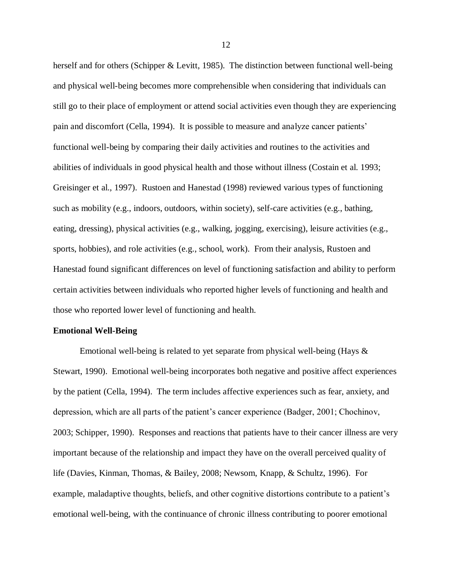herself and for others (Schipper & Levitt, 1985). The distinction between functional well-being and physical well-being becomes more comprehensible when considering that individuals can still go to their place of employment or attend social activities even though they are experiencing pain and discomfort (Cella, 1994). It is possible to measure and analyze cancer patients' functional well-being by comparing their daily activities and routines to the activities and abilities of individuals in good physical health and those without illness (Costain et al. 1993; Greisinger et al., 1997). Rustoen and Hanestad (1998) reviewed various types of functioning such as mobility (e.g., indoors, outdoors, within society), self-care activities (e.g., bathing, eating, dressing), physical activities (e.g., walking, jogging, exercising), leisure activities (e.g., sports, hobbies), and role activities (e.g., school, work). From their analysis, Rustoen and Hanestad found significant differences on level of functioning satisfaction and ability to perform certain activities between individuals who reported higher levels of functioning and health and those who reported lower level of functioning and health.

#### **Emotional Well-Being**

Emotional well-being is related to yet separate from physical well-being (Hays & Stewart, 1990). Emotional well-being incorporates both negative and positive affect experiences by the patient (Cella, 1994). The term includes affective experiences such as fear, anxiety, and depression, which are all parts of the patient's cancer experience (Badger, 2001; Chochinov, 2003; Schipper, 1990). Responses and reactions that patients have to their cancer illness are very important because of the relationship and impact they have on the overall perceived quality of life (Davies, Kinman, Thomas, & Bailey, 2008; Newsom, Knapp, & Schultz, 1996). For example, maladaptive thoughts, beliefs, and other cognitive distortions contribute to a patient's emotional well-being, with the continuance of chronic illness contributing to poorer emotional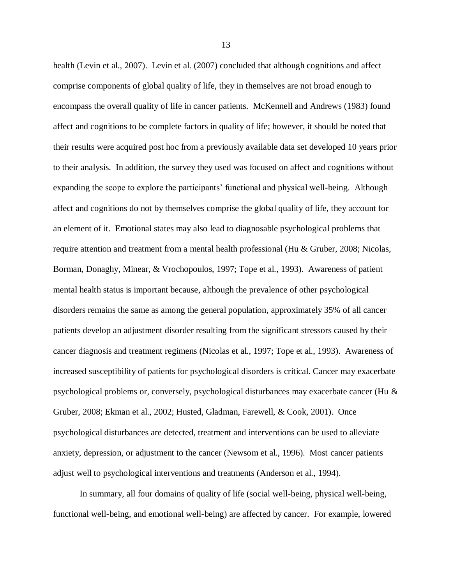health (Levin et al., 2007). Levin et al. (2007) concluded that although cognitions and affect comprise components of global quality of life, they in themselves are not broad enough to encompass the overall quality of life in cancer patients. McKennell and Andrews (1983) found affect and cognitions to be complete factors in quality of life; however, it should be noted that their results were acquired post hoc from a previously available data set developed 10 years prior to their analysis. In addition, the survey they used was focused on affect and cognitions without expanding the scope to explore the participants' functional and physical well-being. Although affect and cognitions do not by themselves comprise the global quality of life, they account for an element of it. Emotional states may also lead to diagnosable psychological problems that require attention and treatment from a mental health professional (Hu & Gruber, 2008; Nicolas, Borman, Donaghy, Minear, & Vrochopoulos, 1997; Tope et al., 1993). Awareness of patient mental health status is important because, although the prevalence of other psychological disorders remains the same as among the general population, approximately 35% of all cancer patients develop an adjustment disorder resulting from the significant stressors caused by their cancer diagnosis and treatment regimens (Nicolas et al., 1997; Tope et al., 1993). Awareness of increased susceptibility of patients for psychological disorders is critical. Cancer may exacerbate psychological problems or, conversely, psychological disturbances may exacerbate cancer (Hu & Gruber, 2008; Ekman et al., 2002; Husted, Gladman, Farewell, & Cook, 2001). Once psychological disturbances are detected, treatment and interventions can be used to alleviate anxiety, depression, or adjustment to the cancer (Newsom et al., 1996). Most cancer patients adjust well to psychological interventions and treatments (Anderson et al., 1994).

In summary, all four domains of quality of life (social well-being, physical well-being, functional well-being, and emotional well-being) are affected by cancer. For example, lowered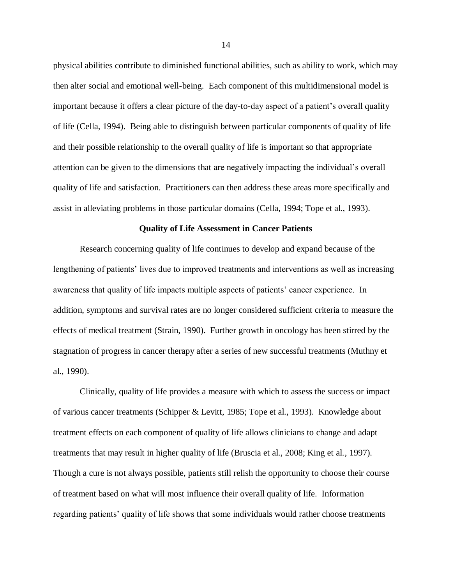physical abilities contribute to diminished functional abilities, such as ability to work, which may then alter social and emotional well-being. Each component of this multidimensional model is important because it offers a clear picture of the day-to-day aspect of a patient's overall quality of life (Cella, 1994). Being able to distinguish between particular components of quality of life and their possible relationship to the overall quality of life is important so that appropriate attention can be given to the dimensions that are negatively impacting the individual's overall quality of life and satisfaction. Practitioners can then address these areas more specifically and assist in alleviating problems in those particular domains (Cella, 1994; Tope et al., 1993).

#### **Quality of Life Assessment in Cancer Patients**

Research concerning quality of life continues to develop and expand because of the lengthening of patients' lives due to improved treatments and interventions as well as increasing awareness that quality of life impacts multiple aspects of patients' cancer experience. In addition, symptoms and survival rates are no longer considered sufficient criteria to measure the effects of medical treatment (Strain, 1990). Further growth in oncology has been stirred by the stagnation of progress in cancer therapy after a series of new successful treatments (Muthny et al., 1990).

Clinically, quality of life provides a measure with which to assess the success or impact of various cancer treatments (Schipper & Levitt, 1985; Tope et al., 1993). Knowledge about treatment effects on each component of quality of life allows clinicians to change and adapt treatments that may result in higher quality of life (Bruscia et al., 2008; King et al., 1997). Though a cure is not always possible, patients still relish the opportunity to choose their course of treatment based on what will most influence their overall quality of life. Information regarding patients' quality of life shows that some individuals would rather choose treatments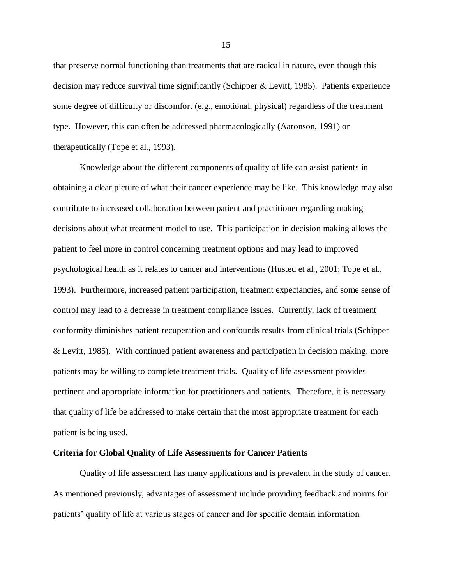that preserve normal functioning than treatments that are radical in nature, even though this decision may reduce survival time significantly (Schipper & Levitt, 1985). Patients experience some degree of difficulty or discomfort (e.g., emotional, physical) regardless of the treatment type. However, this can often be addressed pharmacologically (Aaronson, 1991) or therapeutically (Tope et al., 1993).

Knowledge about the different components of quality of life can assist patients in obtaining a clear picture of what their cancer experience may be like. This knowledge may also contribute to increased collaboration between patient and practitioner regarding making decisions about what treatment model to use. This participation in decision making allows the patient to feel more in control concerning treatment options and may lead to improved psychological health as it relates to cancer and interventions (Husted et al., 2001; Tope et al., 1993). Furthermore, increased patient participation, treatment expectancies, and some sense of control may lead to a decrease in treatment compliance issues. Currently, lack of treatment conformity diminishes patient recuperation and confounds results from clinical trials (Schipper & Levitt, 1985). With continued patient awareness and participation in decision making, more patients may be willing to complete treatment trials. Quality of life assessment provides pertinent and appropriate information for practitioners and patients. Therefore, it is necessary that quality of life be addressed to make certain that the most appropriate treatment for each patient is being used.

#### **Criteria for Global Quality of Life Assessments for Cancer Patients**

Quality of life assessment has many applications and is prevalent in the study of cancer. As mentioned previously, advantages of assessment include providing feedback and norms for patients' quality of life at various stages of cancer and for specific domain information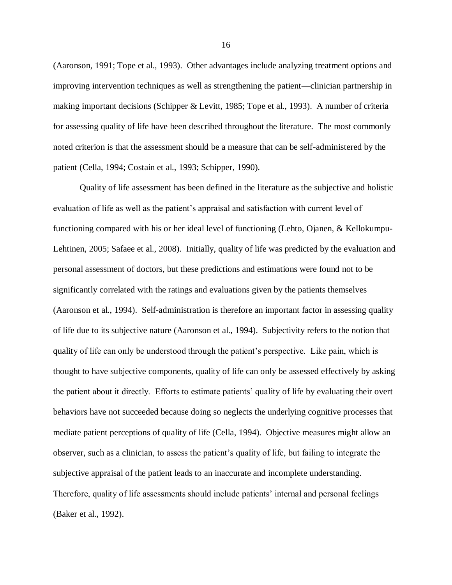(Aaronson, 1991; Tope et al., 1993). Other advantages include analyzing treatment options and improving intervention techniques as well as strengthening the patient—clinician partnership in making important decisions (Schipper & Levitt, 1985; Tope et al., 1993). A number of criteria for assessing quality of life have been described throughout the literature. The most commonly noted criterion is that the assessment should be a measure that can be self-administered by the patient (Cella, 1994; Costain et al., 1993; Schipper, 1990).

Quality of life assessment has been defined in the literature as the subjective and holistic evaluation of life as well as the patient's appraisal and satisfaction with current level of functioning compared with his or her ideal level of functioning (Lehto, Ojanen, & Kellokumpu-Lehtinen, 2005; Safaee et al., 2008). Initially, quality of life was predicted by the evaluation and personal assessment of doctors, but these predictions and estimations were found not to be significantly correlated with the ratings and evaluations given by the patients themselves (Aaronson et al., 1994). Self-administration is therefore an important factor in assessing quality of life due to its subjective nature (Aaronson et al., 1994). Subjectivity refers to the notion that quality of life can only be understood through the patient's perspective. Like pain, which is thought to have subjective components, quality of life can only be assessed effectively by asking the patient about it directly. Efforts to estimate patients' quality of life by evaluating their overt behaviors have not succeeded because doing so neglects the underlying cognitive processes that mediate patient perceptions of quality of life (Cella, 1994). Objective measures might allow an observer, such as a clinician, to assess the patient's quality of life, but failing to integrate the subjective appraisal of the patient leads to an inaccurate and incomplete understanding. Therefore, quality of life assessments should include patients' internal and personal feelings (Baker et al., 1992).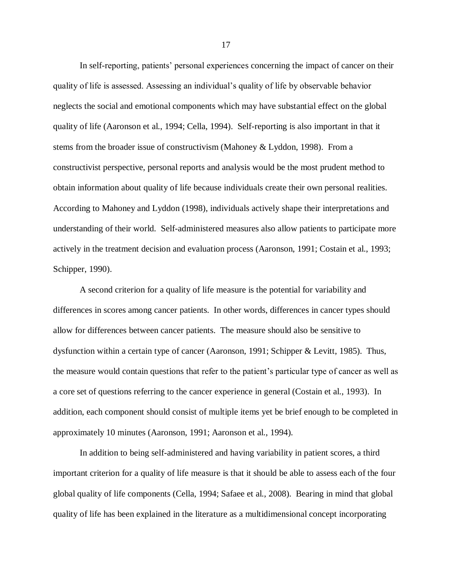In self-reporting, patients' personal experiences concerning the impact of cancer on their quality of life is assessed. Assessing an individual's quality of life by observable behavior neglects the social and emotional components which may have substantial effect on the global quality of life (Aaronson et al., 1994; Cella, 1994). Self-reporting is also important in that it stems from the broader issue of constructivism (Mahoney & Lyddon, 1998). From a constructivist perspective, personal reports and analysis would be the most prudent method to obtain information about quality of life because individuals create their own personal realities. According to Mahoney and Lyddon (1998), individuals actively shape their interpretations and understanding of their world. Self-administered measures also allow patients to participate more actively in the treatment decision and evaluation process (Aaronson, 1991; Costain et al., 1993; Schipper, 1990).

A second criterion for a quality of life measure is the potential for variability and differences in scores among cancer patients. In other words, differences in cancer types should allow for differences between cancer patients. The measure should also be sensitive to dysfunction within a certain type of cancer (Aaronson, 1991; Schipper & Levitt, 1985). Thus, the measure would contain questions that refer to the patient's particular type of cancer as well as a core set of questions referring to the cancer experience in general (Costain et al., 1993). In addition, each component should consist of multiple items yet be brief enough to be completed in approximately 10 minutes (Aaronson, 1991; Aaronson et al., 1994).

In addition to being self-administered and having variability in patient scores, a third important criterion for a quality of life measure is that it should be able to assess each of the four global quality of life components (Cella, 1994; Safaee et al., 2008). Bearing in mind that global quality of life has been explained in the literature as a multidimensional concept incorporating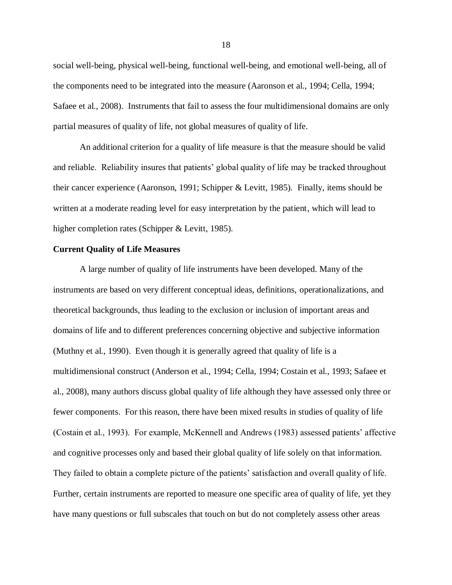social well-being, physical well-being, functional well-being, and emotional well-being, all of the components need to be integrated into the measure (Aaronson et al., 1994; Cella, 1994; Safaee et al., 2008). Instruments that fail to assess the four multidimensional domains are only partial measures of quality of life, not global measures of quality of life.

An additional criterion for a quality of life measure is that the measure should be valid and reliable. Reliability insures that patients' global quality of life may be tracked throughout their cancer experience (Aaronson, 1991; Schipper & Levitt, 1985). Finally, items should be written at a moderate reading level for easy interpretation by the patient, which will lead to higher completion rates (Schipper & Levitt, 1985).

## **Current Quality of Life Measures**

A large number of quality of life instruments have been developed. Many of the instruments are based on very different conceptual ideas, definitions, operationalizations, and theoretical backgrounds, thus leading to the exclusion or inclusion of important areas and domains of life and to different preferences concerning objective and subjective information (Muthny et al., 1990). Even though it is generally agreed that quality of life is a multidimensional construct (Anderson et al., 1994; Cella, 1994; Costain et al., 1993; Safaee et al., 2008), many authors discuss global quality of life although they have assessed only three or fewer components. For this reason, there have been mixed results in studies of quality of life (Costain et al., 1993). For example, McKennell and Andrews (1983) assessed patients' affective and cognitive processes only and based their global quality of life solely on that information. They failed to obtain a complete picture of the patients' satisfaction and overall quality of life. Further, certain instruments are reported to measure one specific area of quality of life, yet they have many questions or full subscales that touch on but do not completely assess other areas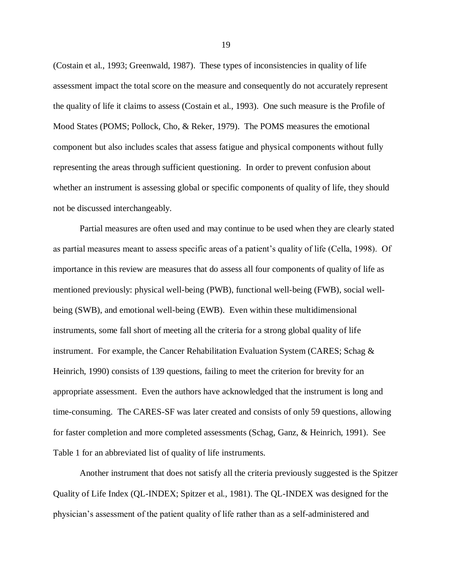(Costain et al., 1993; Greenwald, 1987). These types of inconsistencies in quality of life assessment impact the total score on the measure and consequently do not accurately represent the quality of life it claims to assess (Costain et al., 1993). One such measure is the Profile of Mood States (POMS; Pollock, Cho, & Reker, 1979). The POMS measures the emotional component but also includes scales that assess fatigue and physical components without fully representing the areas through sufficient questioning. In order to prevent confusion about whether an instrument is assessing global or specific components of quality of life, they should not be discussed interchangeably.

Partial measures are often used and may continue to be used when they are clearly stated as partial measures meant to assess specific areas of a patient's quality of life (Cella, 1998). Of importance in this review are measures that do assess all four components of quality of life as mentioned previously: physical well-being (PWB), functional well-being (FWB), social wellbeing (SWB), and emotional well-being (EWB). Even within these multidimensional instruments, some fall short of meeting all the criteria for a strong global quality of life instrument. For example, the Cancer Rehabilitation Evaluation System (CARES; Schag & Heinrich, 1990) consists of 139 questions, failing to meet the criterion for brevity for an appropriate assessment. Even the authors have acknowledged that the instrument is long and time-consuming. The CARES-SF was later created and consists of only 59 questions, allowing for faster completion and more completed assessments (Schag, Ganz, & Heinrich, 1991). See Table 1 for an abbreviated list of quality of life instruments.

Another instrument that does not satisfy all the criteria previously suggested is the Spitzer Quality of Life Index (QL-INDEX; Spitzer et al., 1981). The QL-INDEX was designed for the physician's assessment of the patient quality of life rather than as a self-administered and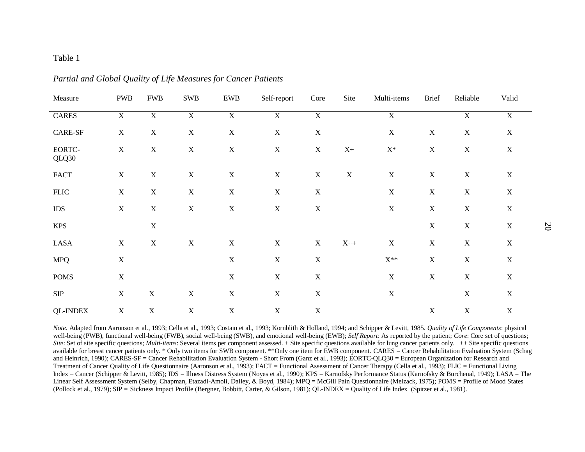## Table 1

| Measure          | <b>PWB</b>     | <b>FWB</b>     | <b>SWB</b>     | <b>EWB</b>     | Self-report    | Core           | Site           | Multi-items       | <b>Brief</b>              | Reliable       | Valid          |
|------------------|----------------|----------------|----------------|----------------|----------------|----------------|----------------|-------------------|---------------------------|----------------|----------------|
| <b>CARES</b>     | $\overline{X}$ | $\overline{X}$ | $\overline{X}$ | $\overline{X}$ | $\overline{X}$ | $\overline{X}$ |                | $\overline{X}$    |                           | $\overline{X}$ | $\overline{X}$ |
| $\mbox{CARE-SF}$ | X              | $\mathbf X$    | $\mathbf X$    | $\mathbf X$    | $\mathbf X$    | $\mathbf X$    |                | $\mathbf X$       | $\mathbf X$               | $\mathbf X$    | $\mathbf X$    |
| EORTC-<br>QLQ30  | $\mathbf X$    | $\mathbf X$    | $\mathbf X$    | $\mathbf X$    | $\mathbf X$    | $\mathbf X$    | $\mathbf{X}+$  | $\mathbf{X}^*$    | $\boldsymbol{\mathrm{X}}$ | $\mathbf X$    | X              |
| <b>FACT</b>      | $\mathbf X$    | $\mathbf X$    | $\mathbf X$    | $\mathbf X$    | $\mathbf X$    | $\mathbf X$    | $\mathbf X$    | $\mathbf X$       | $\mathbf X$               | $\mathbf X$    | X              |
| <b>FLIC</b>      | $\mathbf X$    | $\mathbf X$    | $\mathbf X$    | $\mathbf X$    | $\mathbf X$    | $\mathbf X$    |                | $\mathbf X$       | $\mathbf X$               | $\mathbf X$    | X              |
| $\rm{IDS}$       | $\mathbf X$    | $\mathbf X$    | $\mathbf X$    | $\mathbf X$    | $\mathbf X$    | $\mathbf X$    |                | $\mathbf X$       | $\mathbf X$               | $\mathbf X$    | X              |
| <b>KPS</b>       |                | $\mathbf X$    |                |                |                |                |                |                   | $\mathbf X$               | $\mathbf X$    | X              |
| <b>LASA</b>      | $\mathbf X$    | $\mathbf X$    | $\mathbf X$    | $\mathbf X$    | $\mathbf X$    | $\mathbf X$    | $\mathbf{X}++$ | $\mathbf X$       | $\mathbf X$               | $\mathbf X$    | $\mathbf X$    |
| <b>MPQ</b>       | $\mathbf X$    |                |                | $\mathbf X$    | $\mathbf X$    | $\mathbf X$    |                | $\mathbf{X}^{**}$ | $\mathbf X$               | $\mathbf X$    | $\mathbf X$    |
| <b>POMS</b>      | $\mathbf X$    |                |                | $\mathbf X$    | $\mathbf X$    | $\mathbf X$    |                | $\mathbf X$       | $\mathbf X$               | $\mathbf X$    | $\mathbf X$    |
| ${\rm SIP}$      | $\mathbf X$    | $\mathbf X$    | $\mathbf X$    | $\mathbf X$    | $\mathbf X$    | $\mathbf X$    |                | $\mathbf X$       |                           | $\mathbf X$    | $\mathbf X$    |
| <b>QL-INDEX</b>  | X              | $\mathbf X$    | $\mathbf X$    | $\mathbf X$    | $\mathbf X$    | $\mathbf X$    |                |                   | $\mathbf X$               | $\mathbf X$    | $\mathbf X$    |

*Partial and Global Quality of Life Measures for Cancer Patients*

*Note*. Adapted from Aaronson et al., 1993; Cella et al., 1993; Costain et al., 1993; Kornblith & Holland, 1994; and Schipper & Levitt, 1985. *Quality of Life Components*: physical well-being (PWB), functional well-being (FWB), social well-being (SWB), and emotional well-being (EWB); *Self Report*: As reported by the patient; *Core*: Core set of questions; *Site*: Set of site specific questions; *Multi-items*: Several items per component assessed. + Site specific questions available for lung cancer patients only. ++ Site specific questions available for breast cancer patients only. \* Only two items for SWB component. \*\*Only one item for EWB component. CARES = Cancer Rehabilitation Evaluation System (Schag and Heinrich, 1990); CARES-SF = Cancer Rehabilitation Evaluation System - Short From (Ganz et al., 1993); EORTC-QLQ30 = European Organization for Research and Treatment of Cancer Quality of Life Questionnaire (Aaronson et al., 1993); FACT = Functional Assessment of Cancer Therapy (Cella et al., 1993); FLIC = Functional Living Index – Cancer (Schipper & Levitt, 1985); IDS = Illness Distress System (Noyes et al., 1990); KPS = Karnofsky Performance Status (Karnofsky & Burchenal, 1949); LASA = The Linear Self Assessment System (Selby, Chapman, Etazadi-Amoli, Dalley, & Boyd, 1984); MPQ = McGill Pain Questionnaire (Melzack, 1975); POMS = Profile of Mood States (Pollock et al., 1979); SIP = Sickness Impact Profile (Bergner, Bobbitt, Carter, & Gilson, 1981); QL-INDEX = Quality of Life Index (Spitzer et al., 1981).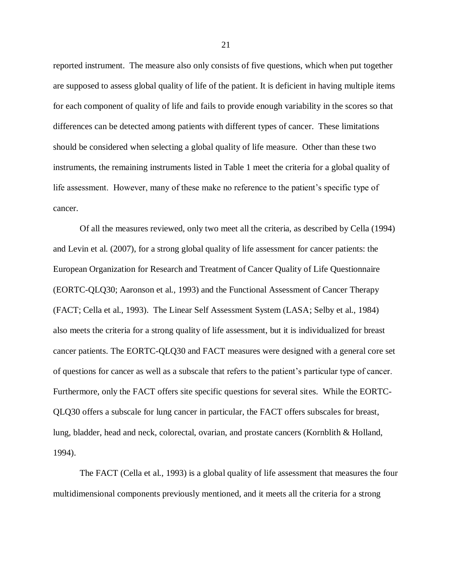reported instrument. The measure also only consists of five questions, which when put together are supposed to assess global quality of life of the patient. It is deficient in having multiple items for each component of quality of life and fails to provide enough variability in the scores so that differences can be detected among patients with different types of cancer. These limitations should be considered when selecting a global quality of life measure. Other than these two instruments, the remaining instruments listed in Table 1 meet the criteria for a global quality of life assessment. However, many of these make no reference to the patient's specific type of cancer.

Of all the measures reviewed, only two meet all the criteria, as described by Cella (1994) and Levin et al. (2007), for a strong global quality of life assessment for cancer patients: the European Organization for Research and Treatment of Cancer Quality of Life Questionnaire (EORTC-QLQ30; Aaronson et al., 1993) and the Functional Assessment of Cancer Therapy (FACT; Cella et al., 1993). The Linear Self Assessment System (LASA; Selby et al., 1984) also meets the criteria for a strong quality of life assessment, but it is individualized for breast cancer patients. The EORTC-QLQ30 and FACT measures were designed with a general core set of questions for cancer as well as a subscale that refers to the patient's particular type of cancer. Furthermore, only the FACT offers site specific questions for several sites. While the EORTC-QLQ30 offers a subscale for lung cancer in particular, the FACT offers subscales for breast, lung, bladder, head and neck, colorectal, ovarian, and prostate cancers (Kornblith & Holland, 1994).

The FACT (Cella et al., 1993) is a global quality of life assessment that measures the four multidimensional components previously mentioned, and it meets all the criteria for a strong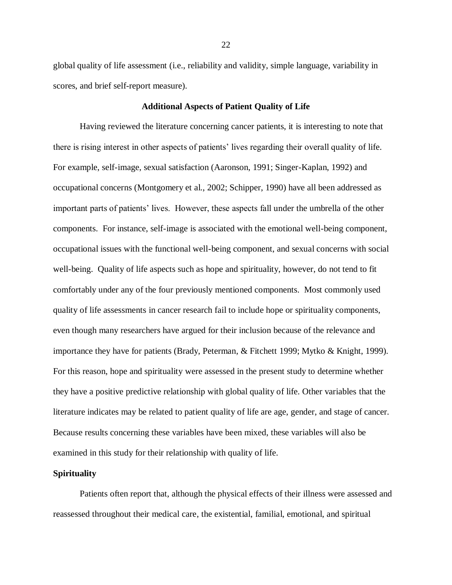global quality of life assessment (i.e., reliability and validity, simple language, variability in scores, and brief self-report measure).

## **Additional Aspects of Patient Quality of Life**

Having reviewed the literature concerning cancer patients, it is interesting to note that there is rising interest in other aspects of patients' lives regarding their overall quality of life. For example, self-image, sexual satisfaction (Aaronson, 1991; Singer-Kaplan, 1992) and occupational concerns (Montgomery et al., 2002; Schipper, 1990) have all been addressed as important parts of patients' lives. However, these aspects fall under the umbrella of the other components. For instance, self-image is associated with the emotional well-being component, occupational issues with the functional well-being component, and sexual concerns with social well-being. Quality of life aspects such as hope and spirituality, however, do not tend to fit comfortably under any of the four previously mentioned components. Most commonly used quality of life assessments in cancer research fail to include hope or spirituality components, even though many researchers have argued for their inclusion because of the relevance and importance they have for patients (Brady, Peterman, & Fitchett 1999; Mytko & Knight, 1999). For this reason, hope and spirituality were assessed in the present study to determine whether they have a positive predictive relationship with global quality of life. Other variables that the literature indicates may be related to patient quality of life are age, gender, and stage of cancer. Because results concerning these variables have been mixed, these variables will also be examined in this study for their relationship with quality of life.

#### **Spirituality**

Patients often report that, although the physical effects of their illness were assessed and reassessed throughout their medical care, the existential, familial, emotional, and spiritual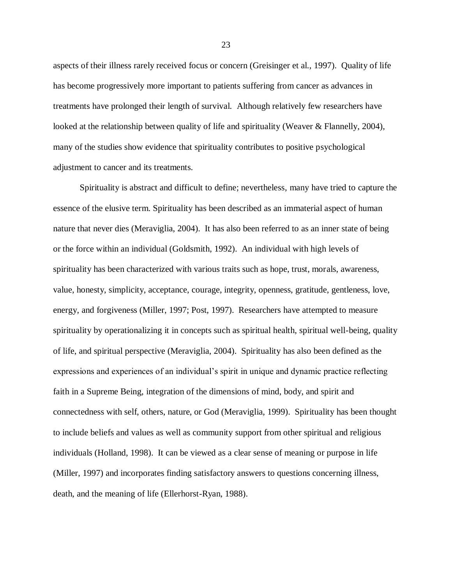aspects of their illness rarely received focus or concern (Greisinger et al., 1997). Quality of life has become progressively more important to patients suffering from cancer as advances in treatments have prolonged their length of survival. Although relatively few researchers have looked at the relationship between quality of life and spirituality (Weaver & Flannelly, 2004), many of the studies show evidence that spirituality contributes to positive psychological adjustment to cancer and its treatments.

Spirituality is abstract and difficult to define; nevertheless, many have tried to capture the essence of the elusive term. Spirituality has been described as an immaterial aspect of human nature that never dies (Meraviglia, 2004). It has also been referred to as an inner state of being or the force within an individual (Goldsmith, 1992). An individual with high levels of spirituality has been characterized with various traits such as hope, trust, morals, awareness, value, honesty, simplicity, acceptance, courage, integrity, openness, gratitude, gentleness, love, energy, and forgiveness (Miller, 1997; Post, 1997). Researchers have attempted to measure spirituality by operationalizing it in concepts such as spiritual health, spiritual well-being, quality of life, and spiritual perspective (Meraviglia, 2004). Spirituality has also been defined as the expressions and experiences of an individual's spirit in unique and dynamic practice reflecting faith in a Supreme Being, integration of the dimensions of mind, body, and spirit and connectedness with self, others, nature, or God (Meraviglia, 1999). Spirituality has been thought to include beliefs and values as well as community support from other spiritual and religious individuals (Holland, 1998). It can be viewed as a clear sense of meaning or purpose in life (Miller, 1997) and incorporates finding satisfactory answers to questions concerning illness, death, and the meaning of life (Ellerhorst-Ryan, 1988).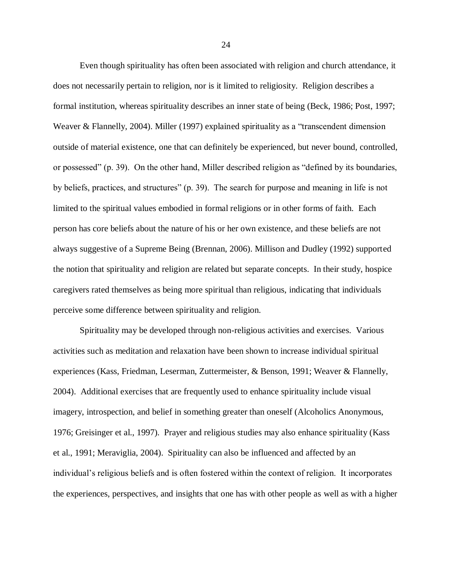Even though spirituality has often been associated with religion and church attendance, it does not necessarily pertain to religion, nor is it limited to religiosity. Religion describes a formal institution, whereas spirituality describes an inner state of being (Beck, 1986; Post, 1997; Weaver & Flannelly, 2004). Miller (1997) explained spirituality as a "transcendent dimension outside of material existence, one that can definitely be experienced, but never bound, controlled, or possessed" (p. 39). On the other hand, Miller described religion as "defined by its boundaries, by beliefs, practices, and structures" (p. 39). The search for purpose and meaning in life is not limited to the spiritual values embodied in formal religions or in other forms of faith. Each person has core beliefs about the nature of his or her own existence, and these beliefs are not always suggestive of a Supreme Being (Brennan, 2006). Millison and Dudley (1992) supported the notion that spirituality and religion are related but separate concepts. In their study, hospice caregivers rated themselves as being more spiritual than religious, indicating that individuals perceive some difference between spirituality and religion.

Spirituality may be developed through non-religious activities and exercises. Various activities such as meditation and relaxation have been shown to increase individual spiritual experiences (Kass, Friedman, Leserman, Zuttermeister, & Benson, 1991; Weaver & Flannelly, 2004). Additional exercises that are frequently used to enhance spirituality include visual imagery, introspection, and belief in something greater than oneself (Alcoholics Anonymous, 1976; Greisinger et al., 1997). Prayer and religious studies may also enhance spirituality (Kass et al., 1991; Meraviglia, 2004). Spirituality can also be influenced and affected by an individual's religious beliefs and is often fostered within the context of religion. It incorporates the experiences, perspectives, and insights that one has with other people as well as with a higher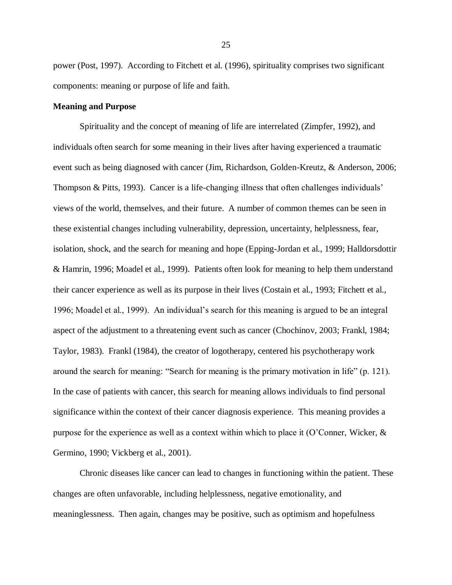power (Post, 1997). According to Fitchett et al. (1996), spirituality comprises two significant components: meaning or purpose of life and faith.

## **Meaning and Purpose**

Spirituality and the concept of meaning of life are interrelated (Zimpfer, 1992), and individuals often search for some meaning in their lives after having experienced a traumatic event such as being diagnosed with cancer (Jim, Richardson, Golden-Kreutz, & Anderson, 2006; Thompson & Pitts, 1993). Cancer is a life-changing illness that often challenges individuals' views of the world, themselves, and their future. A number of common themes can be seen in these existential changes including vulnerability, depression, uncertainty, helplessness, fear, isolation, shock, and the search for meaning and hope (Epping-Jordan et al., 1999; Halldorsdottir & Hamrin, 1996; Moadel et al., 1999). Patients often look for meaning to help them understand their cancer experience as well as its purpose in their lives (Costain et al., 1993; Fitchett et al., 1996; Moadel et al., 1999). An individual's search for this meaning is argued to be an integral aspect of the adjustment to a threatening event such as cancer (Chochinov, 2003; Frankl, 1984; Taylor, 1983). Frankl (1984), the creator of logotherapy, centered his psychotherapy work around the search for meaning: "Search for meaning is the primary motivation in life" (p. 121). In the case of patients with cancer, this search for meaning allows individuals to find personal significance within the context of their cancer diagnosis experience. This meaning provides a purpose for the experience as well as a context within which to place it (O'Conner, Wicker, & Germino, 1990; Vickberg et al., 2001).

Chronic diseases like cancer can lead to changes in functioning within the patient. These changes are often unfavorable, including helplessness, negative emotionality, and meaninglessness. Then again, changes may be positive, such as optimism and hopefulness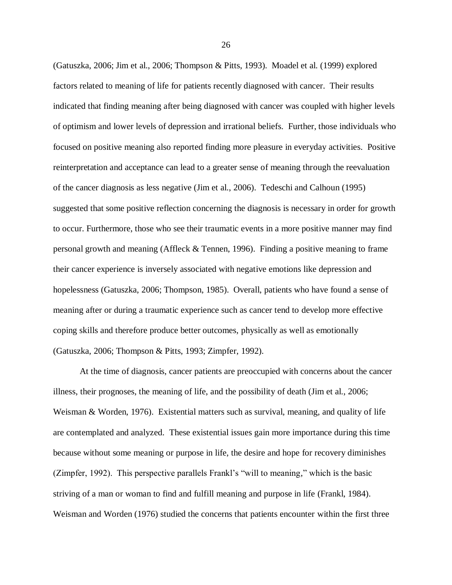(Gatuszka, 2006; Jim et al., 2006; Thompson & Pitts, 1993). Moadel et al. (1999) explored factors related to meaning of life for patients recently diagnosed with cancer. Their results indicated that finding meaning after being diagnosed with cancer was coupled with higher levels of optimism and lower levels of depression and irrational beliefs. Further, those individuals who focused on positive meaning also reported finding more pleasure in everyday activities. Positive reinterpretation and acceptance can lead to a greater sense of meaning through the reevaluation of the cancer diagnosis as less negative (Jim et al., 2006). Tedeschi and Calhoun (1995) suggested that some positive reflection concerning the diagnosis is necessary in order for growth to occur. Furthermore, those who see their traumatic events in a more positive manner may find personal growth and meaning (Affleck & Tennen, 1996). Finding a positive meaning to frame their cancer experience is inversely associated with negative emotions like depression and hopelessness (Gatuszka, 2006; Thompson, 1985). Overall, patients who have found a sense of meaning after or during a traumatic experience such as cancer tend to develop more effective coping skills and therefore produce better outcomes, physically as well as emotionally (Gatuszka, 2006; Thompson & Pitts, 1993; Zimpfer, 1992).

At the time of diagnosis, cancer patients are preoccupied with concerns about the cancer illness, their prognoses, the meaning of life, and the possibility of death (Jim et al., 2006; Weisman & Worden, 1976). Existential matters such as survival, meaning, and quality of life are contemplated and analyzed. These existential issues gain more importance during this time because without some meaning or purpose in life, the desire and hope for recovery diminishes (Zimpfer, 1992). This perspective parallels Frankl's "will to meaning," which is the basic striving of a man or woman to find and fulfill meaning and purpose in life (Frankl, 1984). Weisman and Worden (1976) studied the concerns that patients encounter within the first three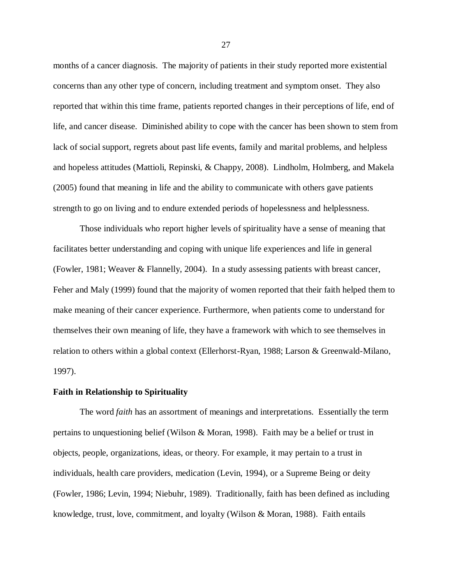months of a cancer diagnosis. The majority of patients in their study reported more existential concerns than any other type of concern, including treatment and symptom onset. They also reported that within this time frame, patients reported changes in their perceptions of life, end of life, and cancer disease. Diminished ability to cope with the cancer has been shown to stem from lack of social support, regrets about past life events, family and marital problems, and helpless and hopeless attitudes (Mattioli, Repinski, & Chappy, 2008). Lindholm, Holmberg, and Makela (2005) found that meaning in life and the ability to communicate with others gave patients strength to go on living and to endure extended periods of hopelessness and helplessness.

Those individuals who report higher levels of spirituality have a sense of meaning that facilitates better understanding and coping with unique life experiences and life in general (Fowler, 1981; Weaver & Flannelly, 2004). In a study assessing patients with breast cancer, Feher and Maly (1999) found that the majority of women reported that their faith helped them to make meaning of their cancer experience. Furthermore, when patients come to understand for themselves their own meaning of life, they have a framework with which to see themselves in relation to others within a global context (Ellerhorst-Ryan, 1988; Larson & Greenwald-Milano, 1997).

#### **Faith in Relationship to Spirituality**

The word *faith* has an assortment of meanings and interpretations. Essentially the term pertains to unquestioning belief (Wilson & Moran, 1998). Faith may be a belief or trust in objects, people, organizations, ideas, or theory. For example, it may pertain to a trust in individuals, health care providers, medication (Levin, 1994), or a Supreme Being or deity (Fowler, 1986; Levin, 1994; Niebuhr, 1989). Traditionally, faith has been defined as including knowledge, trust, love, commitment, and loyalty (Wilson & Moran, 1988). Faith entails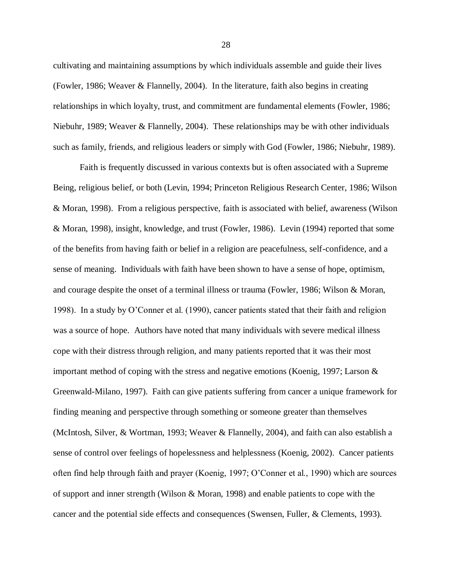cultivating and maintaining assumptions by which individuals assemble and guide their lives (Fowler, 1986; Weaver & Flannelly, 2004). In the literature, faith also begins in creating relationships in which loyalty, trust, and commitment are fundamental elements (Fowler, 1986; Niebuhr, 1989; Weaver & Flannelly, 2004). These relationships may be with other individuals such as family, friends, and religious leaders or simply with God (Fowler, 1986; Niebuhr, 1989).

Faith is frequently discussed in various contexts but is often associated with a Supreme Being, religious belief, or both (Levin, 1994; Princeton Religious Research Center, 1986; Wilson & Moran, 1998). From a religious perspective, faith is associated with belief, awareness (Wilson & Moran, 1998), insight, knowledge, and trust (Fowler, 1986). Levin (1994) reported that some of the benefits from having faith or belief in a religion are peacefulness, self-confidence, and a sense of meaning. Individuals with faith have been shown to have a sense of hope, optimism, and courage despite the onset of a terminal illness or trauma (Fowler, 1986; Wilson & Moran, 1998). In a study by O'Conner et al. (1990), cancer patients stated that their faith and religion was a source of hope. Authors have noted that many individuals with severe medical illness cope with their distress through religion, and many patients reported that it was their most important method of coping with the stress and negative emotions (Koenig, 1997; Larson & Greenwald-Milano, 1997). Faith can give patients suffering from cancer a unique framework for finding meaning and perspective through something or someone greater than themselves (McIntosh, Silver, & Wortman, 1993; Weaver & Flannelly, 2004), and faith can also establish a sense of control over feelings of hopelessness and helplessness (Koenig, 2002). Cancer patients often find help through faith and prayer (Koenig, 1997; O'Conner et al., 1990) which are sources of support and inner strength (Wilson & Moran, 1998) and enable patients to cope with the cancer and the potential side effects and consequences (Swensen, Fuller, & Clements, 1993).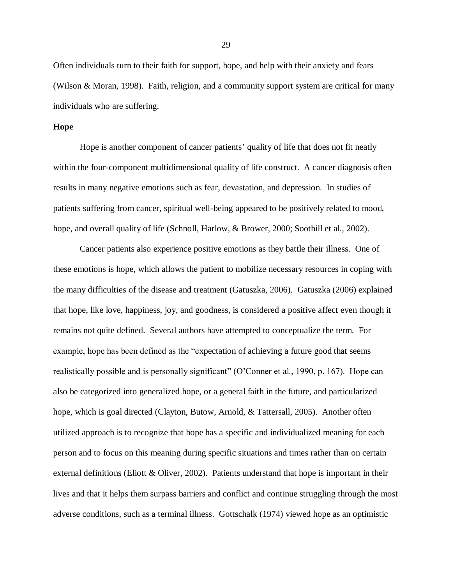Often individuals turn to their faith for support, hope, and help with their anxiety and fears (Wilson & Moran, 1998). Faith, religion, and a community support system are critical for many individuals who are suffering.

#### **Hope**

Hope is another component of cancer patients' quality of life that does not fit neatly within the four-component multidimensional quality of life construct. A cancer diagnosis often results in many negative emotions such as fear, devastation, and depression. In studies of patients suffering from cancer, spiritual well-being appeared to be positively related to mood, hope, and overall quality of life (Schnoll, Harlow, & Brower, 2000; Soothill et al., 2002).

Cancer patients also experience positive emotions as they battle their illness. One of these emotions is hope, which allows the patient to mobilize necessary resources in coping with the many difficulties of the disease and treatment (Gatuszka, 2006). Gatuszka (2006) explained that hope, like love, happiness, joy, and goodness, is considered a positive affect even though it remains not quite defined. Several authors have attempted to conceptualize the term. For example, hope has been defined as the "expectation of achieving a future good that seems realistically possible and is personally significant" (O'Conner et al., 1990, p. 167). Hope can also be categorized into generalized hope, or a general faith in the future, and particularized hope, which is goal directed (Clayton, Butow, Arnold, & Tattersall, 2005). Another often utilized approach is to recognize that hope has a specific and individualized meaning for each person and to focus on this meaning during specific situations and times rather than on certain external definitions (Eliott & Oliver, 2002). Patients understand that hope is important in their lives and that it helps them surpass barriers and conflict and continue struggling through the most adverse conditions, such as a terminal illness. Gottschalk (1974) viewed hope as an optimistic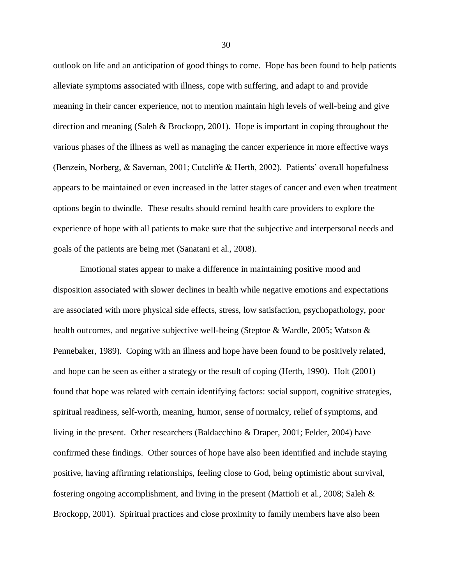outlook on life and an anticipation of good things to come. Hope has been found to help patients alleviate symptoms associated with illness, cope with suffering, and adapt to and provide meaning in their cancer experience, not to mention maintain high levels of well-being and give direction and meaning (Saleh & Brockopp, 2001). Hope is important in coping throughout the various phases of the illness as well as managing the cancer experience in more effective ways (Benzein, Norberg, & Saveman, 2001; Cutcliffe & Herth, 2002). Patients' overall hopefulness appears to be maintained or even increased in the latter stages of cancer and even when treatment options begin to dwindle. These results should remind health care providers to explore the experience of hope with all patients to make sure that the subjective and interpersonal needs and goals of the patients are being met (Sanatani et al., 2008).

Emotional states appear to make a difference in maintaining positive mood and disposition associated with slower declines in health while negative emotions and expectations are associated with more physical side effects, stress, low satisfaction, psychopathology, poor health outcomes, and negative subjective well-being (Steptoe & Wardle, 2005; Watson & Pennebaker, 1989). Coping with an illness and hope have been found to be positively related, and hope can be seen as either a strategy or the result of coping (Herth, 1990). Holt (2001) found that hope was related with certain identifying factors: social support, cognitive strategies, spiritual readiness, self-worth, meaning, humor, sense of normalcy, relief of symptoms, and living in the present. Other researchers (Baldacchino & Draper, 2001; Felder, 2004) have confirmed these findings. Other sources of hope have also been identified and include staying positive, having affirming relationships, feeling close to God, being optimistic about survival, fostering ongoing accomplishment, and living in the present (Mattioli et al., 2008; Saleh & Brockopp, 2001). Spiritual practices and close proximity to family members have also been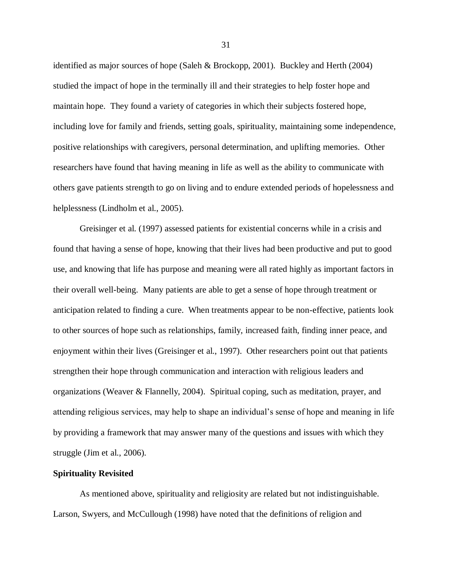identified as major sources of hope (Saleh & Brockopp, 2001). Buckley and Herth (2004) studied the impact of hope in the terminally ill and their strategies to help foster hope and maintain hope. They found a variety of categories in which their subjects fostered hope, including love for family and friends, setting goals, spirituality, maintaining some independence, positive relationships with caregivers, personal determination, and uplifting memories. Other researchers have found that having meaning in life as well as the ability to communicate with others gave patients strength to go on living and to endure extended periods of hopelessness and helplessness (Lindholm et al., 2005).

Greisinger et al. (1997) assessed patients for existential concerns while in a crisis and found that having a sense of hope, knowing that their lives had been productive and put to good use, and knowing that life has purpose and meaning were all rated highly as important factors in their overall well-being. Many patients are able to get a sense of hope through treatment or anticipation related to finding a cure. When treatments appear to be non-effective, patients look to other sources of hope such as relationships, family, increased faith, finding inner peace, and enjoyment within their lives (Greisinger et al., 1997). Other researchers point out that patients strengthen their hope through communication and interaction with religious leaders and organizations (Weaver & Flannelly, 2004). Spiritual coping, such as meditation, prayer, and attending religious services, may help to shape an individual's sense of hope and meaning in life by providing a framework that may answer many of the questions and issues with which they struggle (Jim et al., 2006).

# **Spirituality Revisited**

As mentioned above, spirituality and religiosity are related but not indistinguishable. Larson, Swyers, and McCullough (1998) have noted that the definitions of religion and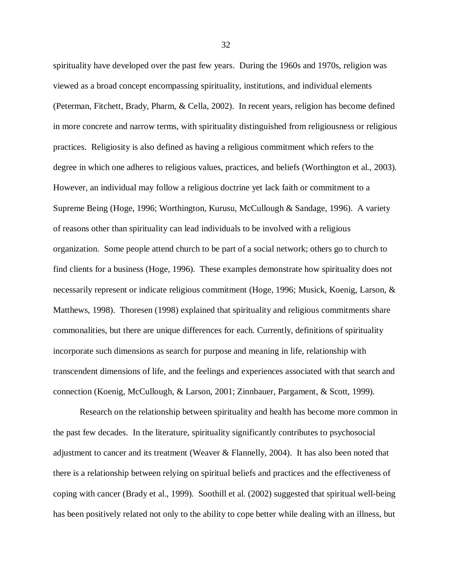spirituality have developed over the past few years. During the 1960s and 1970s, religion was viewed as a broad concept encompassing spirituality, institutions, and individual elements (Peterman, Fitchett, Brady, Pharm, & Cella, 2002). In recent years, religion has become defined in more concrete and narrow terms, with spirituality distinguished from religiousness or religious practices. Religiosity is also defined as having a religious commitment which refers to the degree in which one adheres to religious values, practices, and beliefs (Worthington et al., 2003). However, an individual may follow a religious doctrine yet lack faith or commitment to a Supreme Being (Hoge, 1996; Worthington, Kurusu, McCullough & Sandage, 1996). A variety of reasons other than spirituality can lead individuals to be involved with a religious organization. Some people attend church to be part of a social network; others go to church to find clients for a business (Hoge, 1996). These examples demonstrate how spirituality does not necessarily represent or indicate religious commitment (Hoge, 1996; Musick, Koenig, Larson, & Matthews, 1998). Thoresen (1998) explained that spirituality and religious commitments share commonalities, but there are unique differences for each. Currently, definitions of spirituality incorporate such dimensions as search for purpose and meaning in life, relationship with transcendent dimensions of life, and the feelings and experiences associated with that search and connection (Koenig, McCullough, & Larson, 2001; Zinnbauer, Pargament, & Scott, 1999).

Research on the relationship between spirituality and health has become more common in the past few decades. In the literature, spirituality significantly contributes to psychosocial adjustment to cancer and its treatment (Weaver & Flannelly, 2004). It has also been noted that there is a relationship between relying on spiritual beliefs and practices and the effectiveness of coping with cancer (Brady et al., 1999). Soothill et al. (2002) suggested that spiritual well-being has been positively related not only to the ability to cope better while dealing with an illness, but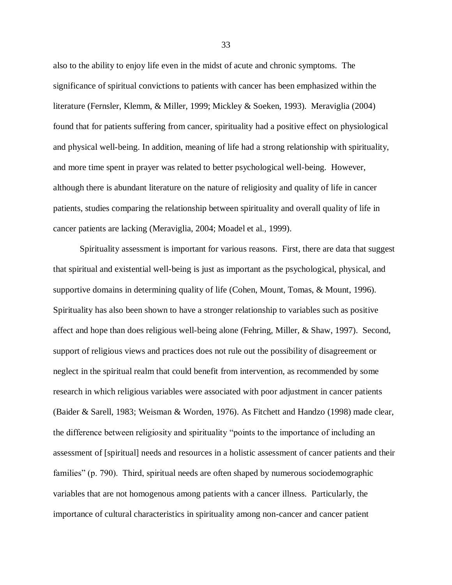also to the ability to enjoy life even in the midst of acute and chronic symptoms. The significance of spiritual convictions to patients with cancer has been emphasized within the literature (Fernsler, Klemm, & Miller, 1999; Mickley & Soeken, 1993). Meraviglia (2004) found that for patients suffering from cancer, spirituality had a positive effect on physiological and physical well-being. In addition, meaning of life had a strong relationship with spirituality, and more time spent in prayer was related to better psychological well-being. However, although there is abundant literature on the nature of religiosity and quality of life in cancer patients, studies comparing the relationship between spirituality and overall quality of life in cancer patients are lacking (Meraviglia, 2004; Moadel et al., 1999).

Spirituality assessment is important for various reasons. First, there are data that suggest that spiritual and existential well-being is just as important as the psychological, physical, and supportive domains in determining quality of life (Cohen, Mount, Tomas, & Mount, 1996). Spirituality has also been shown to have a stronger relationship to variables such as positive affect and hope than does religious well-being alone (Fehring, Miller, & Shaw, 1997). Second, support of religious views and practices does not rule out the possibility of disagreement or neglect in the spiritual realm that could benefit from intervention, as recommended by some research in which religious variables were associated with poor adjustment in cancer patients (Baider & Sarell, 1983; Weisman & Worden, 1976). As Fitchett and Handzo (1998) made clear, the difference between religiosity and spirituality "points to the importance of including an assessment of [spiritual] needs and resources in a holistic assessment of cancer patients and their families" (p. 790). Third, spiritual needs are often shaped by numerous sociodemographic variables that are not homogenous among patients with a cancer illness. Particularly, the importance of cultural characteristics in spirituality among non-cancer and cancer patient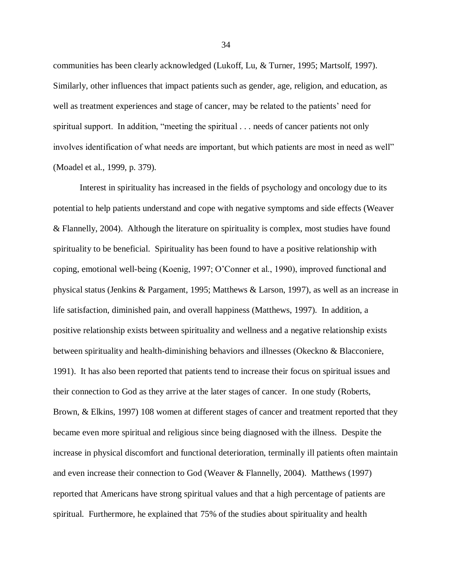communities has been clearly acknowledged (Lukoff, Lu, & Turner, 1995; Martsolf, 1997). Similarly, other influences that impact patients such as gender, age, religion, and education, as well as treatment experiences and stage of cancer, may be related to the patients' need for spiritual support. In addition, "meeting the spiritual . . . needs of cancer patients not only involves identification of what needs are important, but which patients are most in need as well" (Moadel et al., 1999, p. 379).

Interest in spirituality has increased in the fields of psychology and oncology due to its potential to help patients understand and cope with negative symptoms and side effects (Weaver & Flannelly, 2004). Although the literature on spirituality is complex, most studies have found spirituality to be beneficial. Spirituality has been found to have a positive relationship with coping, emotional well-being (Koenig, 1997; O'Conner et al., 1990), improved functional and physical status (Jenkins & Pargament, 1995; Matthews & Larson, 1997), as well as an increase in life satisfaction, diminished pain, and overall happiness (Matthews, 1997). In addition, a positive relationship exists between spirituality and wellness and a negative relationship exists between spirituality and health-diminishing behaviors and illnesses (Okeckno & Blacconiere, 1991). It has also been reported that patients tend to increase their focus on spiritual issues and their connection to God as they arrive at the later stages of cancer. In one study (Roberts, Brown, & Elkins, 1997) 108 women at different stages of cancer and treatment reported that they became even more spiritual and religious since being diagnosed with the illness. Despite the increase in physical discomfort and functional deterioration, terminally ill patients often maintain and even increase their connection to God (Weaver & Flannelly, 2004). Matthews (1997) reported that Americans have strong spiritual values and that a high percentage of patients are spiritual. Furthermore, he explained that 75% of the studies about spirituality and health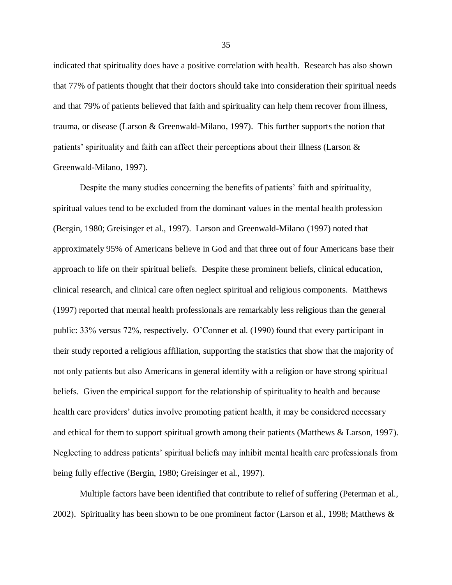indicated that spirituality does have a positive correlation with health. Research has also shown that 77% of patients thought that their doctors should take into consideration their spiritual needs and that 79% of patients believed that faith and spirituality can help them recover from illness, trauma, or disease (Larson & Greenwald-Milano, 1997). This further supports the notion that patients' spirituality and faith can affect their perceptions about their illness (Larson & Greenwald-Milano, 1997).

Despite the many studies concerning the benefits of patients' faith and spirituality, spiritual values tend to be excluded from the dominant values in the mental health profession (Bergin, 1980; Greisinger et al., 1997). Larson and Greenwald-Milano (1997) noted that approximately 95% of Americans believe in God and that three out of four Americans base their approach to life on their spiritual beliefs. Despite these prominent beliefs, clinical education, clinical research, and clinical care often neglect spiritual and religious components. Matthews (1997) reported that mental health professionals are remarkably less religious than the general public: 33% versus 72%, respectively. O'Conner et al. (1990) found that every participant in their study reported a religious affiliation, supporting the statistics that show that the majority of not only patients but also Americans in general identify with a religion or have strong spiritual beliefs. Given the empirical support for the relationship of spirituality to health and because health care providers' duties involve promoting patient health, it may be considered necessary and ethical for them to support spiritual growth among their patients (Matthews & Larson, 1997). Neglecting to address patients' spiritual beliefs may inhibit mental health care professionals from being fully effective (Bergin, 1980; Greisinger et al., 1997).

Multiple factors have been identified that contribute to relief of suffering (Peterman et al., 2002). Spirituality has been shown to be one prominent factor (Larson et al., 1998; Matthews  $\&$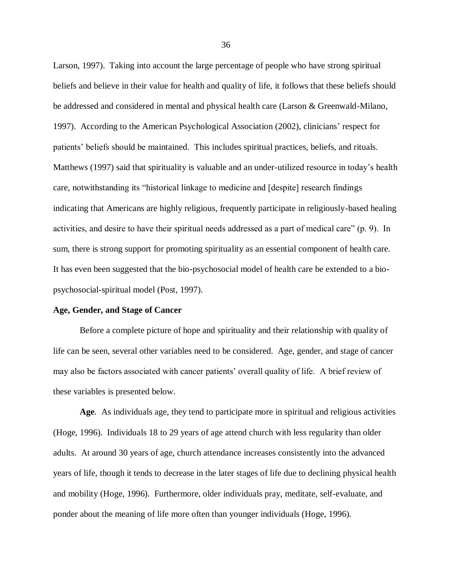Larson, 1997). Taking into account the large percentage of people who have strong spiritual beliefs and believe in their value for health and quality of life, it follows that these beliefs should be addressed and considered in mental and physical health care (Larson & Greenwald-Milano, 1997). According to the American Psychological Association (2002), clinicians' respect for patients' beliefs should be maintained. This includes spiritual practices, beliefs, and rituals. Matthews (1997) said that spirituality is valuable and an under-utilized resource in today's health care, notwithstanding its "historical linkage to medicine and [despite] research findings indicating that Americans are highly religious, frequently participate in religiously-based healing activities, and desire to have their spiritual needs addressed as a part of medical care" (p. 9). In sum, there is strong support for promoting spirituality as an essential component of health care. It has even been suggested that the bio-psychosocial model of health care be extended to a biopsychosocial-spiritual model (Post, 1997).

# **Age, Gender, and Stage of Cancer**

Before a complete picture of hope and spirituality and their relationship with quality of life can be seen, several other variables need to be considered. Age, gender, and stage of cancer may also be factors associated with cancer patients' overall quality of life. A brief review of these variables is presented below.

**Age***.* As individuals age, they tend to participate more in spiritual and religious activities (Hoge, 1996). Individuals 18 to 29 years of age attend church with less regularity than older adults. At around 30 years of age, church attendance increases consistently into the advanced years of life, though it tends to decrease in the later stages of life due to declining physical health and mobility (Hoge, 1996). Furthermore, older individuals pray, meditate, self-evaluate, and ponder about the meaning of life more often than younger individuals (Hoge, 1996).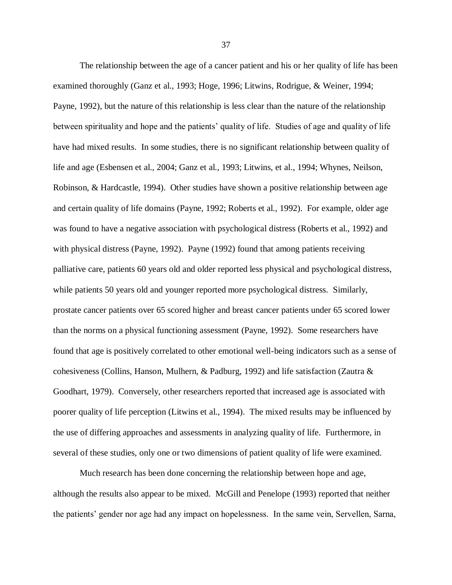The relationship between the age of a cancer patient and his or her quality of life has been examined thoroughly (Ganz et al., 1993; Hoge, 1996; Litwins, Rodrigue, & Weiner, 1994; Payne, 1992), but the nature of this relationship is less clear than the nature of the relationship between spirituality and hope and the patients' quality of life. Studies of age and quality of life have had mixed results. In some studies, there is no significant relationship between quality of life and age (Esbensen et al., 2004; Ganz et al., 1993; Litwins, et al., 1994; Whynes, Neilson, Robinson, & Hardcastle, 1994). Other studies have shown a positive relationship between age and certain quality of life domains (Payne, 1992; Roberts et al., 1992). For example, older age was found to have a negative association with psychological distress (Roberts et al., 1992) and with physical distress (Payne, 1992). Payne (1992) found that among patients receiving palliative care, patients 60 years old and older reported less physical and psychological distress, while patients 50 years old and younger reported more psychological distress. Similarly, prostate cancer patients over 65 scored higher and breast cancer patients under 65 scored lower than the norms on a physical functioning assessment (Payne, 1992). Some researchers have found that age is positively correlated to other emotional well-being indicators such as a sense of cohesiveness (Collins, Hanson, Mulhern, & Padburg, 1992) and life satisfaction (Zautra & Goodhart, 1979). Conversely, other researchers reported that increased age is associated with poorer quality of life perception (Litwins et al., 1994). The mixed results may be influenced by the use of differing approaches and assessments in analyzing quality of life. Furthermore, in several of these studies, only one or two dimensions of patient quality of life were examined.

Much research has been done concerning the relationship between hope and age, although the results also appear to be mixed. McGill and Penelope (1993) reported that neither the patients' gender nor age had any impact on hopelessness. In the same vein, Servellen, Sarna,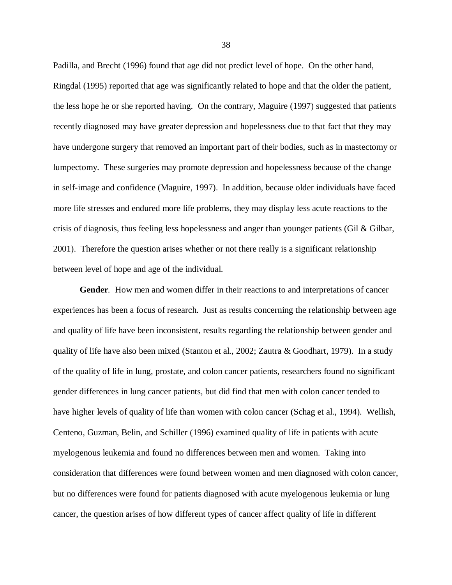Padilla, and Brecht (1996) found that age did not predict level of hope. On the other hand, Ringdal (1995) reported that age was significantly related to hope and that the older the patient, the less hope he or she reported having. On the contrary, Maguire (1997) suggested that patients recently diagnosed may have greater depression and hopelessness due to that fact that they may have undergone surgery that removed an important part of their bodies, such as in mastectomy or lumpectomy. These surgeries may promote depression and hopelessness because of the change in self-image and confidence (Maguire, 1997). In addition, because older individuals have faced more life stresses and endured more life problems, they may display less acute reactions to the crisis of diagnosis, thus feeling less hopelessness and anger than younger patients (Gil & Gilbar, 2001). Therefore the question arises whether or not there really is a significant relationship between level of hope and age of the individual.

**Gender***.* How men and women differ in their reactions to and interpretations of cancer experiences has been a focus of research. Just as results concerning the relationship between age and quality of life have been inconsistent, results regarding the relationship between gender and quality of life have also been mixed (Stanton et al., 2002; Zautra & Goodhart, 1979). In a study of the quality of life in lung, prostate, and colon cancer patients, researchers found no significant gender differences in lung cancer patients, but did find that men with colon cancer tended to have higher levels of quality of life than women with colon cancer (Schag et al., 1994). Wellish, Centeno, Guzman, Belin, and Schiller (1996) examined quality of life in patients with acute myelogenous leukemia and found no differences between men and women. Taking into consideration that differences were found between women and men diagnosed with colon cancer, but no differences were found for patients diagnosed with acute myelogenous leukemia or lung cancer, the question arises of how different types of cancer affect quality of life in different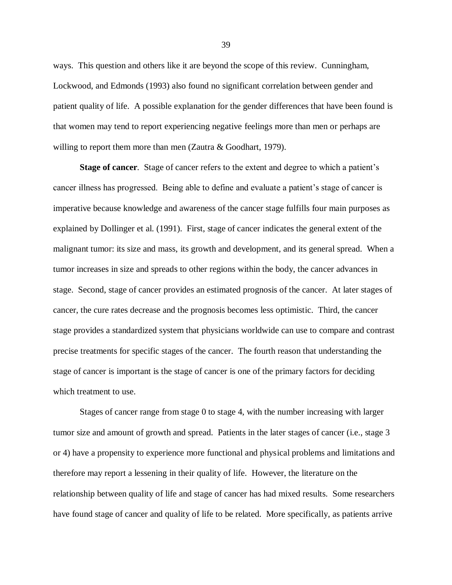ways. This question and others like it are beyond the scope of this review. Cunningham, Lockwood, and Edmonds (1993) also found no significant correlation between gender and patient quality of life. A possible explanation for the gender differences that have been found is that women may tend to report experiencing negative feelings more than men or perhaps are willing to report them more than men (Zautra & Goodhart, 1979).

**Stage of cancer**. Stage of cancer refers to the extent and degree to which a patient's cancer illness has progressed. Being able to define and evaluate a patient's stage of cancer is imperative because knowledge and awareness of the cancer stage fulfills four main purposes as explained by Dollinger et al. (1991). First, stage of cancer indicates the general extent of the malignant tumor: its size and mass, its growth and development, and its general spread. When a tumor increases in size and spreads to other regions within the body, the cancer advances in stage. Second, stage of cancer provides an estimated prognosis of the cancer. At later stages of cancer, the cure rates decrease and the prognosis becomes less optimistic. Third, the cancer stage provides a standardized system that physicians worldwide can use to compare and contrast precise treatments for specific stages of the cancer. The fourth reason that understanding the stage of cancer is important is the stage of cancer is one of the primary factors for deciding which treatment to use.

Stages of cancer range from stage 0 to stage 4, with the number increasing with larger tumor size and amount of growth and spread. Patients in the later stages of cancer (i.e., stage 3 or 4) have a propensity to experience more functional and physical problems and limitations and therefore may report a lessening in their quality of life. However, the literature on the relationship between quality of life and stage of cancer has had mixed results. Some researchers have found stage of cancer and quality of life to be related. More specifically, as patients arrive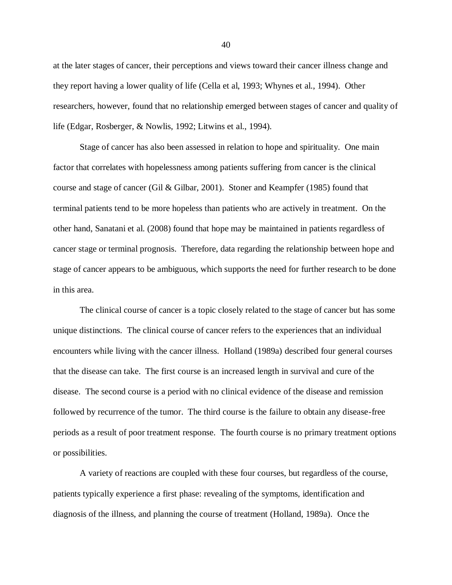at the later stages of cancer, their perceptions and views toward their cancer illness change and they report having a lower quality of life (Cella et al, 1993; Whynes et al., 1994). Other researchers, however, found that no relationship emerged between stages of cancer and quality of life (Edgar, Rosberger, & Nowlis, 1992; Litwins et al., 1994).

Stage of cancer has also been assessed in relation to hope and spirituality. One main factor that correlates with hopelessness among patients suffering from cancer is the clinical course and stage of cancer (Gil & Gilbar, 2001). Stoner and Keampfer (1985) found that terminal patients tend to be more hopeless than patients who are actively in treatment. On the other hand, Sanatani et al. (2008) found that hope may be maintained in patients regardless of cancer stage or terminal prognosis. Therefore, data regarding the relationship between hope and stage of cancer appears to be ambiguous, which supports the need for further research to be done in this area.

The clinical course of cancer is a topic closely related to the stage of cancer but has some unique distinctions. The clinical course of cancer refers to the experiences that an individual encounters while living with the cancer illness. Holland (1989a) described four general courses that the disease can take. The first course is an increased length in survival and cure of the disease. The second course is a period with no clinical evidence of the disease and remission followed by recurrence of the tumor. The third course is the failure to obtain any disease-free periods as a result of poor treatment response. The fourth course is no primary treatment options or possibilities.

A variety of reactions are coupled with these four courses, but regardless of the course, patients typically experience a first phase: revealing of the symptoms, identification and diagnosis of the illness, and planning the course of treatment (Holland, 1989a). Once the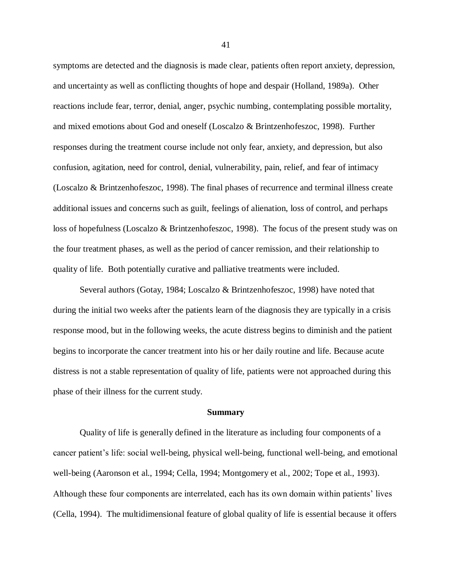symptoms are detected and the diagnosis is made clear, patients often report anxiety, depression, and uncertainty as well as conflicting thoughts of hope and despair (Holland, 1989a). Other reactions include fear, terror, denial, anger, psychic numbing, contemplating possible mortality, and mixed emotions about God and oneself (Loscalzo & Brintzenhofeszoc, 1998). Further responses during the treatment course include not only fear, anxiety, and depression, but also confusion, agitation, need for control, denial, vulnerability, pain, relief, and fear of intimacy (Loscalzo & Brintzenhofeszoc, 1998). The final phases of recurrence and terminal illness create additional issues and concerns such as guilt, feelings of alienation, loss of control, and perhaps loss of hopefulness (Loscalzo & Brintzenhofeszoc, 1998). The focus of the present study was on the four treatment phases, as well as the period of cancer remission, and their relationship to quality of life. Both potentially curative and palliative treatments were included.

Several authors (Gotay, 1984; Loscalzo & Brintzenhofeszoc, 1998) have noted that during the initial two weeks after the patients learn of the diagnosis they are typically in a crisis response mood, but in the following weeks, the acute distress begins to diminish and the patient begins to incorporate the cancer treatment into his or her daily routine and life. Because acute distress is not a stable representation of quality of life, patients were not approached during this phase of their illness for the current study.

#### **Summary**

Quality of life is generally defined in the literature as including four components of a cancer patient's life: social well-being, physical well-being, functional well-being, and emotional well-being (Aaronson et al., 1994; Cella, 1994; Montgomery et al., 2002; Tope et al., 1993). Although these four components are interrelated, each has its own domain within patients' lives (Cella, 1994). The multidimensional feature of global quality of life is essential because it offers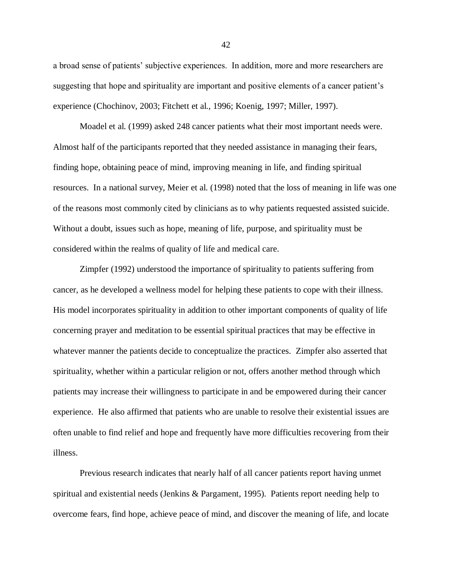a broad sense of patients' subjective experiences. In addition, more and more researchers are suggesting that hope and spirituality are important and positive elements of a cancer patient's experience (Chochinov, 2003; Fitchett et al., 1996; Koenig, 1997; Miller, 1997).

Moadel et al. (1999) asked 248 cancer patients what their most important needs were. Almost half of the participants reported that they needed assistance in managing their fears, finding hope, obtaining peace of mind, improving meaning in life, and finding spiritual resources. In a national survey, Meier et al. (1998) noted that the loss of meaning in life was one of the reasons most commonly cited by clinicians as to why patients requested assisted suicide. Without a doubt, issues such as hope, meaning of life, purpose, and spirituality must be considered within the realms of quality of life and medical care.

Zimpfer (1992) understood the importance of spirituality to patients suffering from cancer, as he developed a wellness model for helping these patients to cope with their illness. His model incorporates spirituality in addition to other important components of quality of life concerning prayer and meditation to be essential spiritual practices that may be effective in whatever manner the patients decide to conceptualize the practices. Zimpfer also asserted that spirituality, whether within a particular religion or not, offers another method through which patients may increase their willingness to participate in and be empowered during their cancer experience. He also affirmed that patients who are unable to resolve their existential issues are often unable to find relief and hope and frequently have more difficulties recovering from their illness.

Previous research indicates that nearly half of all cancer patients report having unmet spiritual and existential needs (Jenkins & Pargament, 1995). Patients report needing help to overcome fears, find hope, achieve peace of mind, and discover the meaning of life, and locate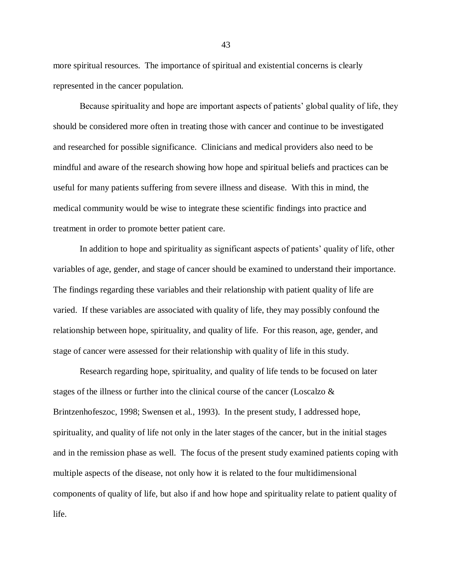more spiritual resources. The importance of spiritual and existential concerns is clearly represented in the cancer population.

Because spirituality and hope are important aspects of patients' global quality of life, they should be considered more often in treating those with cancer and continue to be investigated and researched for possible significance. Clinicians and medical providers also need to be mindful and aware of the research showing how hope and spiritual beliefs and practices can be useful for many patients suffering from severe illness and disease. With this in mind, the medical community would be wise to integrate these scientific findings into practice and treatment in order to promote better patient care.

In addition to hope and spirituality as significant aspects of patients' quality of life, other variables of age, gender, and stage of cancer should be examined to understand their importance. The findings regarding these variables and their relationship with patient quality of life are varied. If these variables are associated with quality of life, they may possibly confound the relationship between hope, spirituality, and quality of life. For this reason, age, gender, and stage of cancer were assessed for their relationship with quality of life in this study.

Research regarding hope, spirituality, and quality of life tends to be focused on later stages of the illness or further into the clinical course of the cancer (Loscalzo  $\&$ Brintzenhofeszoc, 1998; Swensen et al., 1993). In the present study, I addressed hope, spirituality, and quality of life not only in the later stages of the cancer, but in the initial stages and in the remission phase as well. The focus of the present study examined patients coping with multiple aspects of the disease, not only how it is related to the four multidimensional components of quality of life, but also if and how hope and spirituality relate to patient quality of life.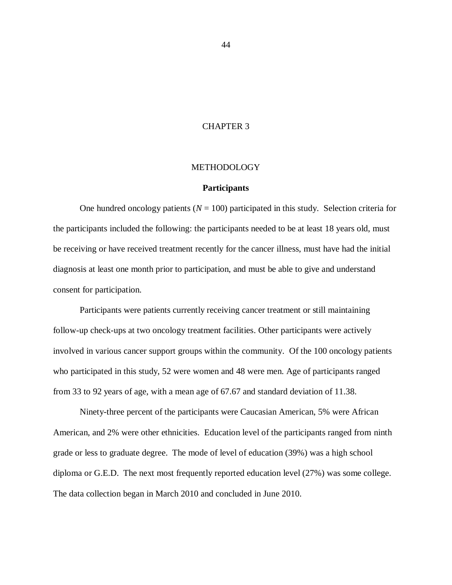# CHAPTER 3

# **METHODOLOGY**

#### **Participants**

One hundred oncology patients  $(N = 100)$  participated in this study. Selection criteria for the participants included the following: the participants needed to be at least 18 years old, must be receiving or have received treatment recently for the cancer illness, must have had the initial diagnosis at least one month prior to participation, and must be able to give and understand consent for participation.

Participants were patients currently receiving cancer treatment or still maintaining follow-up check-ups at two oncology treatment facilities. Other participants were actively involved in various cancer support groups within the community. Of the 100 oncology patients who participated in this study, 52 were women and 48 were men. Age of participants ranged from 33 to 92 years of age, with a mean age of 67.67 and standard deviation of 11.38.

Ninety-three percent of the participants were Caucasian American, 5% were African American, and 2% were other ethnicities. Education level of the participants ranged from ninth grade or less to graduate degree. The mode of level of education (39%) was a high school diploma or G.E.D. The next most frequently reported education level (27%) was some college. The data collection began in March 2010 and concluded in June 2010.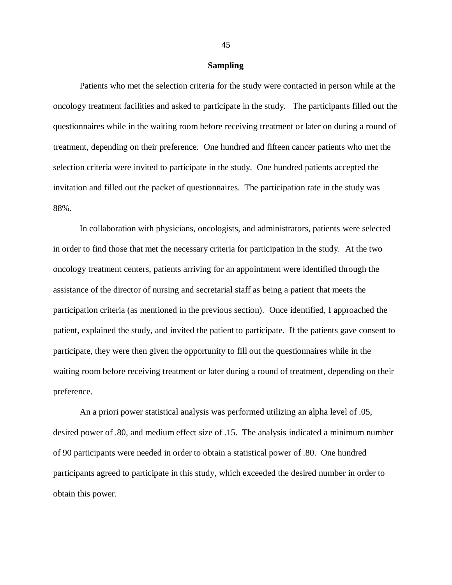#### **Sampling**

Patients who met the selection criteria for the study were contacted in person while at the oncology treatment facilities and asked to participate in the study. The participants filled out the questionnaires while in the waiting room before receiving treatment or later on during a round of treatment, depending on their preference. One hundred and fifteen cancer patients who met the selection criteria were invited to participate in the study. One hundred patients accepted the invitation and filled out the packet of questionnaires. The participation rate in the study was 88%.

In collaboration with physicians, oncologists, and administrators, patients were selected in order to find those that met the necessary criteria for participation in the study. At the two oncology treatment centers, patients arriving for an appointment were identified through the assistance of the director of nursing and secretarial staff as being a patient that meets the participation criteria (as mentioned in the previous section). Once identified, I approached the patient, explained the study, and invited the patient to participate. If the patients gave consent to participate, they were then given the opportunity to fill out the questionnaires while in the waiting room before receiving treatment or later during a round of treatment, depending on their preference.

An a priori power statistical analysis was performed utilizing an alpha level of .05, desired power of .80, and medium effect size of .15. The analysis indicated a minimum number of 90 participants were needed in order to obtain a statistical power of .80. One hundred participants agreed to participate in this study, which exceeded the desired number in order to obtain this power.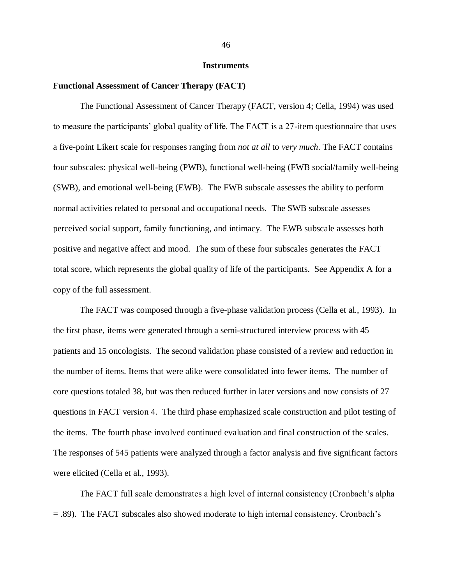#### **Instruments**

#### **Functional Assessment of Cancer Therapy (FACT)**

The Functional Assessment of Cancer Therapy (FACT, version 4; Cella, 1994) was used to measure the participants' global quality of life. The FACT is a 27-item questionnaire that uses a five-point Likert scale for responses ranging from *not at all* to *very much*. The FACT contains four subscales: physical well-being (PWB), functional well-being (FWB social/family well-being (SWB), and emotional well-being (EWB). The FWB subscale assesses the ability to perform normal activities related to personal and occupational needs. The SWB subscale assesses perceived social support, family functioning, and intimacy. The EWB subscale assesses both positive and negative affect and mood. The sum of these four subscales generates the FACT total score, which represents the global quality of life of the participants. See Appendix A for a copy of the full assessment.

The FACT was composed through a five-phase validation process (Cella et al., 1993). In the first phase, items were generated through a semi-structured interview process with 45 patients and 15 oncologists. The second validation phase consisted of a review and reduction in the number of items. Items that were alike were consolidated into fewer items. The number of core questions totaled 38, but was then reduced further in later versions and now consists of 27 questions in FACT version 4. The third phase emphasized scale construction and pilot testing of the items. The fourth phase involved continued evaluation and final construction of the scales. The responses of 545 patients were analyzed through a factor analysis and five significant factors were elicited (Cella et al., 1993).

The FACT full scale demonstrates a high level of internal consistency (Cronbach's alpha = .89). The FACT subscales also showed moderate to high internal consistency. Cronbach's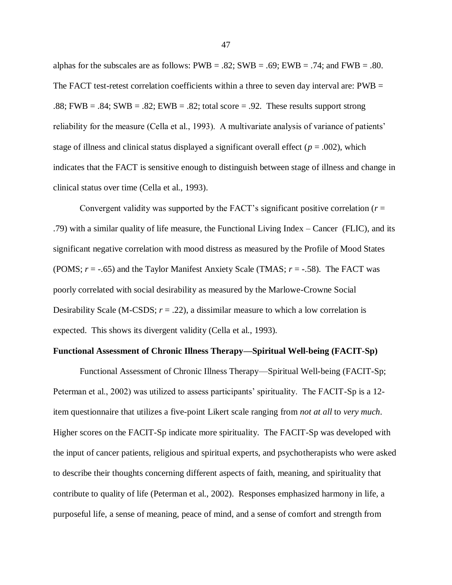alphas for the subscales are as follows:  $PWB = .82$ ;  $SWB = .69$ ;  $EWB = .74$ ; and  $FWB = .80$ . The FACT test-retest correlation coefficients within a three to seven day interval are: PWB = .88; FWB = .84; SWB = .82; EWB = .82; total score = .92. These results support strong reliability for the measure (Cella et al., 1993). A multivariate analysis of variance of patients' stage of illness and clinical status displayed a significant overall effect ( $p = .002$ ), which indicates that the FACT is sensitive enough to distinguish between stage of illness and change in clinical status over time (Cella et al., 1993).

Convergent validity was supported by the FACT's significant positive correlation  $(r =$ .79) with a similar quality of life measure, the Functional Living Index – Cancer (FLIC), and its significant negative correlation with mood distress as measured by the Profile of Mood States (POMS; *r* = -.65) and the Taylor Manifest Anxiety Scale (TMAS; *r* = -.58). The FACT was poorly correlated with social desirability as measured by the Marlowe-Crowne Social Desirability Scale (M-CSDS;  $r = .22$ ), a dissimilar measure to which a low correlation is expected. This shows its divergent validity (Cella et al., 1993).

# **Functional Assessment of Chronic Illness Therapy—Spiritual Well-being (FACIT-Sp)**

Functional Assessment of Chronic Illness Therapy—Spiritual Well-being (FACIT-Sp; Peterman et al., 2002) was utilized to assess participants' spirituality. The FACIT-Sp is a 12 item questionnaire that utilizes a five-point Likert scale ranging from *not at all* to *very much*. Higher scores on the FACIT-Sp indicate more spirituality. The FACIT-Sp was developed with the input of cancer patients, religious and spiritual experts, and psychotherapists who were asked to describe their thoughts concerning different aspects of faith, meaning, and spirituality that contribute to quality of life (Peterman et al., 2002). Responses emphasized harmony in life, a purposeful life, a sense of meaning, peace of mind, and a sense of comfort and strength from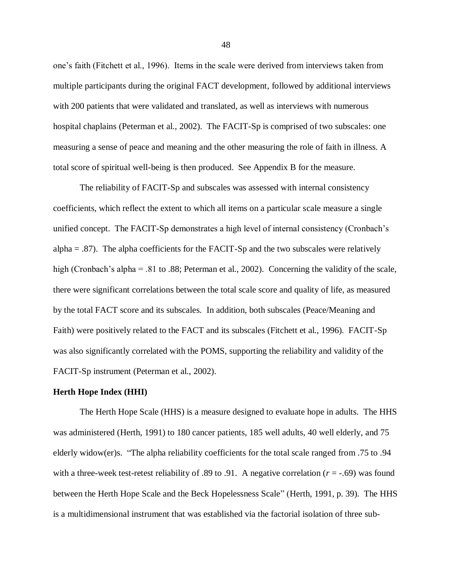one's faith (Fitchett et al., 1996). Items in the scale were derived from interviews taken from multiple participants during the original FACT development, followed by additional interviews with 200 patients that were validated and translated, as well as interviews with numerous hospital chaplains (Peterman et al., 2002). The FACIT-Sp is comprised of two subscales: one measuring a sense of peace and meaning and the other measuring the role of faith in illness. A total score of spiritual well-being is then produced. See Appendix B for the measure.

The reliability of FACIT-Sp and subscales was assessed with internal consistency coefficients, which reflect the extent to which all items on a particular scale measure a single unified concept. The FACIT-Sp demonstrates a high level of internal consistency (Cronbach's  $alpha = .87$ ). The alpha coefficients for the FACIT-Sp and the two subscales were relatively high (Cronbach's alpha = .81 to .88; Peterman et al., 2002). Concerning the validity of the scale, there were significant correlations between the total scale score and quality of life, as measured by the total FACT score and its subscales. In addition, both subscales (Peace/Meaning and Faith) were positively related to the FACT and its subscales (Fitchett et al., 1996). FACIT-Sp was also significantly correlated with the POMS, supporting the reliability and validity of the FACIT-Sp instrument (Peterman et al., 2002).

#### **Herth Hope Index (HHI)**

The Herth Hope Scale (HHS) is a measure designed to evaluate hope in adults. The HHS was administered (Herth, 1991) to 180 cancer patients, 185 well adults, 40 well elderly, and 75 elderly widow(er)s. "The alpha reliability coefficients for the total scale ranged from .75 to .94 with a three-week test-retest reliability of .89 to .91. A negative correlation ( $r = -0.69$ ) was found between the Herth Hope Scale and the Beck Hopelessness Scale" (Herth, 1991, p. 39). The HHS is a multidimensional instrument that was established via the factorial isolation of three sub-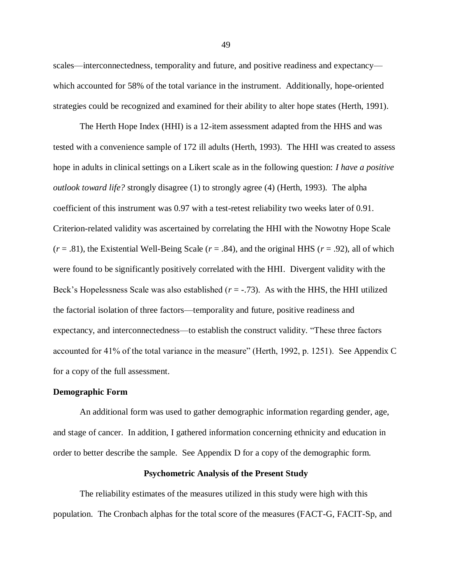scales—interconnectedness, temporality and future, and positive readiness and expectancy which accounted for 58% of the total variance in the instrument. Additionally, hope-oriented strategies could be recognized and examined for their ability to alter hope states (Herth, 1991).

The Herth Hope Index (HHI) is a 12-item assessment adapted from the HHS and was tested with a convenience sample of 172 ill adults (Herth, 1993). The HHI was created to assess hope in adults in clinical settings on a Likert scale as in the following question: *I have a positive outlook toward life?* strongly disagree (1) to strongly agree (4) (Herth, 1993). The alpha coefficient of this instrument was 0.97 with a test-retest reliability two weeks later of 0.91. Criterion-related validity was ascertained by correlating the HHI with the Nowotny Hope Scale  $(r = .81)$ , the Existential Well-Being Scale  $(r = .84)$ , and the original HHS  $(r = .92)$ , all of which were found to be significantly positively correlated with the HHI. Divergent validity with the Beck's Hopelessness Scale was also established ( $r = -0.73$ ). As with the HHS, the HHI utilized the factorial isolation of three factors—temporality and future, positive readiness and expectancy, and interconnectedness—to establish the construct validity. "These three factors" accounted for 41% of the total variance in the measure" (Herth, 1992, p. 1251). See Appendix C for a copy of the full assessment.

# **Demographic Form**

An additional form was used to gather demographic information regarding gender, age, and stage of cancer. In addition, I gathered information concerning ethnicity and education in order to better describe the sample. See Appendix D for a copy of the demographic form.

# **Psychometric Analysis of the Present Study**

The reliability estimates of the measures utilized in this study were high with this population. The Cronbach alphas for the total score of the measures (FACT-G, FACIT-Sp, and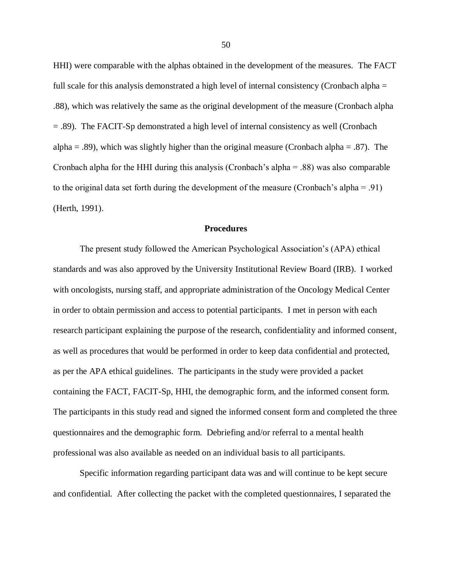HHI) were comparable with the alphas obtained in the development of the measures. The FACT full scale for this analysis demonstrated a high level of internal consistency (Cronbach alpha = .88), which was relatively the same as the original development of the measure (Cronbach alpha = .89). The FACIT-Sp demonstrated a high level of internal consistency as well (Cronbach alpha = .89), which was slightly higher than the original measure (Cronbach alpha = .87). The Cronbach alpha for the HHI during this analysis (Cronbach's alpha = .88) was also comparable to the original data set forth during the development of the measure (Cronbach's alpha = .91) (Herth, 1991).

# **Procedures**

The present study followed the American Psychological Association's (APA) ethical standards and was also approved by the University Institutional Review Board (IRB). I worked with oncologists, nursing staff, and appropriate administration of the Oncology Medical Center in order to obtain permission and access to potential participants. I met in person with each research participant explaining the purpose of the research, confidentiality and informed consent, as well as procedures that would be performed in order to keep data confidential and protected, as per the APA ethical guidelines. The participants in the study were provided a packet containing the FACT, FACIT-Sp, HHI, the demographic form, and the informed consent form. The participants in this study read and signed the informed consent form and completed the three questionnaires and the demographic form. Debriefing and/or referral to a mental health professional was also available as needed on an individual basis to all participants.

Specific information regarding participant data was and will continue to be kept secure and confidential. After collecting the packet with the completed questionnaires, I separated the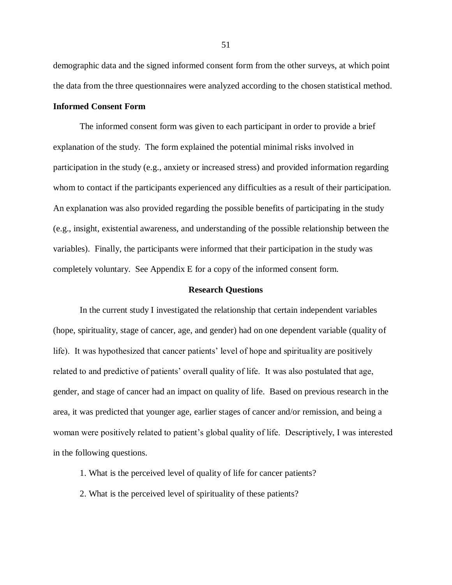demographic data and the signed informed consent form from the other surveys, at which point the data from the three questionnaires were analyzed according to the chosen statistical method.

# **Informed Consent Form**

The informed consent form was given to each participant in order to provide a brief explanation of the study. The form explained the potential minimal risks involved in participation in the study (e.g., anxiety or increased stress) and provided information regarding whom to contact if the participants experienced any difficulties as a result of their participation. An explanation was also provided regarding the possible benefits of participating in the study (e.g., insight, existential awareness, and understanding of the possible relationship between the variables). Finally, the participants were informed that their participation in the study was completely voluntary. See Appendix E for a copy of the informed consent form.

#### **Research Questions**

In the current study I investigated the relationship that certain independent variables (hope, spirituality, stage of cancer, age, and gender) had on one dependent variable (quality of life). It was hypothesized that cancer patients' level of hope and spirituality are positively related to and predictive of patients' overall quality of life. It was also postulated that age, gender, and stage of cancer had an impact on quality of life. Based on previous research in the area, it was predicted that younger age, earlier stages of cancer and/or remission, and being a woman were positively related to patient's global quality of life. Descriptively, I was interested in the following questions.

- 1. What is the perceived level of quality of life for cancer patients?
- 2. What is the perceived level of spirituality of these patients?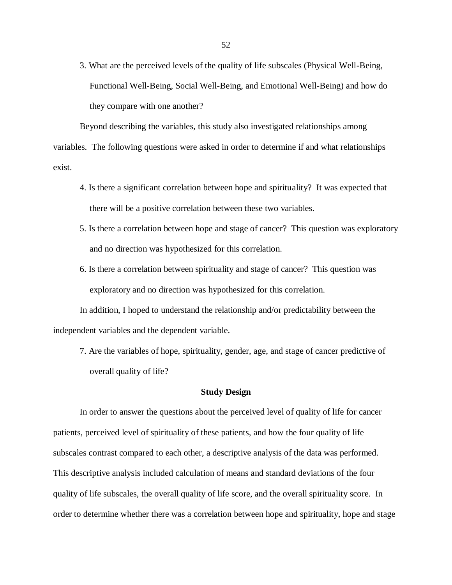3. What are the perceived levels of the quality of life subscales (Physical Well-Being, Functional Well-Being, Social Well-Being, and Emotional Well-Being) and how do they compare with one another?

Beyond describing the variables, this study also investigated relationships among variables. The following questions were asked in order to determine if and what relationships exist.

- 4. Is there a significant correlation between hope and spirituality? It was expected that there will be a positive correlation between these two variables.
- 5. Is there a correlation between hope and stage of cancer? This question was exploratory and no direction was hypothesized for this correlation.
- 6. Is there a correlation between spirituality and stage of cancer? This question was exploratory and no direction was hypothesized for this correlation.

In addition, I hoped to understand the relationship and/or predictability between the independent variables and the dependent variable.

7. Are the variables of hope, spirituality, gender, age, and stage of cancer predictive of overall quality of life?

#### **Study Design**

In order to answer the questions about the perceived level of quality of life for cancer patients, perceived level of spirituality of these patients, and how the four quality of life subscales contrast compared to each other, a descriptive analysis of the data was performed. This descriptive analysis included calculation of means and standard deviations of the four quality of life subscales, the overall quality of life score, and the overall spirituality score. In order to determine whether there was a correlation between hope and spirituality, hope and stage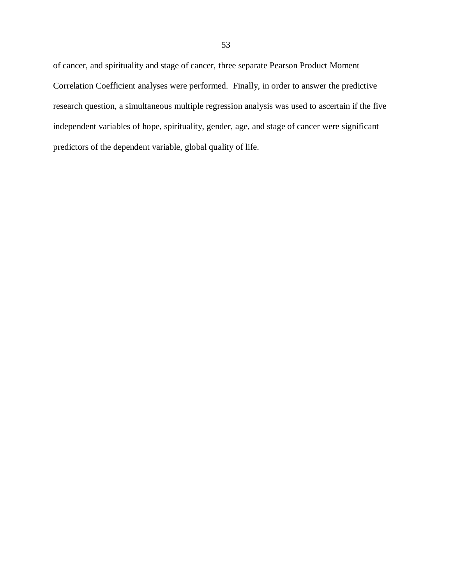of cancer, and spirituality and stage of cancer, three separate Pearson Product Moment Correlation Coefficient analyses were performed. Finally, in order to answer the predictive research question, a simultaneous multiple regression analysis was used to ascertain if the five independent variables of hope, spirituality, gender, age, and stage of cancer were significant predictors of the dependent variable, global quality of life.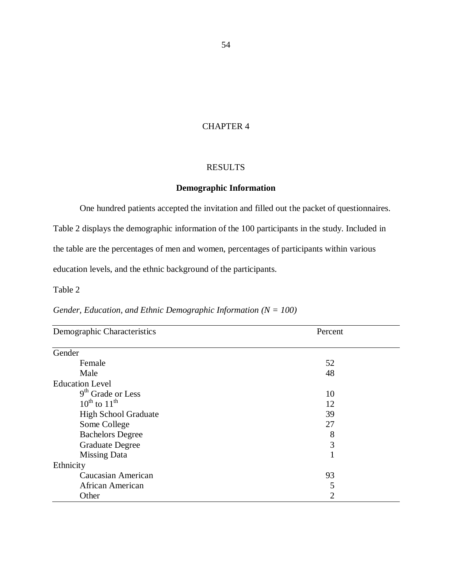# CHAPTER 4

# RESULTS

# **Demographic Information**

One hundred patients accepted the invitation and filled out the packet of questionnaires.

Table 2 displays the demographic information of the 100 participants in the study. Included in the table are the percentages of men and women, percentages of participants within various education levels, and the ethnic background of the participants.

Table 2

| Demographic Characteristics | Percent |  |  |
|-----------------------------|---------|--|--|
| Gender                      |         |  |  |
| Female                      | 52      |  |  |
| Male                        | 48      |  |  |
| <b>Education Level</b>      |         |  |  |
| $9th$ Grade or Less         | 10      |  |  |
| $10^{th}$ to $11^{th}$      | 12      |  |  |
| <b>High School Graduate</b> | 39      |  |  |
| Some College                | 27      |  |  |
| <b>Bachelors Degree</b>     | 8       |  |  |
| <b>Graduate Degree</b>      | 3       |  |  |
| <b>Missing Data</b>         |         |  |  |
| Ethnicity                   |         |  |  |
| Caucasian American          | 93      |  |  |
| African American            | 5       |  |  |
| Other                       | 2       |  |  |

# *Gender, Education, and Ethnic Demographic Information (N = 100)*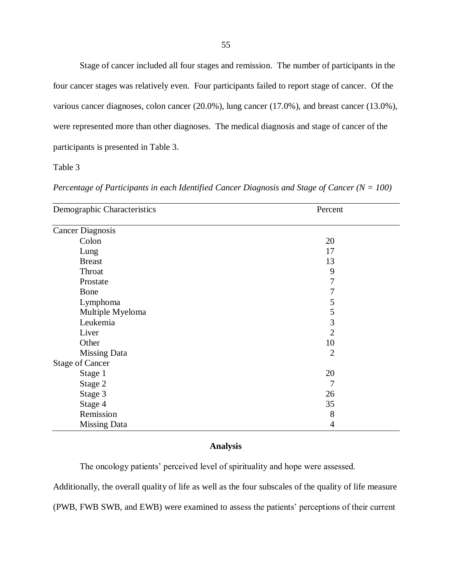Stage of cancer included all four stages and remission. The number of participants in the four cancer stages was relatively even. Four participants failed to report stage of cancer. Of the various cancer diagnoses, colon cancer (20.0%), lung cancer (17.0%), and breast cancer (13.0%), were represented more than other diagnoses. The medical diagnosis and stage of cancer of the participants is presented in Table 3.

Table 3

| Demographic Characteristics | Percent        |  |  |
|-----------------------------|----------------|--|--|
| <b>Cancer Diagnosis</b>     |                |  |  |
| Colon                       | 20             |  |  |
| Lung                        | 17             |  |  |
| <b>Breast</b>               | 13             |  |  |
| Throat                      | 9              |  |  |
| Prostate                    | $\tau$         |  |  |
| Bone                        | 7              |  |  |
| Lymphoma                    | 5              |  |  |
| Multiple Myeloma            | 5              |  |  |
| Leukemia                    | 3              |  |  |
| Liver                       | $\overline{2}$ |  |  |
| Other                       | 10             |  |  |
| <b>Missing Data</b>         | $\overline{2}$ |  |  |
| <b>Stage of Cancer</b>      |                |  |  |
| Stage 1                     | 20             |  |  |
| Stage 2                     | 7              |  |  |
| Stage 3                     | 26             |  |  |
| Stage 4                     | 35             |  |  |
| Remission                   | 8              |  |  |
| <b>Missing Data</b>         | 4              |  |  |

*Percentage of Participants in each Identified Cancer Diagnosis and Stage of Cancer (N = 100)*

# **Analysis**

The oncology patients' perceived level of spirituality and hope were assessed.

Additionally, the overall quality of life as well as the four subscales of the quality of life measure

(PWB, FWB SWB, and EWB) were examined to assess the patients' perceptions of their current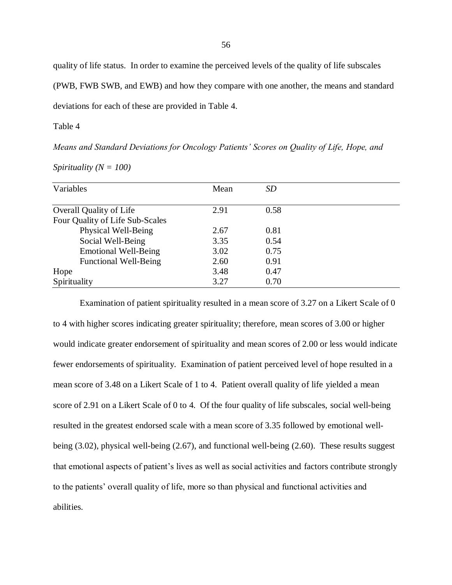quality of life status. In order to examine the perceived levels of the quality of life subscales

(PWB, FWB SWB, and EWB) and how they compare with one another, the means and standard

deviations for each of these are provided in Table 4.

Table 4

*Means and Standard Deviations for Oncology Patients' Scores on Quality of Life, Hope, and* 

| Spirituality ( $N = 100$ ) |  |
|----------------------------|--|
|                            |  |

| Variables                       | Mean | SD   |  |
|---------------------------------|------|------|--|
|                                 |      |      |  |
| <b>Overall Quality of Life</b>  | 2.91 | 0.58 |  |
| Four Quality of Life Sub-Scales |      |      |  |
| Physical Well-Being             | 2.67 | 0.81 |  |
| Social Well-Being               | 3.35 | 0.54 |  |
| <b>Emotional Well-Being</b>     | 3.02 | 0.75 |  |
| <b>Functional Well-Being</b>    | 2.60 | 0.91 |  |
| Hope                            | 3.48 | 0.47 |  |
| Spirituality                    | 3.27 | 0.70 |  |

Examination of patient spirituality resulted in a mean score of 3.27 on a Likert Scale of 0 to 4 with higher scores indicating greater spirituality; therefore, mean scores of 3.00 or higher would indicate greater endorsement of spirituality and mean scores of 2.00 or less would indicate fewer endorsements of spirituality. Examination of patient perceived level of hope resulted in a mean score of 3.48 on a Likert Scale of 1 to 4. Patient overall quality of life yielded a mean score of 2.91 on a Likert Scale of 0 to 4. Of the four quality of life subscales, social well-being resulted in the greatest endorsed scale with a mean score of 3.35 followed by emotional wellbeing (3.02), physical well-being (2.67), and functional well-being (2.60). These results suggest that emotional aspects of patient's lives as well as social activities and factors contribute strongly to the patients' overall quality of life, more so than physical and functional activities and abilities.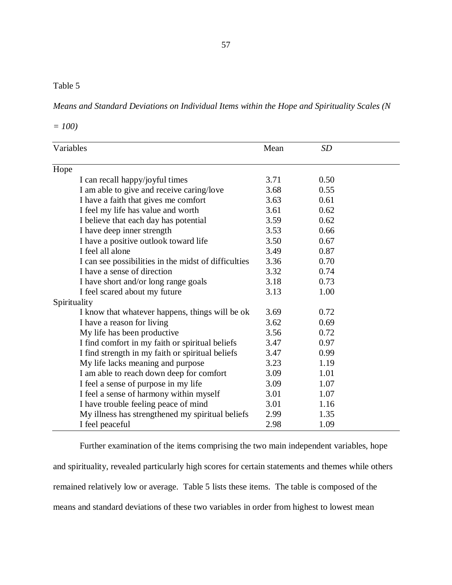# Table 5

*Means and Standard Deviations on Individual Items within the Hope and Spirituality Scales (N* 

*= 100)*

| Variables                                            | Mean | <b>SD</b> |  |
|------------------------------------------------------|------|-----------|--|
| Hope                                                 |      |           |  |
| I can recall happy/joyful times                      | 3.71 | 0.50      |  |
| I am able to give and receive caring/love            | 3.68 | 0.55      |  |
| I have a faith that gives me comfort                 | 3.63 | 0.61      |  |
| I feel my life has value and worth                   | 3.61 | 0.62      |  |
| I believe that each day has potential                | 3.59 | 0.62      |  |
| I have deep inner strength                           | 3.53 | 0.66      |  |
| I have a positive outlook toward life                | 3.50 | 0.67      |  |
| I feel all alone                                     | 3.49 | 0.87      |  |
| I can see possibilities in the midst of difficulties | 3.36 | 0.70      |  |
| I have a sense of direction                          | 3.32 | 0.74      |  |
| I have short and/or long range goals                 | 3.18 | 0.73      |  |
| I feel scared about my future                        | 3.13 | 1.00      |  |
| Spirituality                                         |      |           |  |
| I know that whatever happens, things will be ok      | 3.69 | 0.72      |  |
| I have a reason for living                           | 3.62 | 0.69      |  |
| My life has been productive                          | 3.56 | 0.72      |  |
| I find comfort in my faith or spiritual beliefs      | 3.47 | 0.97      |  |
| I find strength in my faith or spiritual beliefs     | 3.47 | 0.99      |  |
| My life lacks meaning and purpose                    | 3.23 | 1.19      |  |
| I am able to reach down deep for comfort             | 3.09 | 1.01      |  |
| I feel a sense of purpose in my life                 | 3.09 | 1.07      |  |
| I feel a sense of harmony within myself              | 3.01 | 1.07      |  |
| I have trouble feeling peace of mind                 | 3.01 | 1.16      |  |
| My illness has strengthened my spiritual beliefs     | 2.99 | 1.35      |  |
| I feel peaceful                                      | 2.98 | 1.09      |  |

Further examination of the items comprising the two main independent variables, hope and spirituality, revealed particularly high scores for certain statements and themes while others remained relatively low or average. Table 5 lists these items. The table is composed of the means and standard deviations of these two variables in order from highest to lowest mean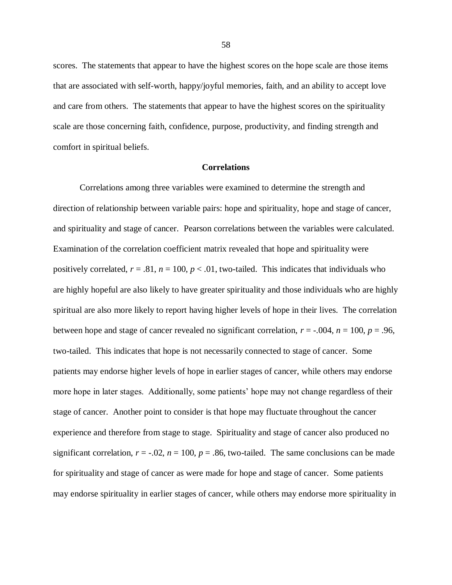scores. The statements that appear to have the highest scores on the hope scale are those items that are associated with self-worth, happy/joyful memories, faith, and an ability to accept love and care from others. The statements that appear to have the highest scores on the spirituality scale are those concerning faith, confidence, purpose, productivity, and finding strength and comfort in spiritual beliefs.

#### **Correlations**

Correlations among three variables were examined to determine the strength and direction of relationship between variable pairs: hope and spirituality, hope and stage of cancer, and spirituality and stage of cancer. Pearson correlations between the variables were calculated. Examination of the correlation coefficient matrix revealed that hope and spirituality were positively correlated,  $r = .81$ ,  $n = 100$ ,  $p < .01$ , two-tailed. This indicates that individuals who are highly hopeful are also likely to have greater spirituality and those individuals who are highly spiritual are also more likely to report having higher levels of hope in their lives. The correlation between hope and stage of cancer revealed no significant correlation,  $r = -0.004$ ,  $n = 100$ ,  $p = 0.96$ , two-tailed. This indicates that hope is not necessarily connected to stage of cancer. Some patients may endorse higher levels of hope in earlier stages of cancer, while others may endorse more hope in later stages. Additionally, some patients' hope may not change regardless of their stage of cancer. Another point to consider is that hope may fluctuate throughout the cancer experience and therefore from stage to stage. Spirituality and stage of cancer also produced no significant correlation,  $r = -0.02$ ,  $n = 100$ ,  $p = 0.86$ , two-tailed. The same conclusions can be made for spirituality and stage of cancer as were made for hope and stage of cancer. Some patients may endorse spirituality in earlier stages of cancer, while others may endorse more spirituality in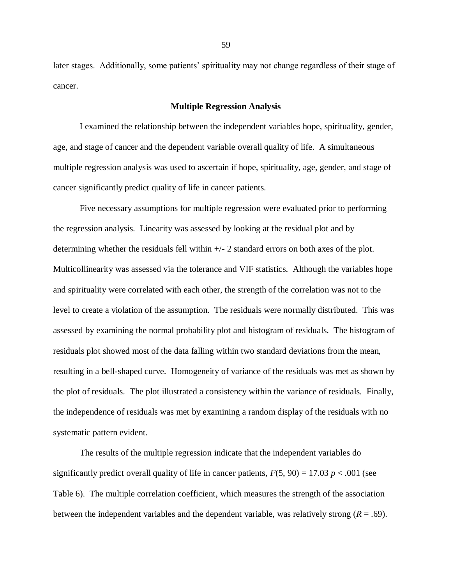later stages. Additionally, some patients' spirituality may not change regardless of their stage of cancer.

#### **Multiple Regression Analysis**

I examined the relationship between the independent variables hope, spirituality, gender, age, and stage of cancer and the dependent variable overall quality of life. A simultaneous multiple regression analysis was used to ascertain if hope, spirituality, age, gender, and stage of cancer significantly predict quality of life in cancer patients.

Five necessary assumptions for multiple regression were evaluated prior to performing the regression analysis. Linearity was assessed by looking at the residual plot and by determining whether the residuals fell within +/- 2 standard errors on both axes of the plot. Multicollinearity was assessed via the tolerance and VIF statistics. Although the variables hope and spirituality were correlated with each other, the strength of the correlation was not to the level to create a violation of the assumption. The residuals were normally distributed. This was assessed by examining the normal probability plot and histogram of residuals. The histogram of residuals plot showed most of the data falling within two standard deviations from the mean, resulting in a bell-shaped curve. Homogeneity of variance of the residuals was met as shown by the plot of residuals. The plot illustrated a consistency within the variance of residuals. Finally, the independence of residuals was met by examining a random display of the residuals with no systematic pattern evident.

The results of the multiple regression indicate that the independent variables do significantly predict overall quality of life in cancer patients,  $F(5, 90) = 17.03 p < .001$  (see Table 6). The multiple correlation coefficient, which measures the strength of the association between the independent variables and the dependent variable, was relatively strong (*R* = .69).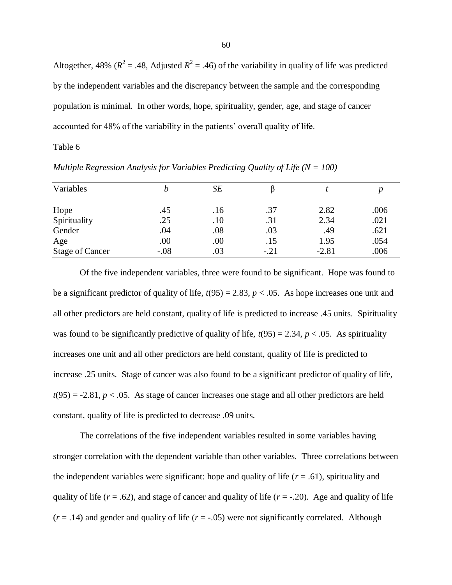Altogether, 48% ( $R^2 = .48$ , Adjusted  $R^2 = .46$ ) of the variability in quality of life was predicted by the independent variables and the discrepancy between the sample and the corresponding population is minimal. In other words, hope, spirituality, gender, age, and stage of cancer accounted for 48% of the variability in the patients' overall quality of life.

Table 6

| Variables              | Ŋ      | SE  |        |         |      |
|------------------------|--------|-----|--------|---------|------|
| Hope                   | .45    | .16 | .37    | 2.82    | .006 |
| Spirituality           | .25    | .10 | .31    | 2.34    | .021 |
| Gender                 | .04    | .08 | .03    | .49     | .621 |
| Age                    | .00    | .00 | .15    | 1.95    | .054 |
| <b>Stage of Cancer</b> | $-.08$ | .03 | $-.21$ | $-2.81$ | .006 |

*Multiple Regression Analysis for Variables Predicting Quality of Life (N = 100)*

Of the five independent variables, three were found to be significant. Hope was found to be a significant predictor of quality of life,  $t(95) = 2.83$ ,  $p < .05$ . As hope increases one unit and all other predictors are held constant, quality of life is predicted to increase .45 units. Spirituality was found to be significantly predictive of quality of life,  $t(95) = 2.34$ ,  $p < .05$ . As spirituality increases one unit and all other predictors are held constant, quality of life is predicted to increase .25 units. Stage of cancer was also found to be a significant predictor of quality of life,  $t(95) = -2.81$ ,  $p < .05$ . As stage of cancer increases one stage and all other predictors are held constant, quality of life is predicted to decrease .09 units.

The correlations of the five independent variables resulted in some variables having stronger correlation with the dependent variable than other variables. Three correlations between the independent variables were significant: hope and quality of life  $(r = .61)$ , spirituality and quality of life ( $r = .62$ ), and stage of cancer and quality of life ( $r = -.20$ ). Age and quality of life  $(r = .14)$  and gender and quality of life  $(r = .05)$  were not significantly correlated. Although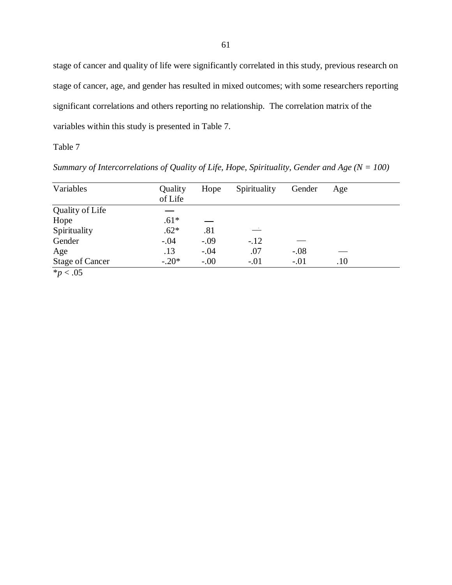stage of cancer and quality of life were significantly correlated in this study, previous research on stage of cancer, age, and gender has resulted in mixed outcomes; with some researchers reporting significant correlations and others reporting no relationship. The correlation matrix of the variables within this study is presented in Table 7.

Table 7

Variables Quality Hope Spirituality Gender Age of Life Quality of Life Hope  $.61*$  $\overline{\phantom{0}}$  $\overset{\rightharpoonup}{\phantom{+}}$ Spirituality .62\* .81 Gender -.04 -.09 -.12 Age .13 -.04 .07 -.08 Stage of Cancer -.20\* -.00 -.01 -.01 .10  $*_{p}$  < .05

*Summary of Intercorrelations of Quality of Life, Hope, Spirituality, Gender and Age (N = 100)*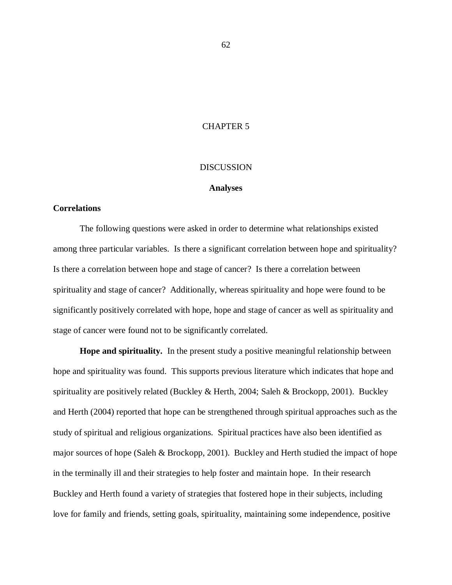# CHAPTER 5

## DISCUSSION

#### **Analyses**

# **Correlations**

The following questions were asked in order to determine what relationships existed among three particular variables. Is there a significant correlation between hope and spirituality? Is there a correlation between hope and stage of cancer? Is there a correlation between spirituality and stage of cancer? Additionally, whereas spirituality and hope were found to be significantly positively correlated with hope, hope and stage of cancer as well as spirituality and stage of cancer were found not to be significantly correlated.

**Hope and spirituality.** In the present study a positive meaningful relationship between hope and spirituality was found. This supports previous literature which indicates that hope and spirituality are positively related (Buckley & Herth, 2004; Saleh & Brockopp, 2001). Buckley and Herth (2004) reported that hope can be strengthened through spiritual approaches such as the study of spiritual and religious organizations. Spiritual practices have also been identified as major sources of hope (Saleh & Brockopp, 2001). Buckley and Herth studied the impact of hope in the terminally ill and their strategies to help foster and maintain hope. In their research Buckley and Herth found a variety of strategies that fostered hope in their subjects, including love for family and friends, setting goals, spirituality, maintaining some independence, positive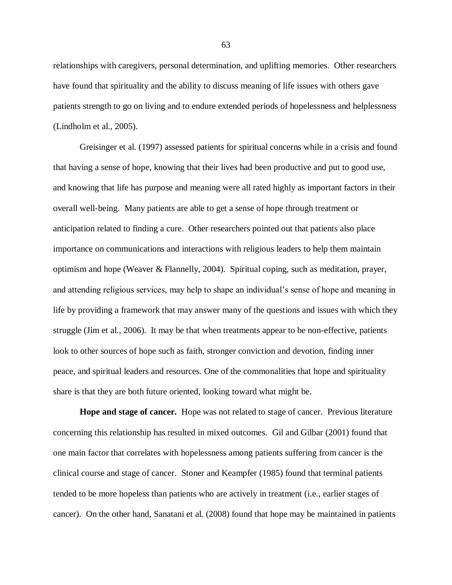relationships with caregivers, personal determination, and uplifting memories. Other researchers have found that spirituality and the ability to discuss meaning of life issues with others gave patients strength to go on living and to endure extended periods of hopelessness and helplessness (Lindholm et al., 2005).

Greisinger et al. (1997) assessed patients for spiritual concerns while in a crisis and found that having a sense of hope, knowing that their lives had been productive and put to good use, and knowing that life has purpose and meaning were all rated highly as important factors in their overall well-being. Many patients are able to get a sense of hope through treatment or anticipation related to finding a cure. Other researchers pointed out that patients also place importance on communications and interactions with religious leaders to help them maintain optimism and hope (Weaver & Flannelly, 2004). Spiritual coping, such as meditation, prayer, and attending religious services, may help to shape an individual's sense of hope and meaning in life by providing a framework that may answer many of the questions and issues with which they struggle (Jim et al., 2006). It may be that when treatments appear to be non-effective, patients look to other sources of hope such as faith, stronger conviction and devotion, finding inner peace, and spiritual leaders and resources. One of the commonalities that hope and spirituality share is that they are both future oriented, looking toward what might be.

**Hope and stage of cancer.** Hope was not related to stage of cancer. Previous literature concerning this relationship has resulted in mixed outcomes. Gil and Gilbar (2001) found that one main factor that correlates with hopelessness among patients suffering from cancer is the clinical course and stage of cancer. Stoner and Keampfer (1985) found that terminal patients tended to be more hopeless than patients who are actively in treatment (i.e., earlier stages of cancer). On the other hand, Sanatani et al. (2008) found that hope may be maintained in patients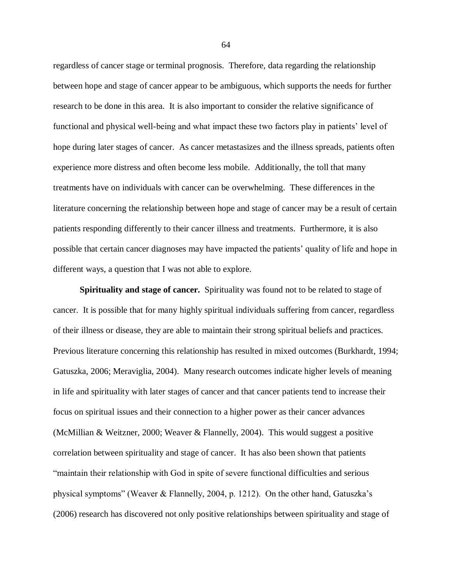regardless of cancer stage or terminal prognosis. Therefore, data regarding the relationship between hope and stage of cancer appear to be ambiguous, which supports the needs for further research to be done in this area. It is also important to consider the relative significance of functional and physical well-being and what impact these two factors play in patients' level of hope during later stages of cancer. As cancer metastasizes and the illness spreads, patients often experience more distress and often become less mobile. Additionally, the toll that many treatments have on individuals with cancer can be overwhelming. These differences in the literature concerning the relationship between hope and stage of cancer may be a result of certain patients responding differently to their cancer illness and treatments. Furthermore, it is also possible that certain cancer diagnoses may have impacted the patients' quality of life and hope in different ways, a question that I was not able to explore.

**Spirituality and stage of cancer.** Spirituality was found not to be related to stage of cancer. It is possible that for many highly spiritual individuals suffering from cancer, regardless of their illness or disease, they are able to maintain their strong spiritual beliefs and practices. Previous literature concerning this relationship has resulted in mixed outcomes (Burkhardt, 1994; Gatuszka, 2006; Meraviglia, 2004). Many research outcomes indicate higher levels of meaning in life and spirituality with later stages of cancer and that cancer patients tend to increase their focus on spiritual issues and their connection to a higher power as their cancer advances (McMillian & Weitzner, 2000; Weaver & Flannelly, 2004). This would suggest a positive correlation between spirituality and stage of cancer. It has also been shown that patients ―maintain their relationship with God in spite of severe functional difficulties and serious physical symptoms" (Weaver & Flannelly, 2004, p. 1212). On the other hand, Gatuszka's (2006) research has discovered not only positive relationships between spirituality and stage of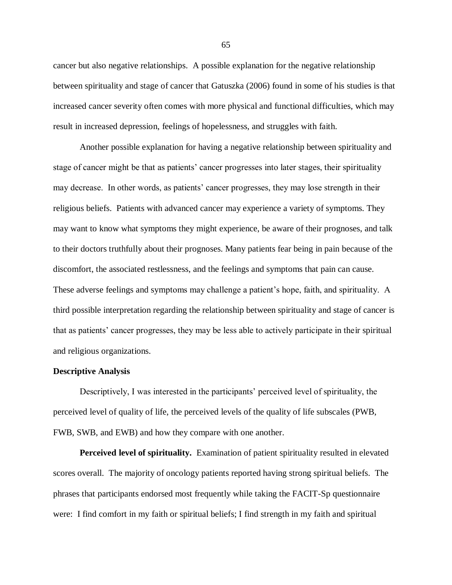cancer but also negative relationships. A possible explanation for the negative relationship between spirituality and stage of cancer that Gatuszka (2006) found in some of his studies is that increased cancer severity often comes with more physical and functional difficulties, which may result in increased depression, feelings of hopelessness, and struggles with faith.

Another possible explanation for having a negative relationship between spirituality and stage of cancer might be that as patients' cancer progresses into later stages, their spirituality may decrease. In other words, as patients' cancer progresses, they may lose strength in their religious beliefs. Patients with advanced cancer may experience a variety of symptoms. They may want to know what symptoms they might experience, be aware of their prognoses, and talk to their doctors truthfully about their prognoses. Many patients fear being in pain because of the discomfort, the associated restlessness, and the feelings and symptoms that pain can cause. These adverse feelings and symptoms may challenge a patient's hope, faith, and spirituality. A third possible interpretation regarding the relationship between spirituality and stage of cancer is that as patients' cancer progresses, they may be less able to actively participate in their spiritual and religious organizations.

## **Descriptive Analysis**

Descriptively, I was interested in the participants' perceived level of spirituality, the perceived level of quality of life, the perceived levels of the quality of life subscales (PWB, FWB, SWB, and EWB) and how they compare with one another.

**Perceived level of spirituality.** Examination of patient spirituality resulted in elevated scores overall. The majority of oncology patients reported having strong spiritual beliefs. The phrases that participants endorsed most frequently while taking the FACIT-Sp questionnaire were: I find comfort in my faith or spiritual beliefs; I find strength in my faith and spiritual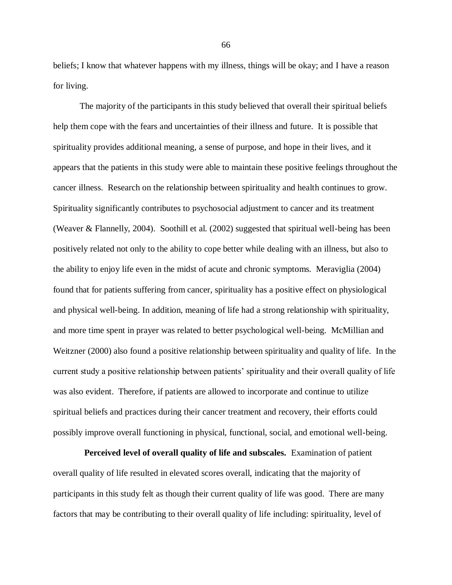beliefs; I know that whatever happens with my illness, things will be okay; and I have a reason for living.

The majority of the participants in this study believed that overall their spiritual beliefs help them cope with the fears and uncertainties of their illness and future. It is possible that spirituality provides additional meaning, a sense of purpose, and hope in their lives, and it appears that the patients in this study were able to maintain these positive feelings throughout the cancer illness. Research on the relationship between spirituality and health continues to grow. Spirituality significantly contributes to psychosocial adjustment to cancer and its treatment (Weaver & Flannelly, 2004). Soothill et al. (2002) suggested that spiritual well-being has been positively related not only to the ability to cope better while dealing with an illness, but also to the ability to enjoy life even in the midst of acute and chronic symptoms. Meraviglia (2004) found that for patients suffering from cancer, spirituality has a positive effect on physiological and physical well-being. In addition, meaning of life had a strong relationship with spirituality, and more time spent in prayer was related to better psychological well-being. McMillian and Weitzner (2000) also found a positive relationship between spirituality and quality of life. In the current study a positive relationship between patients' spirituality and their overall quality of life was also evident. Therefore, if patients are allowed to incorporate and continue to utilize spiritual beliefs and practices during their cancer treatment and recovery, their efforts could possibly improve overall functioning in physical, functional, social, and emotional well-being.

 **Perceived level of overall quality of life and subscales.** Examination of patient overall quality of life resulted in elevated scores overall, indicating that the majority of participants in this study felt as though their current quality of life was good. There are many factors that may be contributing to their overall quality of life including: spirituality, level of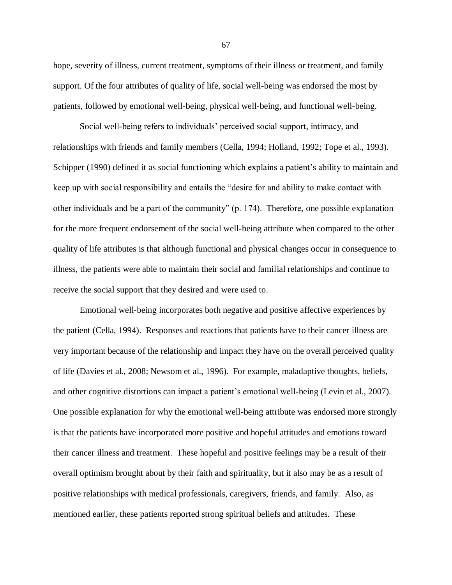hope, severity of illness, current treatment, symptoms of their illness or treatment, and family support. Of the four attributes of quality of life, social well-being was endorsed the most by patients, followed by emotional well-being, physical well-being, and functional well-being.

Social well-being refers to individuals' perceived social support, intimacy, and relationships with friends and family members (Cella, 1994; Holland, 1992; Tope et al., 1993). Schipper (1990) defined it as social functioning which explains a patient's ability to maintain and keep up with social responsibility and entails the "desire for and ability to make contact with other individuals and be a part of the community"  $(p. 174)$ . Therefore, one possible explanation for the more frequent endorsement of the social well-being attribute when compared to the other quality of life attributes is that although functional and physical changes occur in consequence to illness, the patients were able to maintain their social and familial relationships and continue to receive the social support that they desired and were used to.

Emotional well-being incorporates both negative and positive affective experiences by the patient (Cella, 1994). Responses and reactions that patients have to their cancer illness are very important because of the relationship and impact they have on the overall perceived quality of life (Davies et al., 2008; Newsom et al., 1996). For example, maladaptive thoughts, beliefs, and other cognitive distortions can impact a patient's emotional well-being (Levin et al., 2007). One possible explanation for why the emotional well-being attribute was endorsed more strongly is that the patients have incorporated more positive and hopeful attitudes and emotions toward their cancer illness and treatment. These hopeful and positive feelings may be a result of their overall optimism brought about by their faith and spirituality, but it also may be as a result of positive relationships with medical professionals, caregivers, friends, and family. Also, as mentioned earlier, these patients reported strong spiritual beliefs and attitudes. These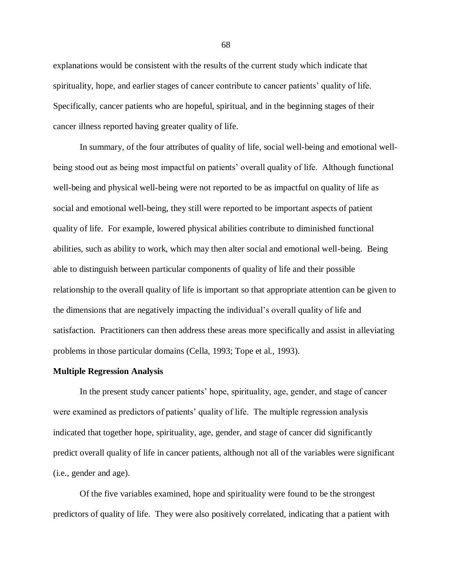explanations would be consistent with the results of the current study which indicate that spirituality, hope, and earlier stages of cancer contribute to cancer patients' quality of life. Specifically, cancer patients who are hopeful, spiritual, and in the beginning stages of their cancer illness reported having greater quality of life.

In summary, of the four attributes of quality of life, social well-being and emotional wellbeing stood out as being most impactful on patients' overall quality of life. Although functional well-being and physical well-being were not reported to be as impactful on quality of life as social and emotional well-being, they still were reported to be important aspects of patient quality of life. For example, lowered physical abilities contribute to diminished functional abilities, such as ability to work, which may then alter social and emotional well-being. Being able to distinguish between particular components of quality of life and their possible relationship to the overall quality of life is important so that appropriate attention can be given to the dimensions that are negatively impacting the individual's overall quality of life and satisfaction. Practitioners can then address these areas more specifically and assist in alleviating problems in those particular domains (Cella, 1993; Tope et al., 1993).

#### **Multiple Regression Analysis**

In the present study cancer patients' hope, spirituality, age, gender, and stage of cancer were examined as predictors of patients' quality of life. The multiple regression analysis indicated that together hope, spirituality, age, gender, and stage of cancer did significantly predict overall quality of life in cancer patients, although not all of the variables were significant (i.e., gender and age).

Of the five variables examined, hope and spirituality were found to be the strongest predictors of quality of life. They were also positively correlated, indicating that a patient with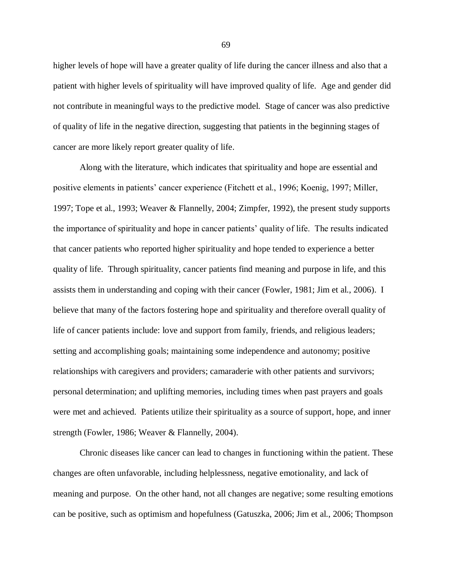higher levels of hope will have a greater quality of life during the cancer illness and also that a patient with higher levels of spirituality will have improved quality of life. Age and gender did not contribute in meaningful ways to the predictive model. Stage of cancer was also predictive of quality of life in the negative direction, suggesting that patients in the beginning stages of cancer are more likely report greater quality of life.

Along with the literature, which indicates that spirituality and hope are essential and positive elements in patients' cancer experience (Fitchett et al., 1996; Koenig, 1997; Miller, 1997; Tope et al., 1993; Weaver & Flannelly, 2004; Zimpfer, 1992), the present study supports the importance of spirituality and hope in cancer patients' quality of life. The results indicated that cancer patients who reported higher spirituality and hope tended to experience a better quality of life. Through spirituality, cancer patients find meaning and purpose in life, and this assists them in understanding and coping with their cancer (Fowler, 1981; Jim et al., 2006). I believe that many of the factors fostering hope and spirituality and therefore overall quality of life of cancer patients include: love and support from family, friends, and religious leaders; setting and accomplishing goals; maintaining some independence and autonomy; positive relationships with caregivers and providers; camaraderie with other patients and survivors; personal determination; and uplifting memories, including times when past prayers and goals were met and achieved. Patients utilize their spirituality as a source of support, hope, and inner strength (Fowler, 1986; Weaver & Flannelly, 2004).

Chronic diseases like cancer can lead to changes in functioning within the patient. These changes are often unfavorable, including helplessness, negative emotionality, and lack of meaning and purpose. On the other hand, not all changes are negative; some resulting emotions can be positive, such as optimism and hopefulness (Gatuszka, 2006; Jim et al., 2006; Thompson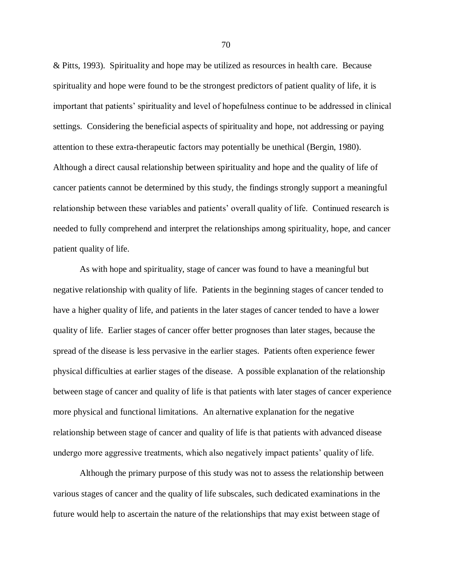& Pitts, 1993). Spirituality and hope may be utilized as resources in health care. Because spirituality and hope were found to be the strongest predictors of patient quality of life, it is important that patients' spirituality and level of hopefulness continue to be addressed in clinical settings. Considering the beneficial aspects of spirituality and hope, not addressing or paying attention to these extra-therapeutic factors may potentially be unethical (Bergin, 1980). Although a direct causal relationship between spirituality and hope and the quality of life of cancer patients cannot be determined by this study, the findings strongly support a meaningful relationship between these variables and patients' overall quality of life. Continued research is needed to fully comprehend and interpret the relationships among spirituality, hope, and cancer patient quality of life.

As with hope and spirituality, stage of cancer was found to have a meaningful but negative relationship with quality of life. Patients in the beginning stages of cancer tended to have a higher quality of life, and patients in the later stages of cancer tended to have a lower quality of life. Earlier stages of cancer offer better prognoses than later stages, because the spread of the disease is less pervasive in the earlier stages. Patients often experience fewer physical difficulties at earlier stages of the disease. A possible explanation of the relationship between stage of cancer and quality of life is that patients with later stages of cancer experience more physical and functional limitations. An alternative explanation for the negative relationship between stage of cancer and quality of life is that patients with advanced disease undergo more aggressive treatments, which also negatively impact patients' quality of life.

Although the primary purpose of this study was not to assess the relationship between various stages of cancer and the quality of life subscales, such dedicated examinations in the future would help to ascertain the nature of the relationships that may exist between stage of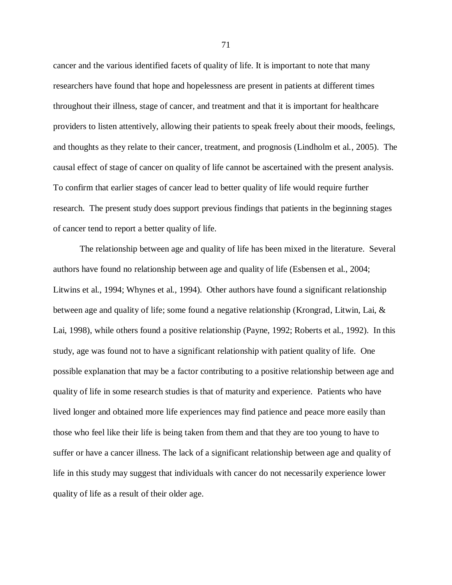cancer and the various identified facets of quality of life. It is important to note that many researchers have found that hope and hopelessness are present in patients at different times throughout their illness, stage of cancer, and treatment and that it is important for healthcare providers to listen attentively, allowing their patients to speak freely about their moods, feelings, and thoughts as they relate to their cancer, treatment, and prognosis (Lindholm et al., 2005). The causal effect of stage of cancer on quality of life cannot be ascertained with the present analysis. To confirm that earlier stages of cancer lead to better quality of life would require further research. The present study does support previous findings that patients in the beginning stages of cancer tend to report a better quality of life.

The relationship between age and quality of life has been mixed in the literature. Several authors have found no relationship between age and quality of life (Esbensen et al., 2004; Litwins et al., 1994; Whynes et al., 1994). Other authors have found a significant relationship between age and quality of life; some found a negative relationship (Krongrad, Litwin, Lai, & Lai, 1998), while others found a positive relationship (Payne, 1992; Roberts et al., 1992). In this study, age was found not to have a significant relationship with patient quality of life. One possible explanation that may be a factor contributing to a positive relationship between age and quality of life in some research studies is that of maturity and experience. Patients who have lived longer and obtained more life experiences may find patience and peace more easily than those who feel like their life is being taken from them and that they are too young to have to suffer or have a cancer illness. The lack of a significant relationship between age and quality of life in this study may suggest that individuals with cancer do not necessarily experience lower quality of life as a result of their older age.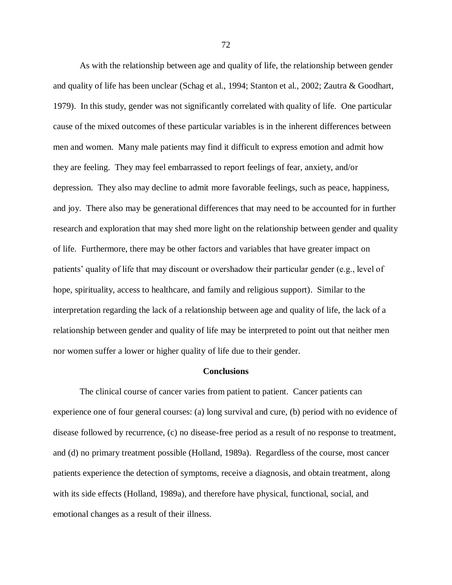As with the relationship between age and quality of life, the relationship between gender and quality of life has been unclear (Schag et al., 1994; Stanton et al., 2002; Zautra & Goodhart, 1979). In this study, gender was not significantly correlated with quality of life. One particular cause of the mixed outcomes of these particular variables is in the inherent differences between men and women. Many male patients may find it difficult to express emotion and admit how they are feeling. They may feel embarrassed to report feelings of fear, anxiety, and/or depression. They also may decline to admit more favorable feelings, such as peace, happiness, and joy. There also may be generational differences that may need to be accounted for in further research and exploration that may shed more light on the relationship between gender and quality of life. Furthermore, there may be other factors and variables that have greater impact on patients' quality of life that may discount or overshadow their particular gender (e.g., level of hope, spirituality, access to healthcare, and family and religious support). Similar to the interpretation regarding the lack of a relationship between age and quality of life, the lack of a relationship between gender and quality of life may be interpreted to point out that neither men nor women suffer a lower or higher quality of life due to their gender.

## **Conclusions**

The clinical course of cancer varies from patient to patient. Cancer patients can experience one of four general courses: (a) long survival and cure, (b) period with no evidence of disease followed by recurrence, (c) no disease-free period as a result of no response to treatment, and (d) no primary treatment possible (Holland, 1989a). Regardless of the course, most cancer patients experience the detection of symptoms, receive a diagnosis, and obtain treatment, along with its side effects (Holland, 1989a), and therefore have physical, functional, social, and emotional changes as a result of their illness.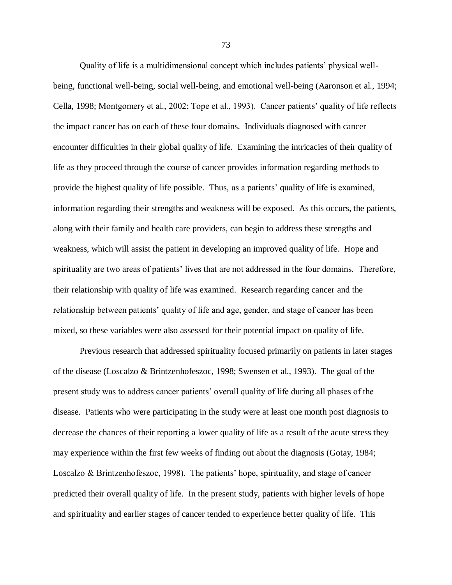Quality of life is a multidimensional concept which includes patients' physical wellbeing, functional well-being, social well-being, and emotional well-being (Aaronson et al., 1994; Cella, 1998; Montgomery et al., 2002; Tope et al., 1993). Cancer patients' quality of life reflects the impact cancer has on each of these four domains. Individuals diagnosed with cancer encounter difficulties in their global quality of life. Examining the intricacies of their quality of life as they proceed through the course of cancer provides information regarding methods to provide the highest quality of life possible. Thus, as a patients' quality of life is examined, information regarding their strengths and weakness will be exposed. As this occurs, the patients, along with their family and health care providers, can begin to address these strengths and weakness, which will assist the patient in developing an improved quality of life. Hope and spirituality are two areas of patients' lives that are not addressed in the four domains. Therefore, their relationship with quality of life was examined. Research regarding cancer and the relationship between patients' quality of life and age, gender, and stage of cancer has been mixed, so these variables were also assessed for their potential impact on quality of life.

Previous research that addressed spirituality focused primarily on patients in later stages of the disease (Loscalzo & Brintzenhofeszoc, 1998; Swensen et al., 1993). The goal of the present study was to address cancer patients' overall quality of life during all phases of the disease. Patients who were participating in the study were at least one month post diagnosis to decrease the chances of their reporting a lower quality of life as a result of the acute stress they may experience within the first few weeks of finding out about the diagnosis (Gotay, 1984; Loscalzo & Brintzenhofeszoc, 1998). The patients' hope, spirituality, and stage of cancer predicted their overall quality of life. In the present study, patients with higher levels of hope and spirituality and earlier stages of cancer tended to experience better quality of life. This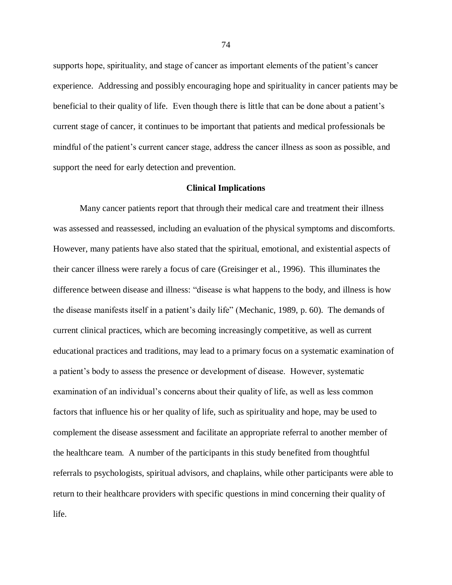supports hope, spirituality, and stage of cancer as important elements of the patient's cancer experience. Addressing and possibly encouraging hope and spirituality in cancer patients may be beneficial to their quality of life. Even though there is little that can be done about a patient's current stage of cancer, it continues to be important that patients and medical professionals be mindful of the patient's current cancer stage, address the cancer illness as soon as possible, and support the need for early detection and prevention.

#### **Clinical Implications**

Many cancer patients report that through their medical care and treatment their illness was assessed and reassessed, including an evaluation of the physical symptoms and discomforts. However, many patients have also stated that the spiritual, emotional, and existential aspects of their cancer illness were rarely a focus of care (Greisinger et al., 1996). This illuminates the difference between disease and illness: "disease is what happens to the body, and illness is how the disease manifests itself in a patient's daily life" (Mechanic, 1989, p. 60). The demands of current clinical practices, which are becoming increasingly competitive, as well as current educational practices and traditions, may lead to a primary focus on a systematic examination of a patient's body to assess the presence or development of disease. However, systematic examination of an individual's concerns about their quality of life, as well as less common factors that influence his or her quality of life, such as spirituality and hope, may be used to complement the disease assessment and facilitate an appropriate referral to another member of the healthcare team. A number of the participants in this study benefited from thoughtful referrals to psychologists, spiritual advisors, and chaplains, while other participants were able to return to their healthcare providers with specific questions in mind concerning their quality of life.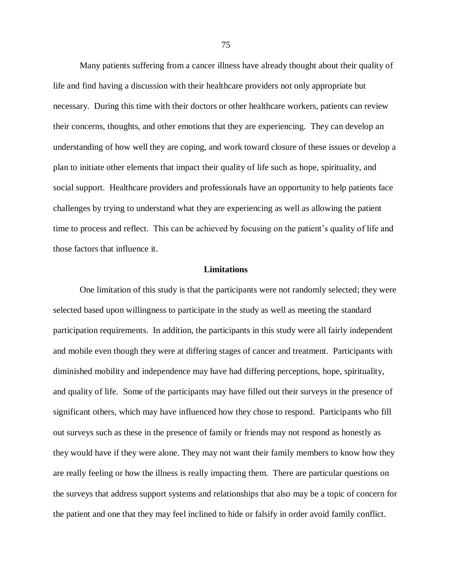Many patients suffering from a cancer illness have already thought about their quality of life and find having a discussion with their healthcare providers not only appropriate but necessary. During this time with their doctors or other healthcare workers, patients can review their concerns, thoughts, and other emotions that they are experiencing. They can develop an understanding of how well they are coping, and work toward closure of these issues or develop a plan to initiate other elements that impact their quality of life such as hope, spirituality, and social support. Healthcare providers and professionals have an opportunity to help patients face challenges by trying to understand what they are experiencing as well as allowing the patient time to process and reflect. This can be achieved by focusing on the patient's quality of life and those factors that influence it.

# **Limitations**

One limitation of this study is that the participants were not randomly selected; they were selected based upon willingness to participate in the study as well as meeting the standard participation requirements. In addition, the participants in this study were all fairly independent and mobile even though they were at differing stages of cancer and treatment. Participants with diminished mobility and independence may have had differing perceptions, hope, spirituality, and quality of life. Some of the participants may have filled out their surveys in the presence of significant others, which may have influenced how they chose to respond. Participants who fill out surveys such as these in the presence of family or friends may not respond as honestly as they would have if they were alone. They may not want their family members to know how they are really feeling or how the illness is really impacting them. There are particular questions on the surveys that address support systems and relationships that also may be a topic of concern for the patient and one that they may feel inclined to hide or falsify in order avoid family conflict.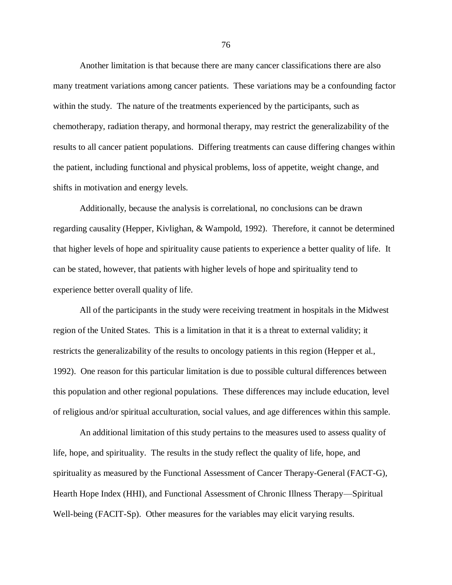Another limitation is that because there are many cancer classifications there are also many treatment variations among cancer patients. These variations may be a confounding factor within the study. The nature of the treatments experienced by the participants, such as chemotherapy, radiation therapy, and hormonal therapy, may restrict the generalizability of the results to all cancer patient populations. Differing treatments can cause differing changes within the patient, including functional and physical problems, loss of appetite, weight change, and shifts in motivation and energy levels.

Additionally, because the analysis is correlational, no conclusions can be drawn regarding causality (Hepper, Kivlighan, & Wampold, 1992). Therefore, it cannot be determined that higher levels of hope and spirituality cause patients to experience a better quality of life. It can be stated, however, that patients with higher levels of hope and spirituality tend to experience better overall quality of life.

All of the participants in the study were receiving treatment in hospitals in the Midwest region of the United States. This is a limitation in that it is a threat to external validity; it restricts the generalizability of the results to oncology patients in this region (Hepper et al., 1992). One reason for this particular limitation is due to possible cultural differences between this population and other regional populations. These differences may include education, level of religious and/or spiritual acculturation, social values, and age differences within this sample.

An additional limitation of this study pertains to the measures used to assess quality of life, hope, and spirituality. The results in the study reflect the quality of life, hope, and spirituality as measured by the Functional Assessment of Cancer Therapy-General (FACT-G), Hearth Hope Index (HHI), and Functional Assessment of Chronic Illness Therapy—Spiritual Well-being (FACIT-Sp). Other measures for the variables may elicit varying results.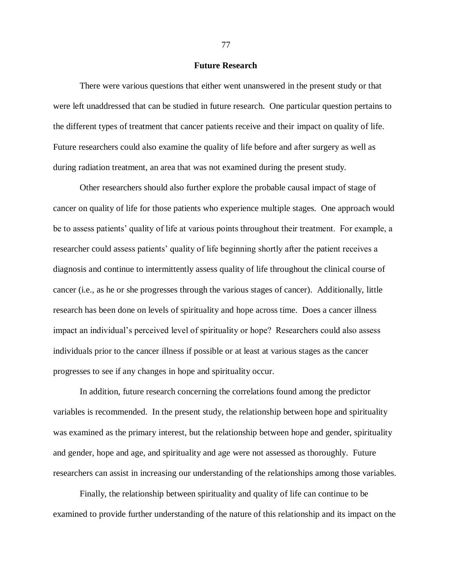## **Future Research**

There were various questions that either went unanswered in the present study or that were left unaddressed that can be studied in future research. One particular question pertains to the different types of treatment that cancer patients receive and their impact on quality of life. Future researchers could also examine the quality of life before and after surgery as well as during radiation treatment, an area that was not examined during the present study.

Other researchers should also further explore the probable causal impact of stage of cancer on quality of life for those patients who experience multiple stages. One approach would be to assess patients' quality of life at various points throughout their treatment. For example, a researcher could assess patients' quality of life beginning shortly after the patient receives a diagnosis and continue to intermittently assess quality of life throughout the clinical course of cancer (i.e., as he or she progresses through the various stages of cancer). Additionally, little research has been done on levels of spirituality and hope across time. Does a cancer illness impact an individual's perceived level of spirituality or hope? Researchers could also assess individuals prior to the cancer illness if possible or at least at various stages as the cancer progresses to see if any changes in hope and spirituality occur.

In addition, future research concerning the correlations found among the predictor variables is recommended. In the present study, the relationship between hope and spirituality was examined as the primary interest, but the relationship between hope and gender, spirituality and gender, hope and age, and spirituality and age were not assessed as thoroughly. Future researchers can assist in increasing our understanding of the relationships among those variables.

Finally, the relationship between spirituality and quality of life can continue to be examined to provide further understanding of the nature of this relationship and its impact on the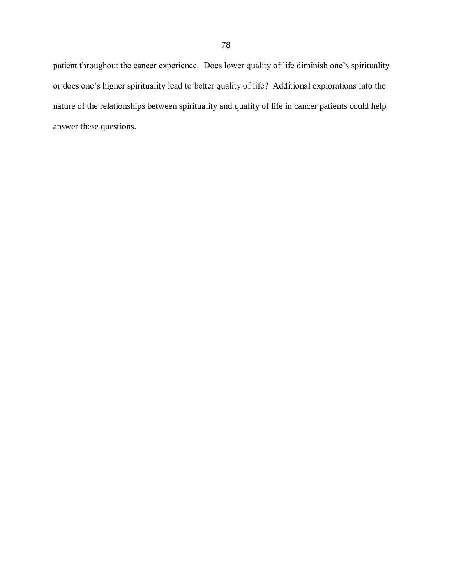patient throughout the cancer experience. Does lower quality of life diminish one's spirituality or does one's higher spirituality lead to better quality of life? Additional explorations into the nature of the relationships between spirituality and quality of life in cancer patients could help answer these questions.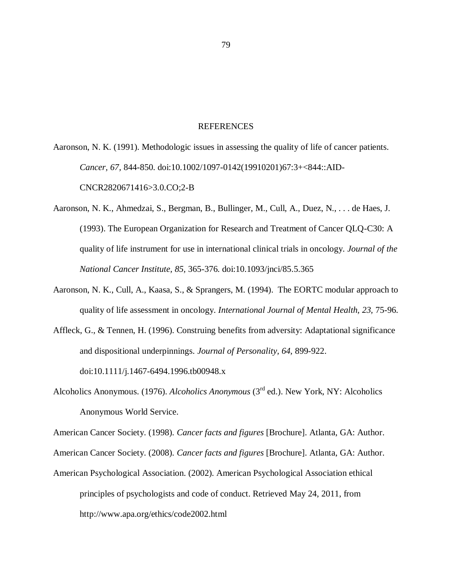## REFERENCES

Aaronson, N. K. (1991). Methodologic issues in assessing the quality of life of cancer patients. *Cancer, 67,* 844-850. doi:10.1002/1097-0142(19910201)67:3+<844::AID-CNCR2820671416>3.0.CO;2-B

- Aaronson, N. K., Ahmedzai, S., Bergman, B., Bullinger, M., Cull, A., Duez, N., . . . de Haes, J. (1993). The European Organization for Research and Treatment of Cancer QLQ-C30: A quality of life instrument for use in international clinical trials in oncology. *Journal of the National Cancer Institute, 85,* 365-376. doi:10.1093/jnci/85.5.365
- Aaronson, N. K., Cull, A., Kaasa, S., & Sprangers, M. (1994). The EORTC modular approach to quality of life assessment in oncology. *International Journal of Mental Health, 23,* 75-96.
- Affleck, G., & Tennen, H. (1996). Construing benefits from adversity: Adaptational significance and dispositional underpinnings. *Journal of Personality, 64,* 899-922. doi:10.1111/j.1467-6494.1996.tb00948.x
- Alcoholics Anonymous. (1976). *Alcoholics Anonymous* (3rd ed.). New York, NY: Alcoholics Anonymous World Service.

American Cancer Society. (1998). *Cancer facts and figures* [Brochure]. Atlanta, GA: Author.

American Cancer Society. (2008). *Cancer facts and figures* [Brochure]. Atlanta, GA: Author.

American Psychological Association. (2002). American Psychological Association ethical principles of psychologists and code of conduct. Retrieved May 24, 2011, from <http://www.apa.org/ethics/code2002.html>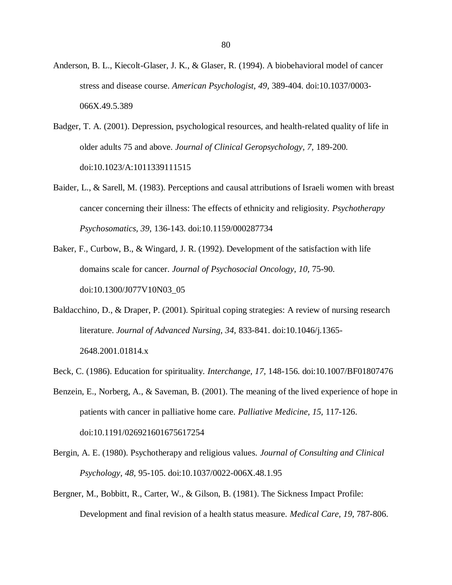- Anderson, B. L., Kiecolt-Glaser, J. K., & Glaser, R. (1994). A biobehavioral model of cancer stress and disease course. *American Psychologist, 49,* 389-404. doi:10.1037/0003- 066X.49.5.389
- Badger, T. A. (2001). Depression, psychological resources, and health-related quality of life in older adults 75 and above. *Journal of Clinical Geropsychology, 7,* 189-200. doi:10.1023/A:1011339111515
- Baider, L., & Sarell, M. (1983). Perceptions and causal attributions of Israeli women with breast cancer concerning their illness: The effects of ethnicity and religiosity. *Psychotherapy Psychosomatics, 39,* 136-143. doi:10.1159/000287734
- Baker, F., Curbow, B., & Wingard, J. R. (1992). Development of the satisfaction with life domains scale for cancer. *Journal of Psychosocial Oncology, 10,* 75-90. doi:10.1300/J077V10N03\_05
- Baldacchino, D., & Draper, P. (2001). Spiritual coping strategies: A review of nursing research literature. *Journal of Advanced Nursing, 34,* 833-841. doi:10.1046/j.1365- 2648.2001.01814.x
- Beck, C. (1986). Education for spirituality. *Interchange, 17,* 148-156. doi:10.1007/BF01807476
- Benzein, E., Norberg, A., & Saveman, B. (2001). The meaning of the lived experience of hope in patients with cancer in palliative home care. *Palliative Medicine, 15,* 117-126. doi:10.1191/026921601675617254
- Bergin, A. E. (1980). Psychotherapy and religious values. *Journal of Consulting and Clinical Psychology, 48,* 95-105. doi:10.1037/0022-006X.48.1.95
- Bergner, M., Bobbitt, R., Carter, W., & Gilson, B. (1981). The Sickness Impact Profile: Development and final revision of a health status measure. *Medical Care, 19,* 787-806.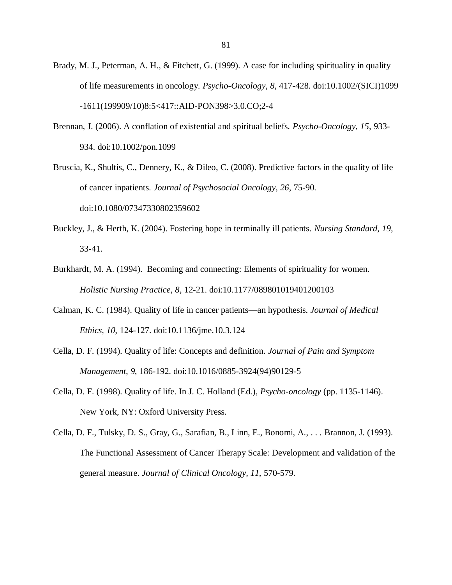- Brady, M. J., Peterman, A. H., & Fitchett, G. (1999). A case for including spirituality in quality of life measurements in oncology. *Psycho-Oncology, 8,* 417-428. doi:10.1002/(SICI)1099 -1611(199909/10)8:5<417::AID-PON398>3.0.CO;2-4
- Brennan, J. (2006). A conflation of existential and spiritual beliefs. *Psycho-Oncology, 15,* 933- 934. doi:10.1002/pon.1099
- Bruscia, K., Shultis, C., Dennery, K., & Dileo, C. (2008). Predictive factors in the quality of life of cancer inpatients. *Journal of Psychosocial Oncology, 26,* 75-90. doi:10.1080/07347330802359602
- Buckley, J., & Herth, K. (2004). Fostering hope in terminally ill patients. *Nursing Standard, 19,* 33-41.
- Burkhardt, M. A. (1994). Becoming and connecting: Elements of spirituality for women. *Holistic Nursing Practice, 8,* 12-21. doi:10.1177/089801019401200103
- Calman, K. C. (1984). Quality of life in cancer patients—an hypothesis. *Journal of Medical Ethics, 10,* 124-127. doi:10.1136/jme.10.3.124
- Cella, D. F. (1994). Quality of life: Concepts and definition. *Journal of Pain and Symptom Management, 9,* 186-192. doi:10.1016/0885-3924(94)90129-5
- Cella, D. F. (1998). Quality of life. In J. C. Holland (Ed.), *Psycho-oncology* (pp. 1135-1146). New York, NY: Oxford University Press.
- Cella, D. F., Tulsky, D. S., Gray, G., Sarafian, B., Linn, E., Bonomi, A., . . . Brannon, J. (1993). The Functional Assessment of Cancer Therapy Scale: Development and validation of the general measure. *Journal of Clinical Oncology, 11,* 570-579.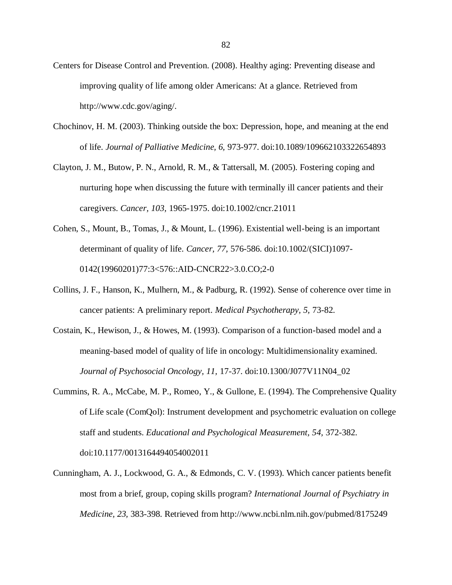- Centers for Disease Control and Prevention. (2008). Healthy aging: Preventing disease and improving quality of life among older Americans: At a glance. Retrieved from http://www.cdc.gov/aging/.
- Chochinov, H. M. (2003). Thinking outside the box: Depression, hope, and meaning at the end of life. *Journal of Palliative Medicine, 6,* 973-977. doi:10.1089/109662103322654893
- Clayton, J. M., Butow, P. N., Arnold, R. M., & Tattersall, M. (2005). Fostering coping and nurturing hope when discussing the future with terminally ill cancer patients and their caregivers. *Cancer, 103,* 1965-1975. doi:10.1002/cncr.21011
- Cohen, S., Mount, B., Tomas, J., & Mount, L. (1996). Existential well-being is an important determinant of quality of life. *Cancer, 77,* 576-586. doi:10.1002/(SICI)1097- 0142(19960201)77:3<576::AID-CNCR22>3.0.CO;2-0
- Collins, J. F., Hanson, K., Mulhern, M., & Padburg, R. (1992). Sense of coherence over time in cancer patients: A preliminary report. *Medical Psychotherapy, 5,* 73-82.
- Costain, K., Hewison, J., & Howes, M. (1993). Comparison of a function-based model and a meaning-based model of quality of life in oncology: Multidimensionality examined. *Journal of Psychosocial Oncology, 11,* 17-37. doi:10.1300/J077V11N04\_02
- Cummins, R. A., McCabe, M. P., Romeo, Y., & Gullone, E. (1994). The Comprehensive Quality of Life scale (ComQol): Instrument development and psychometric evaluation on college staff and students. *Educational and Psychological Measurement, 54,* 372-382. doi:10.1177/0013164494054002011
- Cunningham, A. J., Lockwood, G. A., & Edmonds, C. V. (1993). Which cancer patients benefit most from a brief, group, coping skills program? *International Journal of Psychiatry in Medicine, 23,* 383-398. Retrieved from http://www.ncbi.nlm.nih.gov/pubmed/8175249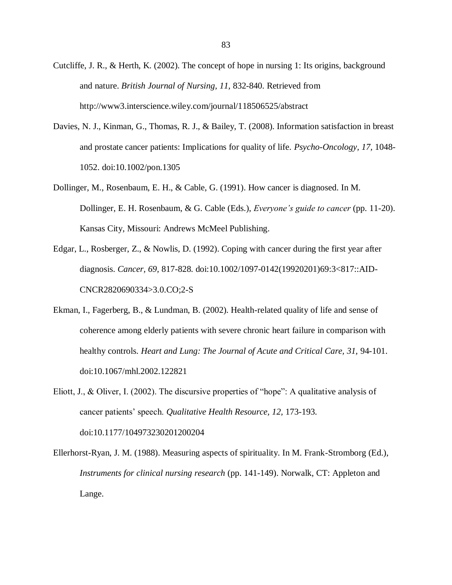- Cutcliffe, J. R., & Herth, K. (2002). The concept of hope in nursing 1: Its origins, background and nature. *British Journal of Nursing, 11,* 832-840. Retrieved from http://www3.interscience.wiley.com/journal/118506525/abstract
- Davies, N. J., Kinman, G., Thomas, R. J., & Bailey, T. (2008). Information satisfaction in breast and prostate cancer patients: Implications for quality of life. *Psycho-Oncology, 17,* 1048- 1052. doi:10.1002/pon.1305
- Dollinger, M., Rosenbaum, E. H., & Cable, G. (1991). How cancer is diagnosed. In M. Dollinger, E. H. Rosenbaum, & G. Cable (Eds.), *Everyone's guide to cancer* (pp. 11-20). Kansas City, Missouri: Andrews McMeel Publishing.
- Edgar, L., Rosberger, Z., & Nowlis, D. (1992). Coping with cancer during the first year after diagnosis. *Cancer, 69,* 817-828. doi:10.1002/1097-0142(19920201)69:3<817::AID-CNCR2820690334>3.0.CO;2-S
- Ekman, I., Fagerberg, B., & Lundman, B. (2002). Health-related quality of life and sense of coherence among elderly patients with severe chronic heart failure in comparison with healthy controls. *Heart and Lung: The Journal of Acute and Critical Care, 31,* 94-101. doi:10.1067/mhl.2002.122821
- Eliott, J., & Oliver, I. (2002). The discursive properties of "hope": A qualitative analysis of cancer patients' speech. *Qualitative Health Resource, 12,* 173-193. doi:10.1177/104973230201200204

Ellerhorst-Ryan, J. M. (1988). Measuring aspects of spirituality. In M. Frank-Stromborg (Ed.), *Instruments for clinical nursing research* (pp. 141-149). Norwalk, CT: Appleton and Lange.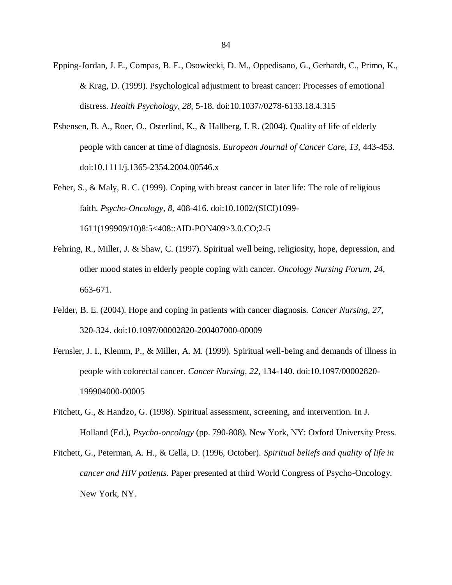- Epping-Jordan, J. E., Compas, B. E., Osowiecki, D. M., Oppedisano, G., Gerhardt, C., Primo, K., & Krag, D. (1999). Psychological adjustment to breast cancer: Processes of emotional distress. *Health Psychology, 28,* 5-18. doi:10.1037//0278-6133.18.4.315
- Esbensen, B. A., Roer, O., Osterlind, K., & Hallberg, I. R. (2004). Quality of life of elderly people with cancer at time of diagnosis. *European Journal of Cancer Care, 13,* 443-453. doi:10.1111/j.1365-2354.2004.00546.x
- Feher, S., & Maly, R. C. (1999). Coping with breast cancer in later life: The role of religious faith. *Psycho-Oncology, 8,* 408-416. doi:10.1002/(SICI)1099- 1611(199909/10)8:5<408::AID-PON409>3.0.CO;2-5
- Fehring, R., Miller, J. & Shaw, C. (1997). Spiritual well being, religiosity, hope, depression, and other mood states in elderly people coping with cancer. *Oncology Nursing Forum, 24,* 663-671.
- Felder, B. E. (2004). Hope and coping in patients with cancer diagnosis. *Cancer Nursing, 27,* 320-324. doi:10.1097/00002820-200407000-00009
- Fernsler, J. I., Klemm, P., & Miller, A. M. (1999). Spiritual well-being and demands of illness in people with colorectal cancer. *Cancer Nursing, 22,* 134-140. doi:10.1097/00002820- 199904000-00005
- Fitchett, G., & Handzo, G. (1998). Spiritual assessment, screening, and intervention. In J. Holland (Ed.), *Psycho-oncology* (pp. 790-808). New York, NY: Oxford University Press.
- Fitchett, G., Peterman, A. H., & Cella, D. (1996, October). *Spiritual beliefs and quality of life in cancer and HIV patients.* Paper presented at third World Congress of Psycho-Oncology. New York, NY.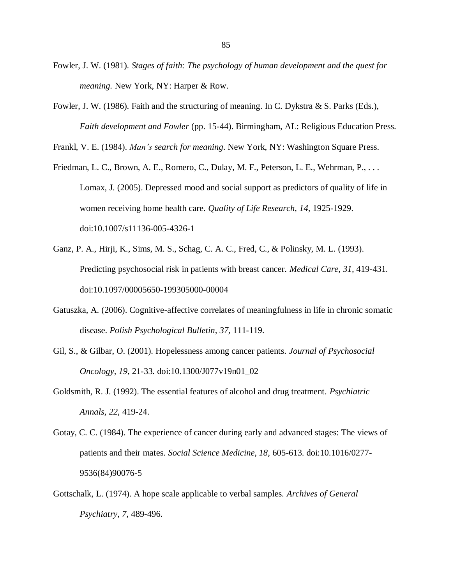- Fowler, J. W. (1981). *Stages of faith: The psychology of human development and the quest for meaning.* New York, NY: Harper & Row.
- Fowler, J. W. (1986). Faith and the structuring of meaning. In C. Dykstra & S. Parks (Eds.), *Faith development and Fowler* (pp. 15-44). Birmingham, AL: Religious Education Press.

Frankl, V. E. (1984). *Man's search for meaning*. New York, NY: Washington Square Press.

- Friedman, L. C., Brown, A. E., Romero, C., Dulay, M. F., Peterson, L. E., Wehrman, P., . . . Lomax, J. (2005). Depressed mood and social support as predictors of quality of life in women receiving home health care. *Quality of Life Research, 14,* 1925-1929. doi:10.1007/s11136-005-4326-1
- Ganz, P. A., Hirji, K., Sims, M. S., Schag, C. A. C., Fred, C., & Polinsky, M. L. (1993). Predicting psychosocial risk in patients with breast cancer. *Medical Care, 31,* 419-431. doi:10.1097/00005650-199305000-00004
- Gatuszka, A. (2006). Cognitive-affective correlates of meaningfulness in life in chronic somatic disease. *Polish Psychological Bulletin, 37,* 111-119.
- Gil, S., & Gilbar, O. (2001). Hopelessness among cancer patients. *Journal of Psychosocial Oncology, 19,* 21-33. doi:10.1300/J077v19n01\_02
- Goldsmith, R. J. (1992). The essential features of alcohol and drug treatment. *Psychiatric Annals, 22,* 419-24.
- Gotay, C. C. (1984). The experience of cancer during early and advanced stages: The views of patients and their mates. *Social Science Medicine, 18,* 605-613. doi:10.1016/0277- 9536(84)90076-5
- Gottschalk, L. (1974). A hope scale applicable to verbal samples. *Archives of General Psychiatry, 7,* 489-496.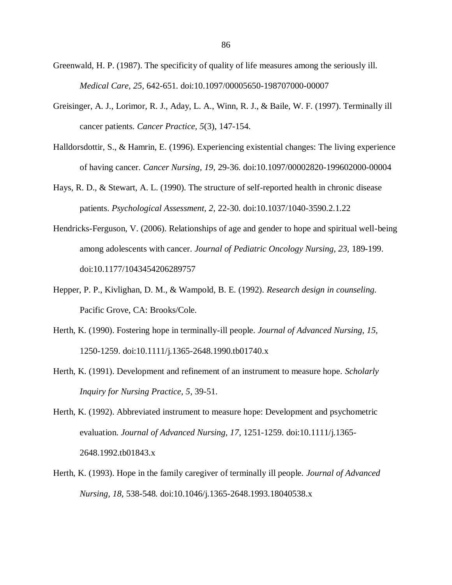Greenwald, H. P. (1987). The specificity of quality of life measures among the seriously ill. *Medical Care, 25,* 642-651. doi:10.1097/00005650-198707000-00007

- Greisinger, A. J., Lorimor, R. J., Aday, L. A., Winn, R. J., & Baile, W. F. (1997). Terminally ill cancer patients. *Cancer Practice, 5*(3), 147-154.
- Halldorsdottir, S., & Hamrin, E. (1996). Experiencing existential changes: The living experience of having cancer. *Cancer Nursing, 19,* 29-36. doi:10.1097/00002820-199602000-00004
- Hays, R. D., & Stewart, A. L. (1990). The structure of self-reported health in chronic disease patients. *Psychological Assessment, 2,* 22-30. doi:10.1037/1040-3590.2.1.22
- Hendricks-Ferguson, V. (2006). Relationships of age and gender to hope and spiritual well-being among adolescents with cancer. *Journal of Pediatric Oncology Nursing, 23,* 189-199. doi:10.1177/1043454206289757
- Hepper, P. P., Kivlighan, D. M., & Wampold, B. E. (1992). *Research design in counseling.* Pacific Grove, CA: Brooks/Cole.
- Herth, K. (1990). Fostering hope in terminally-ill people. *Journal of Advanced Nursing, 15,* 1250-1259. doi:10.1111/j.1365-2648.1990.tb01740.x
- Herth, K. (1991). Development and refinement of an instrument to measure hope. *Scholarly Inquiry for Nursing Practice, 5,* 39-51.
- Herth, K. (1992). Abbreviated instrument to measure hope: Development and psychometric evaluation. *Journal of Advanced Nursing, 17,* 1251-1259. doi:10.1111/j.1365- 2648.1992.tb01843.x
- Herth, K. (1993). Hope in the family caregiver of terminally ill people. *Journal of Advanced Nursing, 18,* 538-548. doi:10.1046/j.1365-2648.1993.18040538.x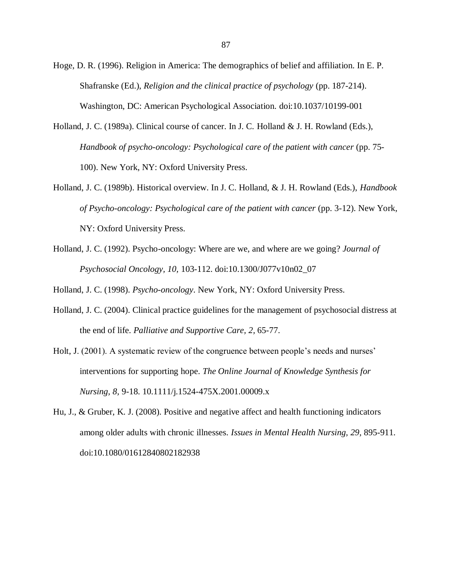- Hoge, D. R. (1996). Religion in America: The demographics of belief and affiliation. In E. P. Shafranske (Ed.), *Religion and the clinical practice of psychology* (pp. 187-214). Washington, DC: American Psychological Association. doi:10.1037/10199-001
- Holland, J. C. (1989a). Clinical course of cancer. In J. C. Holland & J. H. Rowland (Eds.), *Handbook of psycho-oncology: Psychological care of the patient with cancer* (pp. 75- 100). New York, NY: Oxford University Press.
- Holland, J. C. (1989b). Historical overview. In J. C. Holland, & J. H. Rowland (Eds.), *Handbook of Psycho-oncology: Psychological care of the patient with cancer* (pp. 3-12). New York, NY: Oxford University Press.
- Holland, J. C. (1992). Psycho-oncology: Where are we, and where are we going? *Journal of Psychosocial Oncology, 10,* 103-112. doi:10.1300/J077v10n02\_07

Holland, J. C. (1998). *Psycho-oncology*. New York, NY: Oxford University Press.

- Holland, J. C. (2004). Clinical practice guidelines for the management of psychosocial distress at the end of life. *Palliative and Supportive Care, 2,* 65-77.
- Holt, J. (2001). A systematic review of the congruence between people's needs and nurses' interventions for supporting hope. *The Online Journal of Knowledge Synthesis for Nursing, 8,* 9-18. 10.1111/j.1524-475X.2001.00009.x
- Hu, J., & Gruber, K. J. (2008). Positive and negative affect and health functioning indicators among older adults with chronic illnesses. *Issues in Mental Health Nursing, 29,* 895-911. doi:10.1080/01612840802182938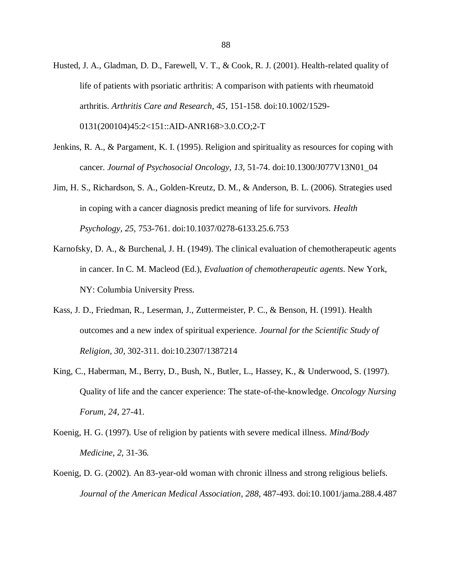- Husted, J. A., Gladman, D. D., Farewell, V. T., & Cook, R. J. (2001). Health-related quality of life of patients with psoriatic arthritis: A comparison with patients with rheumatoid arthritis. *Arthritis Care and Research, 45,* 151-158. doi:10.1002/1529- 0131(200104)45:2<151::AID-ANR168>3.0.CO;2-T
- Jenkins, R. A., & Pargament, K. I. (1995). Religion and spirituality as resources for coping with cancer. *Journal of Psychosocial Oncology, 13,* 51-74. doi:10.1300/J077V13N01\_04
- Jim, H. S., Richardson, S. A., Golden-Kreutz, D. M., & Anderson, B. L. (2006). Strategies used in coping with a cancer diagnosis predict meaning of life for survivors. *Health Psychology, 25,* 753-761. doi:10.1037/0278-6133.25.6.753
- Karnofsky, D. A., & Burchenal, J. H. (1949). The clinical evaluation of chemotherapeutic agents in cancer. In C. M. Macleod (Ed.), *Evaluation of chemotherapeutic agents*. New York, NY: Columbia University Press.
- Kass, J. D., Friedman, R., Leserman, J., Zuttermeister, P. C., & Benson, H. (1991). Health outcomes and a new index of spiritual experience. *Journal for the Scientific Study of Religion, 30,* 302-311. doi:10.2307/1387214
- King, C., Haberman, M., Berry, D., Bush, N., Butler, L., Hassey, K., & Underwood, S. (1997). Quality of life and the cancer experience: The state-of-the-knowledge. *Oncology Nursing Forum, 24*, 27-41.
- Koenig, H. G. (1997). Use of religion by patients with severe medical illness. *Mind/Body Medicine, 2,* 31-36.
- Koenig, D. G. (2002). An 83-year-old woman with chronic illness and strong religious beliefs. *Journal of the American Medical Association, 288,* 487-493. doi:10.1001/jama.288.4.487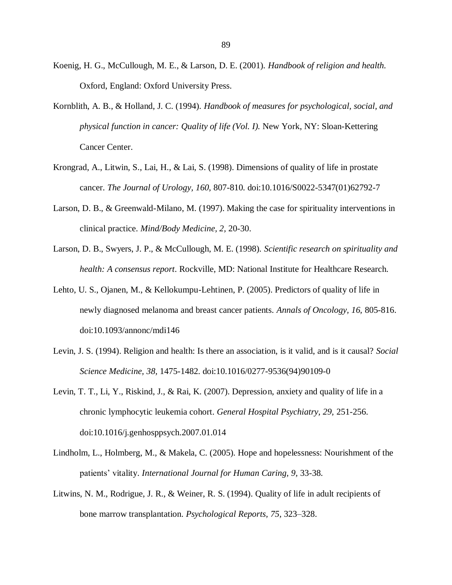- Koenig, H. G., McCullough, M. E., & Larson, D. E. (2001). *Handbook of religion and health.* Oxford, England: Oxford University Press.
- Kornblith, A. B., & Holland, J. C. (1994). *Handbook of measures for psychological, social, and physical function in cancer: Quality of life (Vol. I).* New York, NY: Sloan-Kettering Cancer Center.
- Krongrad, A., Litwin, S., Lai, H., & Lai, S. (1998). Dimensions of quality of life in prostate cancer. *The Journal of Urology, 160,* 807-810. doi:10.1016/S0022-5347(01)62792-7
- Larson, D. B., & Greenwald-Milano, M. (1997). Making the case for spirituality interventions in clinical practice. *Mind/Body Medicine, 2,* 20-30.
- Larson, D. B., Swyers, J. P., & McCullough, M. E. (1998). *Scientific research on spirituality and health: A consensus report*. Rockville, MD: National Institute for Healthcare Research.
- Lehto, U. S., Ojanen, M., & Kellokumpu-Lehtinen, P. (2005). Predictors of quality of life in newly diagnosed melanoma and breast cancer patients. *Annals of Oncology, 16,* 805-816. doi:10.1093/annonc/mdi146
- Levin, J. S. (1994). Religion and health: Is there an association, is it valid, and is it causal? *Social Science Medicine, 38,* 1475-1482. doi:10.1016/0277-9536(94)90109-0
- Levin, T. T., Li, Y., Riskind, J., & Rai, K. (2007). Depression, anxiety and quality of life in a chronic lymphocytic leukemia cohort. *General Hospital Psychiatry, 29,* 251-256. doi:10.1016/j.genhosppsych.2007.01.014
- Lindholm, L., Holmberg, M., & Makela, C. (2005). Hope and hopelessness: Nourishment of the patients' vitality. *International Journal for Human Caring, 9,* 33-38.
- Litwins, N. M., Rodrigue, J. R., & Weiner, R. S. (1994). Quality of life in adult recipients of bone marrow transplantation. *Psychological Reports, 75,* 323–328.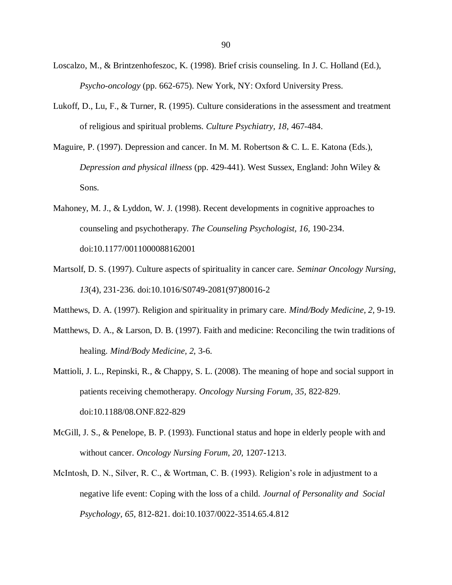- Loscalzo, M., & Brintzenhofeszoc, K. (1998). Brief crisis counseling. In J. C. Holland (Ed.), *Psycho-oncology* (pp. 662-675). New York, NY: Oxford University Press.
- Lukoff, D., Lu, F., & Turner, R. (1995). Culture considerations in the assessment and treatment of religious and spiritual problems. *Culture Psychiatry, 18,* 467-484.
- Maguire, P. (1997). Depression and cancer. In M. M. Robertson & C. L. E. Katona (Eds.), *Depression and physical illness* (pp. 429-441). West Sussex, England: John Wiley & Sons.
- Mahoney, M. J., & Lyddon, W. J. (1998). Recent developments in cognitive approaches to counseling and psychotherapy. *The Counseling Psychologist, 16,* 190-234. doi:10.1177/0011000088162001
- Martsolf, D. S. (1997). Culture aspects of spirituality in cancer care. *Seminar Oncology Nursing, 13*(4), 231-236. doi:10.1016/S0749-2081(97)80016-2
- Matthews, D. A. (1997). Religion and spirituality in primary care. *Mind/Body Medicine, 2,* 9-19.
- Matthews, D. A., & Larson, D. B. (1997). Faith and medicine: Reconciling the twin traditions of healing. *Mind/Body Medicine, 2,* 3-6.
- Mattioli, J. L., Repinski, R., & Chappy, S. L. (2008). The meaning of hope and social support in patients receiving chemotherapy. *Oncology Nursing Forum, 35,* 822-829. doi:10.1188/08.ONF.822-829
- McGill, J. S., & Penelope, B. P. (1993). Functional status and hope in elderly people with and without cancer. *Oncology Nursing Forum, 20,* 1207-1213.
- McIntosh, D. N., Silver, R. C., & Wortman, C. B. (1993). Religion's role in adjustment to a negative life event: Coping with the loss of a child. *Journal of Personality and Social Psychology, 65,* 812-821. doi:10.1037/0022-3514.65.4.812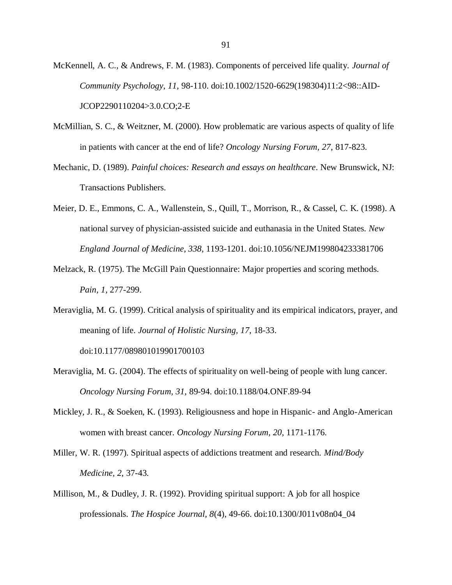- McKennell, A. C., & Andrews, F. M. (1983). Components of perceived life quality. *Journal of Community Psychology, 11,* 98-110. doi:10.1002/1520-6629(198304)11:2<98::AID-JCOP2290110204>3.0.CO;2-E
- McMillian, S. C., & Weitzner, M. (2000). How problematic are various aspects of quality of life in patients with cancer at the end of life? *Oncology Nursing Forum, 27,* 817-823.
- Mechanic, D. (1989). *Painful choices: Research and essays on healthcare*. New Brunswick, NJ: Transactions Publishers.
- Meier, D. E., Emmons, C. A., Wallenstein, S., Quill, T., Morrison, R., & Cassel, C. K. (1998). A national survey of physician-assisted suicide and euthanasia in the United States. *New England Journal of Medicine, 338,* 1193-1201. doi:10.1056/NEJM199804233381706
- Melzack, R. (1975). The McGill Pain Questionnaire: Major properties and scoring methods. *Pain, 1,* 277-299.
- Meraviglia, M. G. (1999). Critical analysis of spirituality and its empirical indicators, prayer, and meaning of life. *Journal of Holistic Nursing, 17,* 18-33. doi:10.1177/089801019901700103
- Meraviglia, M. G. (2004). The effects of spirituality on well-being of people with lung cancer. *Oncology Nursing Forum, 31,* 89-94. doi:10.1188/04.ONF.89-94
- Mickley, J. R., & Soeken, K. (1993). Religiousness and hope in Hispanic- and Anglo-American women with breast cancer. *Oncology Nursing Forum, 20,* 1171-1176.
- Miller, W. R. (1997). Spiritual aspects of addictions treatment and research. *Mind/Body Medicine, 2,* 37-43.
- Millison, M., & Dudley, J. R. (1992). Providing spiritual support: A job for all hospice professionals. *The Hospice Journal, 8*(4), 49-66. doi:10.1300/J011v08n04\_04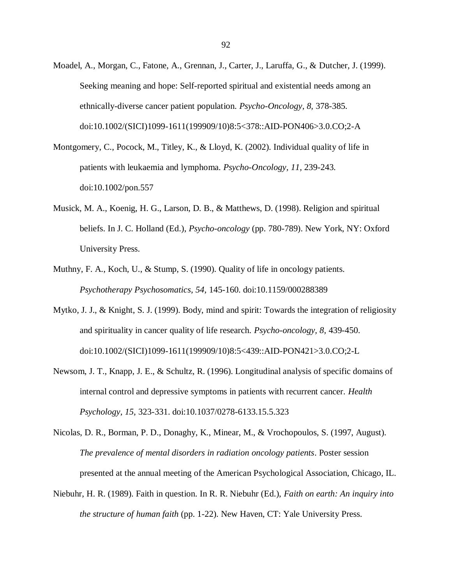- Moadel, A., Morgan, C., Fatone, A., Grennan, J., Carter, J., Laruffa, G., & Dutcher, J. (1999). Seeking meaning and hope: Self-reported spiritual and existential needs among an ethnically-diverse cancer patient population. *Psycho-Oncology, 8,* 378-385. doi:10.1002/(SICI)1099-1611(199909/10)8:5<378::AID-PON406>3.0.CO;2-A
- Montgomery, C., Pocock, M., Titley, K., & Lloyd, K. (2002). Individual quality of life in patients with leukaemia and lymphoma. *Psycho-Oncology, 11,* 239-243. doi:10.1002/pon.557
- Musick, M. A., Koenig, H. G., Larson, D. B., & Matthews, D. (1998). Religion and spiritual beliefs. In J. C. Holland (Ed.), *Psycho-oncology* (pp. 780-789). New York, NY: Oxford University Press.
- Muthny, F. A., Koch, U., & Stump, S. (1990). Quality of life in oncology patients. *Psychotherapy Psychosomatics, 54,* 145-160. doi:10.1159/000288389
- Mytko, J. J., & Knight, S. J. (1999). Body, mind and spirit: Towards the integration of religiosity and spirituality in cancer quality of life research. *Psycho-oncology, 8,* 439-450. doi:10.1002/(SICI)1099-1611(199909/10)8:5<439::AID-PON421>3.0.CO;2-L
- Newsom, J. T., Knapp, J. E., & Schultz, R. (1996). Longitudinal analysis of specific domains of internal control and depressive symptoms in patients with recurrent cancer. *Health Psychology, 15,* 323-331. doi:10.1037/0278-6133.15.5.323
- Nicolas, D. R., Borman, P. D., Donaghy, K., Minear, M., & Vrochopoulos, S. (1997, August). *The prevalence of mental disorders in radiation oncology patients*. Poster session presented at the annual meeting of the American Psychological Association, Chicago, IL.
- Niebuhr, H. R. (1989). Faith in question. In R. R. Niebuhr (Ed.), *Faith on earth: An inquiry into the structure of human faith* (pp. 1-22). New Haven, CT: Yale University Press.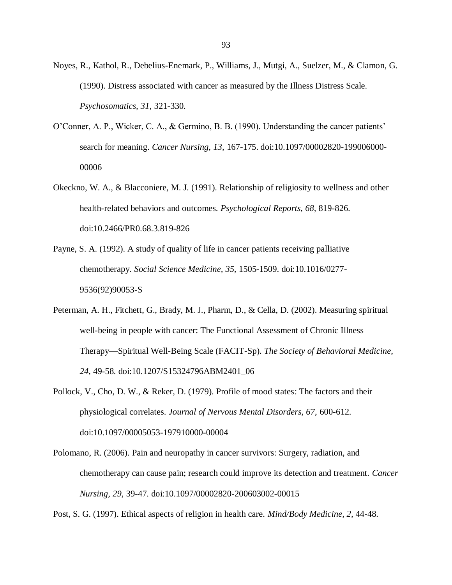Noyes, R., Kathol, R., Debelius-Enemark, P., Williams, J., Mutgi, A., Suelzer, M., & Clamon, G. (1990). Distress associated with cancer as measured by the Illness Distress Scale. *Psychosomatics, 31,* 321-330.

- O'Conner, A. P., Wicker, C. A., & Germino, B. B. (1990). Understanding the cancer patients' search for meaning. *Cancer Nursing, 13,* 167-175. doi:10.1097/00002820-199006000- 00006
- Okeckno, W. A., & Blacconiere, M. J. (1991). Relationship of religiosity to wellness and other health-related behaviors and outcomes. *Psychological Reports, 68,* 819-826. doi:10.2466/PR0.68.3.819-826
- Payne, S. A. (1992). A study of quality of life in cancer patients receiving palliative chemotherapy. *Social Science Medicine, 35,* 1505-1509. doi:10.1016/0277- 9536(92)90053-S
- Peterman, A. H., Fitchett, G., Brady, M. J., Pharm, D., & Cella, D. (2002). Measuring spiritual well-being in people with cancer: The Functional Assessment of Chronic Illness Therapy—Spiritual Well-Being Scale (FACIT-Sp). *The Society of Behavioral Medicine, 24,* 49-58. doi:10.1207/S15324796ABM2401\_06
- Pollock, V., Cho, D. W., & Reker, D. (1979). Profile of mood states: The factors and their physiological correlates. *Journal of Nervous Mental Disorders, 67,* 600-612. doi:10.1097/00005053-197910000-00004
- Polomano, R. (2006). Pain and neuropathy in cancer survivors: Surgery, radiation, and chemotherapy can cause pain; research could improve its detection and treatment. *Cancer Nursing, 29,* 39-47. doi:10.1097/00002820-200603002-00015

Post, S. G. (1997). Ethical aspects of religion in health care. *Mind/Body Medicine, 2,* 44-48.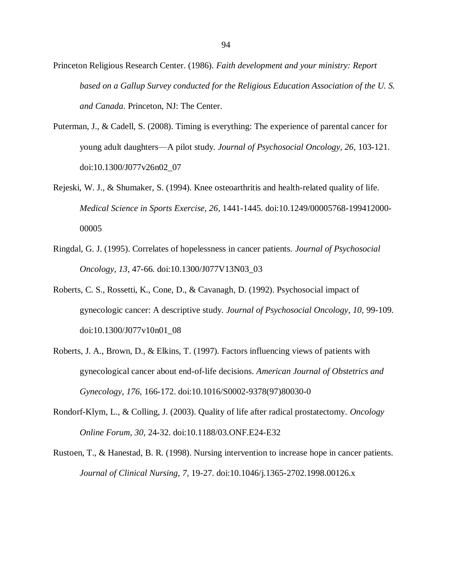Princeton Religious Research Center. (1986). *Faith development and your ministry: Report based on a Gallup Survey conducted for the Religious Education Association of the U. S. and Canada*. Princeton, NJ: The Center.

- Puterman, J., & Cadell, S. (2008). Timing is everything: The experience of parental cancer for young adult daughters—A pilot study. *Journal of Psychosocial Oncology, 26,* 103-121. doi:10.1300/J077v26n02\_07
- Rejeski, W. J., & Shumaker, S. (1994). Knee osteoarthritis and health-related quality of life. *Medical Science in Sports Exercise, 26,* 1441-1445. doi:10.1249/00005768-199412000- 00005
- Ringdal, G. J. (1995). Correlates of hopelessness in cancer patients. *Journal of Psychosocial Oncology, 13,* 47-66. doi:10.1300/J077V13N03\_03
- Roberts, C. S., Rossetti, K., Cone, D., & Cavanagh, D. (1992). Psychosocial impact of gynecologic cancer: A descriptive study. *Journal of Psychosocial Oncology, 10,* 99-109. doi:10.1300/J077v10n01\_08
- Roberts, J. A., Brown, D., & Elkins, T. (1997). Factors influencing views of patients with gynecological cancer about end-of-life decisions. *American Journal of Obstetrics and Gynecology, 176,* 166-172. doi:10.1016/S0002-9378(97)80030-0
- Rondorf-Klym, L., & Colling, J. (2003). Quality of life after radical prostatectomy. *Oncology Online Forum, 30,* 24-32. doi:10.1188/03.ONF.E24-E32
- Rustoen, T., & Hanestad, B. R. (1998). Nursing intervention to increase hope in cancer patients. *Journal of Clinical Nursing, 7,* 19-27. doi:10.1046/j.1365-2702.1998.00126.x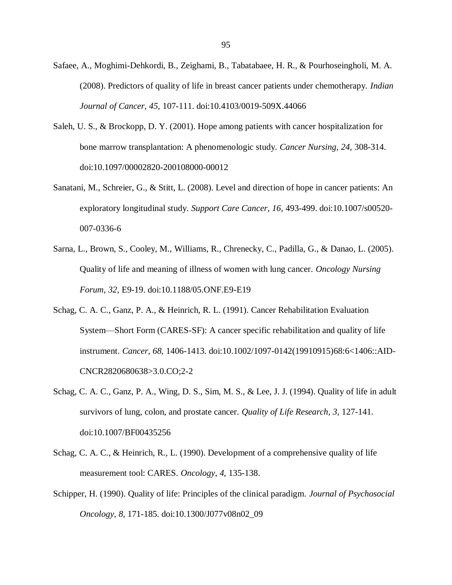- Safaee, A., Moghimi-Dehkordi, B., Zeighami, B., Tabatabaee, H. R., & Pourhoseingholi, M. A. (2008). Predictors of quality of life in breast cancer patients under chemotherapy. *Indian Journal of Cancer, 45,* 107-111. doi:10.4103/0019-509X.44066
- Saleh, U. S., & Brockopp, D. Y. (2001). Hope among patients with cancer hospitalization for bone marrow transplantation: A phenomenologic study. *Cancer Nursing, 24,* 308-314. doi:10.1097/00002820-200108000-00012
- Sanatani, M., Schreier, G., & Stitt, L. (2008). Level and direction of hope in cancer patients: An exploratory longitudinal study. *Support Care Cancer, 16,* 493-499. doi:10.1007/s00520- 007-0336-6
- Sarna, L., Brown, S., Cooley, M., Williams, R., Chrenecky, C., Padilla, G., & Danao, L. (2005). Quality of life and meaning of illness of women with lung cancer. *Oncology Nursing Forum, 32,* E9-19. doi:10.1188/05.ONF.E9-E19
- Schag, C. A. C., Ganz, P. A., & Heinrich, R. L. (1991). Cancer Rehabilitation Evaluation System—Short Form (CARES-SF): A cancer specific rehabilitation and quality of life instrument. *Cancer, 68,* 1406-1413. doi:10.1002/1097-0142(19910915)68:6<1406::AID-CNCR2820680638>3.0.CO;2-2
- Schag, C. A. C., Ganz, P. A., Wing, D. S., Sim, M. S., & Lee, J. J. (1994). Quality of life in adult survivors of lung, colon, and prostate cancer. *Quality of Life Research, 3,* 127-141. doi:10.1007/BF00435256
- Schag, C. A. C., & Heinrich, R., L. (1990). Development of a comprehensive quality of life measurement tool: CARES. *Oncology, 4,* 135-138.
- Schipper, H. (1990). Quality of life: Principles of the clinical paradigm. *Journal of Psychosocial Oncology, 8,* 171-185. doi:10.1300/J077v08n02\_09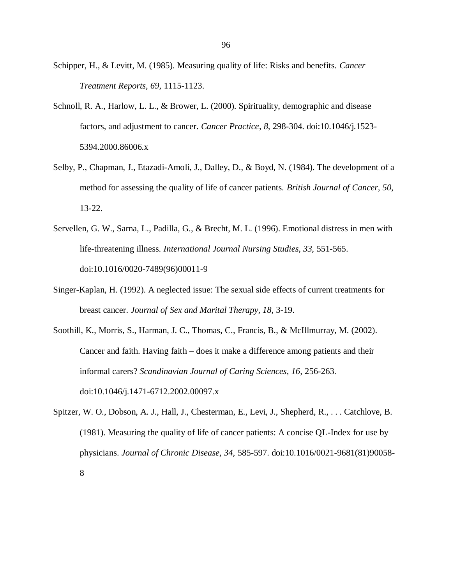- Schipper, H., & Levitt, M. (1985). Measuring quality of life: Risks and benefits. *Cancer Treatment Reports, 69,* 1115-1123.
- Schnoll, R. A., Harlow, L. L., & Brower, L. (2000). Spirituality, demographic and disease factors, and adjustment to cancer. *Cancer Practice, 8,* 298-304. doi:10.1046/j.1523- 5394.2000.86006.x
- Selby, P., Chapman, J., Etazadi-Amoli, J., Dalley, D., & Boyd, N. (1984). The development of a method for assessing the quality of life of cancer patients. *British Journal of Cancer, 50,* 13-22.
- Servellen, G. W., Sarna, L., Padilla, G., & Brecht, M. L. (1996). Emotional distress in men with life-threatening illness. *International Journal Nursing Studies, 33,* 551-565. doi:10.1016/0020-7489(96)00011-9
- Singer-Kaplan, H. (1992). A neglected issue: The sexual side effects of current treatments for breast cancer. *Journal of Sex and Marital Therapy, 18,* 3-19.
- Soothill, K., Morris, S., Harman, J. C., Thomas, C., Francis, B., & McIllmurray, M. (2002). Cancer and faith. Having faith – does it make a difference among patients and their informal carers? *Scandinavian Journal of Caring Sciences, 16,* 256-263. doi:10.1046/j.1471-6712.2002.00097.x
- Spitzer, W. O., Dobson, A. J., Hall, J., Chesterman, E., Levi, J., Shepherd, R., . . . Catchlove, B. (1981). Measuring the quality of life of cancer patients: A concise QL-Index for use by physicians. *Journal of Chronic Disease, 34,* 585-597. doi:10.1016/0021-9681(81)90058- 8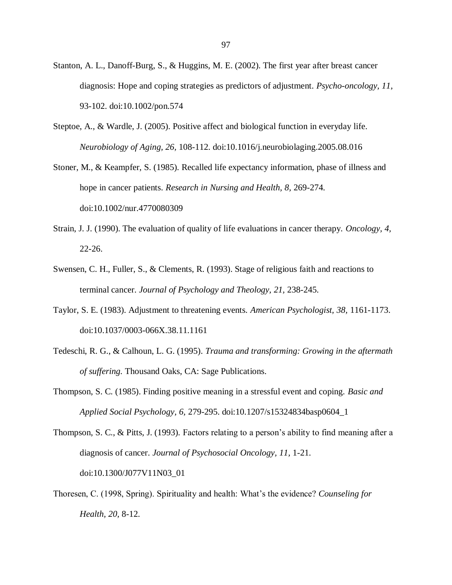- Stanton, A. L., Danoff-Burg, S., & Huggins, M. E. (2002). The first year after breast cancer diagnosis: Hope and coping strategies as predictors of adjustment. *Psycho-oncology, 11,* 93-102. doi:10.1002/pon.574
- Steptoe, A., & Wardle, J. (2005). Positive affect and biological function in everyday life. *Neurobiology of Aging, 26,* 108-112. doi:10.1016/j.neurobiolaging.2005.08.016
- Stoner, M., & Keampfer, S. (1985). Recalled life expectancy information, phase of illness and hope in cancer patients. *Research in Nursing and Health, 8,* 269-274. [doi:10.1002/nur.4770080309](http://dx.doi.org/10.1002%2Fnur.4770080309)
- Strain, J. J. (1990). The evaluation of quality of life evaluations in cancer therapy. *Oncology, 4,* 22-26.
- Swensen, C. H., Fuller, S., & Clements, R. (1993). Stage of religious faith and reactions to terminal cancer. *Journal of Psychology and Theology, 21,* 238-245.
- Taylor, S. E. (1983). Adjustment to threatening events. *American Psychologist, 38,* 1161-1173. doi:10.1037/0003-066X.38.11.1161
- Tedeschi, R. G., & Calhoun, L. G. (1995). *Trauma and transforming: Growing in the aftermath of suffering.* Thousand Oaks, CA: Sage Publications.
- Thompson, S. C. (1985). Finding positive meaning in a stressful event and coping. *Basic and Applied Social Psychology, 6,* 279-295. doi:10.1207/s15324834basp0604\_1

Thompson, S. C., & Pitts, J. (1993). Factors relating to a person's ability to find meaning after a diagnosis of cancer. *Journal of Psychosocial Oncology, 11,* 1-21. doi:10.1300/J077V11N03\_01

Thoresen, C. (1998, Spring). Spirituality and health: What's the evidence? *Counseling for Health, 20,* 8-12.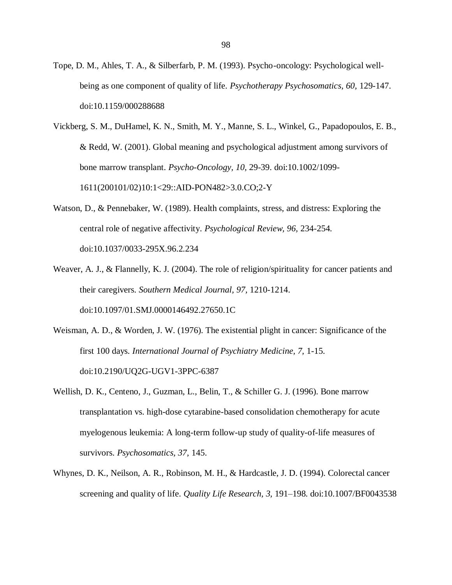- Tope, D. M., Ahles, T. A., & Silberfarb, P. M. (1993). Psycho-oncology: Psychological wellbeing as one component of quality of life. *Psychotherapy Psychosomatics, 60,* 129-147. doi:10.1159/000288688
- Vickberg, S. M., DuHamel, K. N., Smith, M. Y., Manne, S. L., Winkel, G., Papadopoulos, E. B., & Redd, W. (2001). Global meaning and psychological adjustment among survivors of bone marrow transplant. *Psycho-Oncology, 10,* 29-39. doi:10.1002/1099- 1611(200101/02)10:1<29::AID-PON482>3.0.CO;2-Y
- Watson, D., & Pennebaker, W. (1989). Health complaints, stress, and distress: Exploring the central role of negative affectivity. *Psychological Review, 96,* 234-254. doi:10.1037/0033-295X.96.2.234
- Weaver, A. J., & Flannelly, K. J. (2004). The role of religion/spirituality for cancer patients and their caregivers. *Southern Medical Journal, 97,* 1210-1214. doi:10.1097/01.SMJ.0000146492.27650.1C
- Weisman, A. D., & Worden, J. W. (1976). The existential plight in cancer: Significance of the first 100 days. *International Journal of Psychiatry Medicine, 7,* 1-15. doi:10.2190/UQ2G-UGV1-3PPC-6387
- Wellish, D. K., Centeno, J., Guzman, L., Belin, T., & Schiller G. J. (1996). Bone marrow transplantation vs. high-dose cytarabine-based consolidation chemotherapy for acute myelogenous leukemia: A long-term follow-up study of quality-of-life measures of survivors. *Psychosomatics, 37,* 145.
- Whynes, D. K., Neilson, A. R., Robinson, M. H., & Hardcastle, J. D. (1994). Colorectal cancer screening and quality of life. *Quality Life Research, 3,* 191–198. doi:10.1007/BF0043538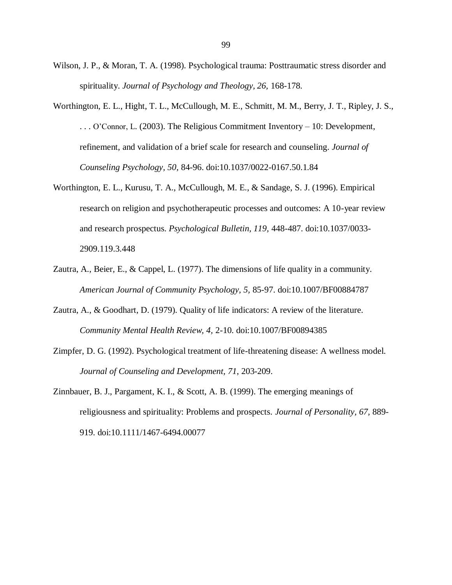- Wilson, J. P., & Moran, T. A. (1998). Psychological trauma: Posttraumatic stress disorder and spirituality. *Journal of Psychology and Theology, 26,* 168-178.
- Worthington, E. L., Hight, T. L., McCullough, M. E., Schmitt, M. M., Berry, J. T., Ripley, J. S., . . . O'Connor, L. (2003). The Religious Commitment Inventory – 10: Development, refinement, and validation of a brief scale for research and counseling. *Journal of Counseling Psychology, 50,* 84-96. doi:10.1037/0022-0167.50.1.84
- Worthington, E. L., Kurusu, T. A., McCullough, M. E., & Sandage, S. J. (1996). Empirical research on religion and psychotherapeutic processes and outcomes: A 10-year review and research prospectus. *Psychological Bulletin, 119,* 448-487. doi:10.1037/0033- 2909.119.3.448
- Zautra, A., Beier, E., & Cappel, L. (1977). The dimensions of life quality in a community. *American Journal of Community Psychology, 5,* 85-97. doi:10.1007/BF00884787
- Zautra, A., & Goodhart, D. (1979). Quality of life indicators: A review of the literature. *Community Mental Health Review, 4,* 2-10. doi:10.1007/BF00894385
- Zimpfer, D. G. (1992). Psychological treatment of life-threatening disease: A wellness model. *Journal of Counseling and Development, 71*, 203-209.
- Zinnbauer, B. J., Pargament, K. I., & Scott, A. B. (1999). The emerging meanings of religiousness and spirituality: Problems and prospects. *Journal of Personality, 67,* 889- 919. doi:10.1111/1467-6494.00077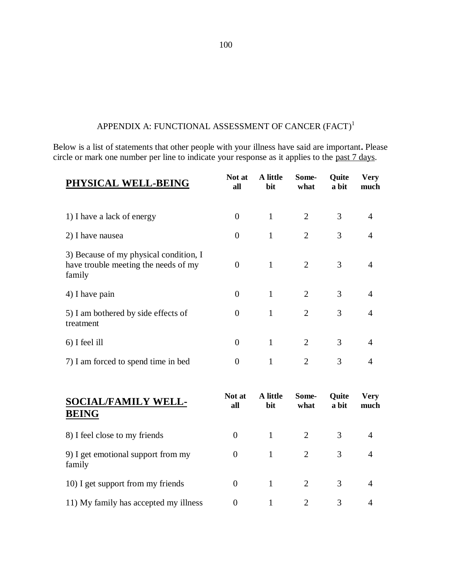# APPENDIX A: FUNCTIONAL ASSESSMENT OF CANCER  $(FACT)^1$

Below is a list of statements that other people with your illness have said are important**.** Please circle or mark one number per line to indicate your response as it applies to the <u>past 7 days</u>.

| PHYSICAL WELL-BEING                                                                      | Not at<br>all | A little<br>bit | Some-<br>what               | Quite<br>a bit | <b>Very</b><br>much |
|------------------------------------------------------------------------------------------|---------------|-----------------|-----------------------------|----------------|---------------------|
| 1) I have a lack of energy                                                               | $\theta$      | 1               | 2                           | 3              | $\overline{4}$      |
| 2) I have nausea                                                                         | $\theta$      | 1               | 2                           | 3              | 4                   |
| 3) Because of my physical condition, I<br>have trouble meeting the needs of my<br>family | $\Omega$      | 1               | 2                           | 3              | 4                   |
| 4) I have pain                                                                           | $\theta$      | $\mathbf{1}$    | $\overline{2}$              | 3              | 4                   |
| 5) I am bothered by side effects of<br>treatment                                         | $\Omega$      | 1               | $\overline{2}$              | 3              | 4                   |
| 6) I feel ill                                                                            | $\theta$      | 1               | 2                           | 3              | 4                   |
| 7) I am forced to spend time in bed                                                      | $\Omega$      | 1               | $\mathcal{D}_{\mathcal{L}}$ | 3              | 4                   |
|                                                                                          |               |                 |                             |                |                     |

| <b>SOCIAL/FAMILY WELL-</b><br><b>BEING</b>   | Not at<br>all | A little<br>bit | Some-<br>what | <b>Quite</b><br>a bit | Very<br>much   |
|----------------------------------------------|---------------|-----------------|---------------|-----------------------|----------------|
| 8) I feel close to my friends                | $\Omega$      |                 | 2             | 3                     | $\overline{4}$ |
| 9) I get emotional support from my<br>family | $\theta$      |                 | 2             | 3                     | $\overline{4}$ |
| 10) I get support from my friends            | $\Omega$      |                 | 2             | $\mathcal{R}$         | 4              |
| 11) My family has accepted my illness        | $\Omega$      |                 |               | $\mathcal{R}$         | 4              |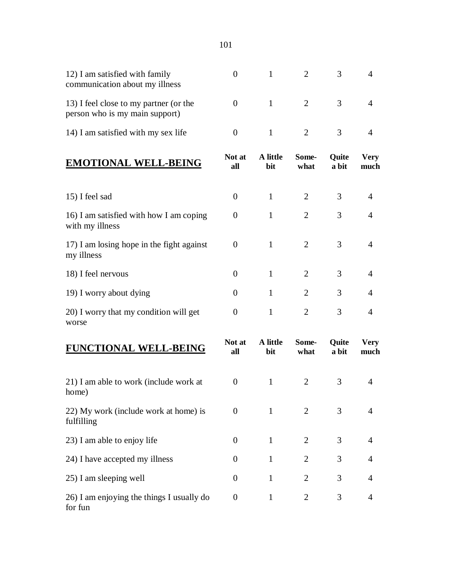12) I am satisfied with family communication about my illness 0 1 2 3 4 13) I feel close to my partner (or the person who is my main support) 0 1 2 3 4 14) I am satisfied with my sex life  $\begin{array}{cccc} 0 & 1 & 2 & 3 & 4 \end{array}$ **EMOTIONAL WELL-BEING** Not at **all A little bit Somewhat Quite a bit Very much** 15) I feel sad 0 1 2 3 4 16) I am satisfied with how I am coping with my illness 0 1 2 3 4 17) I am losing hope in the fight against my illness 0 1 2 3 4 18) I feel nervous 0 1 2 3 4 19) I worry about dying 0 1 2 3 4 20) I worry that my condition will get worse 0 1 2 3 4 **FUNCTIONAL WELL-BEING** Not at **all A little bit Somewhat Quite a bit Very much** 21) I am able to work (include work at home) 0 1 2 3 4 22) My work (include work at home) is fulfilling 0 1 2 3 4 23) I am able to enjoy life  $\begin{array}{cccc} 0 & 1 & 2 & 3 & 4 \end{array}$ 

24) I have accepted my illness  $0 \t 1 \t 2 \t 3 \t 4$ 

25) I am sleeping well  $\begin{array}{cccc} 0 & 1 & 2 & 3 & 4 \end{array}$ 

0 1 2 3 4

26) I am enjoying the things I usually do

for fun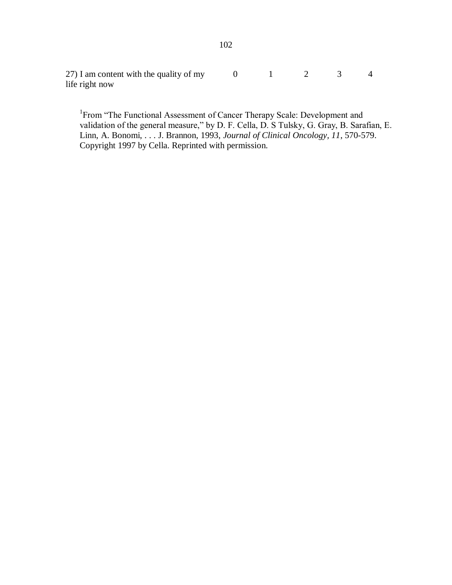27) I am content with the quality of my life right now 0 1 2 3 4

<sup>1</sup> From "The Functional Assessment of Cancer Therapy Scale: Development and validation of the general measure," by D. F. Cella, D. S Tulsky, G. Gray, B. Sarafian, E. Linn, A. Bonomi, . . . J. Brannon, 1993, *Journal of Clinical Oncology, 11*, 570-579. Copyright 1997 by Cella. Reprinted with permission.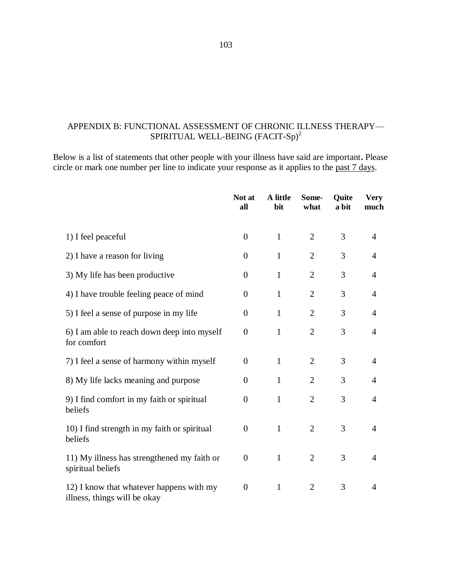## APPENDIX B: FUNCTIONAL ASSESSMENT OF CHRONIC ILLNESS THERAPY— SPIRITUAL WELL-BEING (FACIT-Sp)<sup>2</sup>

Below is a list of statements that other people with your illness have said are important**.** Please circle or mark one number per line to indicate your response as it applies to the past 7 days.

|                                                                          | Not at<br>all    | A little<br>bit | Some-<br>what  | Ouite<br>a bit | <b>Very</b><br>much |
|--------------------------------------------------------------------------|------------------|-----------------|----------------|----------------|---------------------|
| 1) I feel peaceful                                                       | $\overline{0}$   | $\mathbf{1}$    | $\overline{2}$ | 3              | $\overline{4}$      |
| 2) I have a reason for living                                            | $\overline{0}$   | $\mathbf{1}$    | $\overline{2}$ | 3              | $\overline{4}$      |
| 3) My life has been productive                                           | $\overline{0}$   | $\mathbf{1}$    | $\overline{2}$ | 3              | $\overline{4}$      |
| 4) I have trouble feeling peace of mind                                  | $\overline{0}$   | $\mathbf{1}$    | $\overline{2}$ | 3              | $\overline{4}$      |
| 5) I feel a sense of purpose in my life                                  | $\overline{0}$   | 1               | $\overline{2}$ | 3              | $\overline{4}$      |
| 6) I am able to reach down deep into myself<br>for comfort               | $\boldsymbol{0}$ | $\mathbf{1}$    | $\overline{2}$ | 3              | $\overline{4}$      |
| 7) I feel a sense of harmony within myself                               | $\overline{0}$   | $\mathbf{1}$    | $\overline{2}$ | 3              | $\overline{4}$      |
| 8) My life lacks meaning and purpose                                     | $\overline{0}$   | $\mathbf{1}$    | $\overline{2}$ | 3              | $\overline{4}$      |
| 9) I find comfort in my faith or spiritual<br>beliefs                    | $\overline{0}$   | $\mathbf{1}$    | $\mathfrak{2}$ | 3              | $\overline{4}$      |
| 10) I find strength in my faith or spiritual<br>beliefs                  | $\overline{0}$   | $\mathbf{1}$    | $\overline{2}$ | 3              | $\overline{4}$      |
| 11) My illness has strengthened my faith or<br>spiritual beliefs         | $\overline{0}$   | $\mathbf{1}$    | $\overline{2}$ | 3              | $\overline{4}$      |
| 12) I know that whatever happens with my<br>illness, things will be okay | $\boldsymbol{0}$ | $\mathbf{1}$    | $\overline{2}$ | 3              | $\overline{4}$      |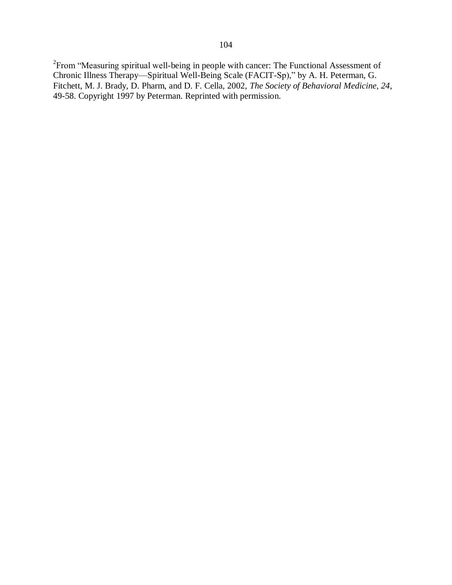$2$ From "Measuring spiritual well-being in people with cancer: The Functional Assessment of Chronic Illness Therapy—Spiritual Well-Being Scale (FACIT-Sp)," by A. H. Peterman, G. Fitchett, M. J. Brady, D. Pharm, and D. F. Cella, 2002, *The Society of Behavioral Medicine, 24*, 49-58. Copyright 1997 by Peterman. Reprinted with permission.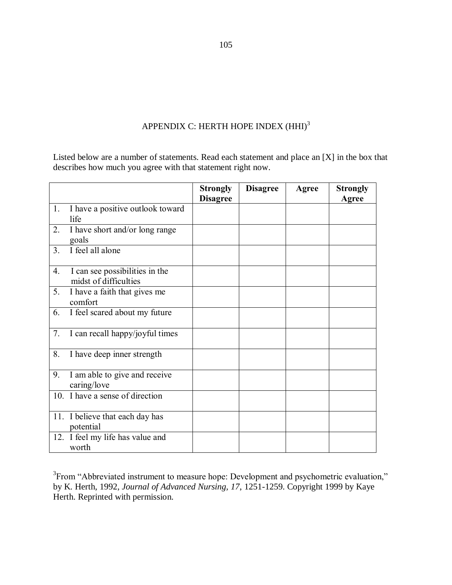## APPENDIX C: HERTH HOPE INDEX  $\rm(HHI)^3$

Listed below are a number of statements. Read each statement and place an [X] in the box that describes how much you agree with that statement right now.

|                 |                                                         | <b>Strongly</b><br><b>Disagree</b> | <b>Disagree</b> | Agree | <b>Strongly</b><br>Agree |
|-----------------|---------------------------------------------------------|------------------------------------|-----------------|-------|--------------------------|
| 1.              | I have a positive outlook toward<br>life                |                                    |                 |       |                          |
| 2.              | I have short and/or long range<br>goals                 |                                    |                 |       |                          |
| 3.              | I feel all alone                                        |                                    |                 |       |                          |
| 4.              | I can see possibilities in the<br>midst of difficulties |                                    |                 |       |                          |
| 5.              | I have a faith that gives me<br>comfort                 |                                    |                 |       |                          |
| 6.              | I feel scared about my future                           |                                    |                 |       |                          |
| 7.              | I can recall happy/joyful times                         |                                    |                 |       |                          |
| 8.              | I have deep inner strength                              |                                    |                 |       |                          |
| 9.              | I am able to give and receive<br>caring/love            |                                    |                 |       |                          |
| 10 <sub>l</sub> | I have a sense of direction                             |                                    |                 |       |                          |
|                 | 11. I believe that each day has<br>potential            |                                    |                 |       |                          |
|                 | 12. I feel my life has value and<br>worth               |                                    |                 |       |                          |

<sup>3</sup> From "Abbreviated instrument to measure hope: Development and psychometric evaluation," by K. Herth, 1992, *Journal of Advanced Nursing, 17*, 1251-1259. Copyright 1999 by Kaye Herth. Reprinted with permission.

105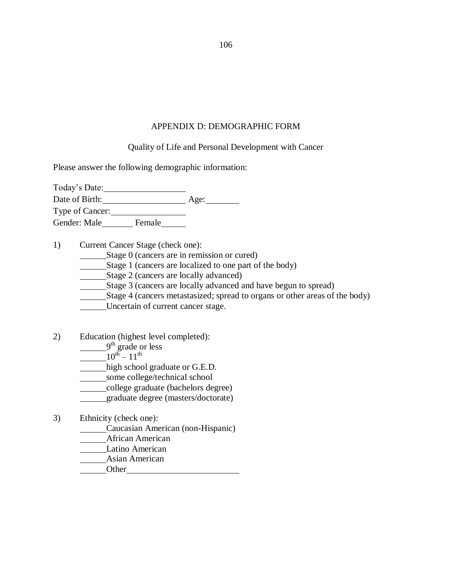## APPENDIX D: DEMOGRAPHIC FORM

Quality of Life and Personal Development with Cancer

Please answer the following demographic information:

Today's Date: Date of Birth: Age: Age: Type of Cancer:

Gender: Male\_\_\_\_\_\_\_\_\_ Female\_\_\_\_\_\_\_

1) Current Cancer Stage (check one):

Stage 0 (cancers are in remission or cured)

Stage 1 (cancers are localized to one part of the body)

Stage 2 (cancers are locally advanced)

Stage 3 (cancers are locally advanced and have begun to spread)

Stage 4 (cancers metastasized; spread to organs or other areas of the body)

Uncertain of current cancer stage.

2) Education (highest level completed):

9<sup>th</sup> grade or less

 $10^{th} - 11^{th}$ 

high school graduate or G.E.D.

some college/technical school

college graduate (bachelors degree)

graduate degree (masters/doctorate)

3) Ethnicity (check one):

Caucasian American (non-Hispanic)

**Marine African American** 

Latino American

Asian American

Other

106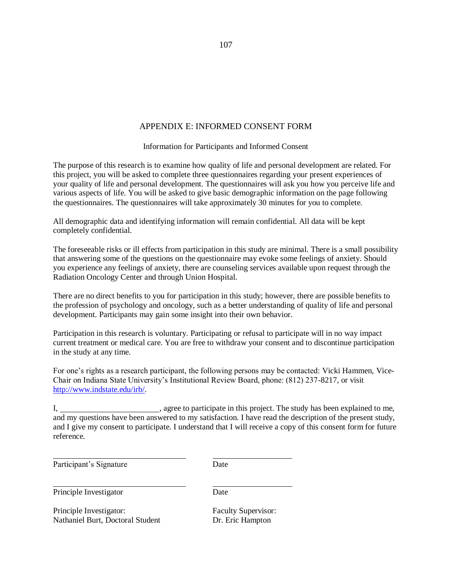## APPENDIX E: INFORMED CONSENT FORM

Information for Participants and Informed Consent

The purpose of this research is to examine how quality of life and personal development are related. For this project, you will be asked to complete three questionnaires regarding your present experiences of your quality of life and personal development. The questionnaires will ask you how you perceive life and various aspects of life. You will be asked to give basic demographic information on the page following the questionnaires. The questionnaires will take approximately 30 minutes for you to complete.

All demographic data and identifying information will remain confidential. All data will be kept completely confidential.

The foreseeable risks or ill effects from participation in this study are minimal. There is a small possibility that answering some of the questions on the questionnaire may evoke some feelings of anxiety. Should you experience any feelings of anxiety, there are counseling services available upon request through the Radiation Oncology Center and through Union Hospital.

There are no direct benefits to you for participation in this study; however, there are possible benefits to the profession of psychology and oncology, such as a better understanding of quality of life and personal development. Participants may gain some insight into their own behavior.

Participation in this research is voluntary. Participating or refusal to participate will in no way impact current treatment or medical care. You are free to withdraw your consent and to discontinue participation in the study at any time.

For one's rights as a research participant, the following persons may be contacted: Vicki Hammen, Vice-Chair on Indiana State University's Institutional Review Board, phone: (812) 237-8217, or visit [http://www.indstate.edu/irb/.](http://www.indstate.edu/irb/)

| , agree to participate in this project. The study has been explained to me,                                   |
|---------------------------------------------------------------------------------------------------------------|
| and my questions have been answered to my satisfaction. I have read the description of the present study,     |
| and I give my consent to participate. I understand that I will receive a copy of this consent form for future |
| reference.                                                                                                    |

Participant's Signature Date

Principle Investigator Date

Principle Investigator: Faculty Supervisor: Nathaniel Burt, Doctoral Student Dr. Eric Hampton